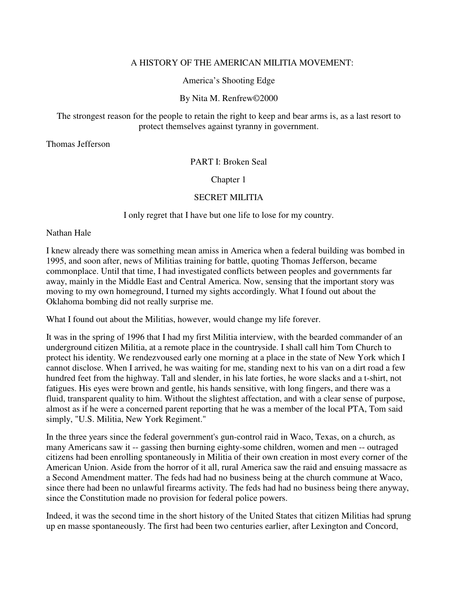## A HISTORY OF THE AMERICAN MILITIA MOVEMENT:

America's Shooting Edge

## By Nita M. Renfrew©2000

#### The strongest reason for the people to retain the right to keep and bear arms is, as a last resort to protect themselves against tyranny in government.

Thomas Jefferson

#### PART I: Broken Seal

Chapter 1

#### SECRET MILITIA

I only regret that I have but one life to lose for my country.

Nathan Hale

I knew already there was something mean amiss in America when a federal building was bombed in 1995, and soon after, news of Militias training for battle, quoting Thomas Jefferson, became commonplace. Until that time, I had investigated conflicts between peoples and governments far away, mainly in the Middle East and Central America. Now, sensing that the important story was moving to my own homeground, I turned my sights accordingly. What I found out about the Oklahoma bombing did not really surprise me.

What I found out about the Militias, however, would change my life forever.

It was in the spring of 1996 that I had my first Militia interview, with the bearded commander of an underground citizen Militia, at a remote place in the countryside. I shall call him Tom Church to protect his identity. We rendezvoused early one morning at a place in the state of New York which I cannot disclose. When I arrived, he was waiting for me, standing next to his van on a dirt road a few hundred feet from the highway. Tall and slender, in his late forties, he wore slacks and a t-shirt, not fatigues. His eyes were brown and gentle, his hands sensitive, with long fingers, and there was a fluid, transparent quality to him. Without the slightest affectation, and with a clear sense of purpose, almost as if he were a concerned parent reporting that he was a member of the local PTA, Tom said simply, "U.S. Militia, New York Regiment."

In the three years since the federal government's gun-control raid in Waco, Texas, on a church, as many Americans saw it -- gassing then burning eighty-some children, women and men -- outraged citizens had been enrolling spontaneously in Militia of their own creation in most every corner of the American Union. Aside from the horror of it all, rural America saw the raid and ensuing massacre as a Second Amendment matter. The feds had had no business being at the church commune at Waco, since there had been no unlawful firearms activity. The feds had had no business being there anyway, since the Constitution made no provision for federal police powers.

Indeed, it was the second time in the short history of the United States that citizen Militias had sprung up en masse spontaneously. The first had been two centuries earlier, after Lexington and Concord,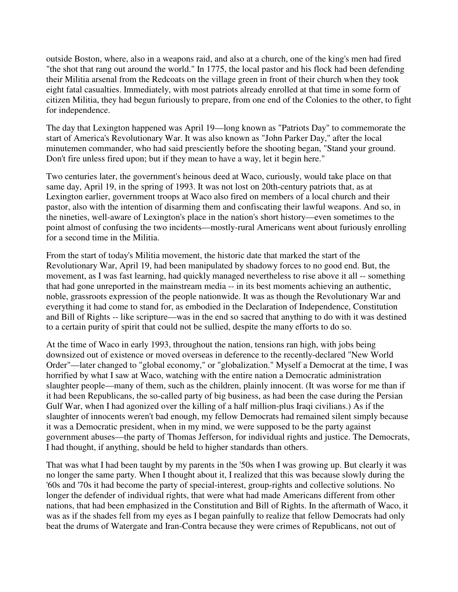outside Boston, where, also in a weapons raid, and also at a church, one of the king's men had fired "the shot that rang out around the world." In 1775, the local pastor and his flock had been defending their Militia arsenal from the Redcoats on the village green in front of their church when they took eight fatal casualties. Immediately, with most patriots already enrolled at that time in some form of citizen Militia, they had begun furiously to prepare, from one end of the Colonies to the other, to fight for independence.

The day that Lexington happened was April 19—long known as "Patriots Day" to commemorate the start of America's Revolutionary War. It was also known as "John Parker Day," after the local minutemen commander, who had said presciently before the shooting began, "Stand your ground. Don't fire unless fired upon; but if they mean to have a way, let it begin here."

Two centuries later, the government's heinous deed at Waco, curiously, would take place on that same day, April 19, in the spring of 1993. It was not lost on 20th-century patriots that, as at Lexington earlier, government troops at Waco also fired on members of a local church and their pastor, also with the intention of disarming them and confiscating their lawful weapons. And so, in the nineties, well-aware of Lexington's place in the nation's short history—even sometimes to the point almost of confusing the two incidents—mostly-rural Americans went about furiously enrolling for a second time in the Militia.

From the start of today's Militia movement, the historic date that marked the start of the Revolutionary War, April 19, had been manipulated by shadowy forces to no good end. But, the movement, as I was fast learning, had quickly managed nevertheless to rise above it all -- something that had gone unreported in the mainstream media -- in its best moments achieving an authentic, noble, grassroots expression of the people nationwide. It was as though the Revolutionary War and everything it had come to stand for, as embodied in the Declaration of Independence, Constitution and Bill of Rights -- like scripture—was in the end so sacred that anything to do with it was destined to a certain purity of spirit that could not be sullied, despite the many efforts to do so.

At the time of Waco in early 1993, throughout the nation, tensions ran high, with jobs being downsized out of existence or moved overseas in deference to the recently-declared "New World Order"—later changed to "global economy," or "globalization." Myself a Democrat at the time, I was horrified by what I saw at Waco, watching with the entire nation a Democratic administration slaughter people—many of them, such as the children, plainly innocent. (It was worse for me than if it had been Republicans, the so-called party of big business, as had been the case during the Persian Gulf War, when I had agonized over the killing of a half million-plus Iraqi civilians.) As if the slaughter of innocents weren't bad enough, my fellow Democrats had remained silent simply because it was a Democratic president, when in my mind, we were supposed to be the party against government abuses—the party of Thomas Jefferson, for individual rights and justice. The Democrats, I had thought, if anything, should be held to higher standards than others.

That was what I had been taught by my parents in the '50s when I was growing up. But clearly it was no longer the same party. When I thought about it, I realized that this was because slowly during the '60s and '70s it had become the party of special-interest, group-rights and collective solutions. No longer the defender of individual rights, that were what had made Americans different from other nations, that had been emphasized in the Constitution and Bill of Rights. In the aftermath of Waco, it was as if the shades fell from my eyes as I began painfully to realize that fellow Democrats had only beat the drums of Watergate and Iran-Contra because they were crimes of Republicans, not out of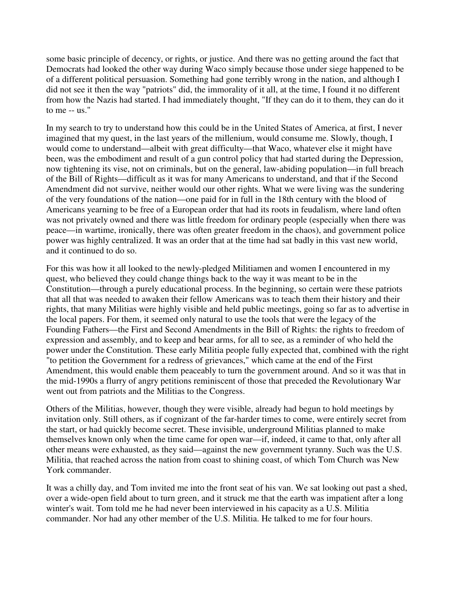some basic principle of decency, or rights, or justice. And there was no getting around the fact that Democrats had looked the other way during Waco simply because those under siege happened to be of a different political persuasion. Something had gone terribly wrong in the nation, and although I did not see it then the way "patriots" did, the immorality of it all, at the time, I found it no different from how the Nazis had started. I had immediately thought, "If they can do it to them, they can do it to me -- us."

In my search to try to understand how this could be in the United States of America, at first, I never imagined that my quest, in the last years of the millenium, would consume me. Slowly, though, I would come to understand—albeit with great difficulty—that Waco, whatever else it might have been, was the embodiment and result of a gun control policy that had started during the Depression, now tightening its vise, not on criminals, but on the general, law-abiding population—in full breach of the Bill of Rights—difficult as it was for many Americans to understand, and that if the Second Amendment did not survive, neither would our other rights. What we were living was the sundering of the very foundations of the nation—one paid for in full in the 18th century with the blood of Americans yearning to be free of a European order that had its roots in feudalism, where land often was not privately owned and there was little freedom for ordinary people (especially when there was peace—in wartime, ironically, there was often greater freedom in the chaos), and government police power was highly centralized. It was an order that at the time had sat badly in this vast new world, and it continued to do so.

For this was how it all looked to the newly-pledged Militiamen and women I encountered in my quest, who believed they could change things back to the way it was meant to be in the Constitution—through a purely educational process. In the beginning, so certain were these patriots that all that was needed to awaken their fellow Americans was to teach them their history and their rights, that many Militias were highly visible and held public meetings, going so far as to advertise in the local papers. For them, it seemed only natural to use the tools that were the legacy of the Founding Fathers—the First and Second Amendments in the Bill of Rights: the rights to freedom of expression and assembly, and to keep and bear arms, for all to see, as a reminder of who held the power under the Constitution. These early Militia people fully expected that, combined with the right "to petition the Government for a redress of grievances," which came at the end of the First Amendment, this would enable them peaceably to turn the government around. And so it was that in the mid-1990s a flurry of angry petitions reminiscent of those that preceded the Revolutionary War went out from patriots and the Militias to the Congress.

Others of the Militias, however, though they were visible, already had begun to hold meetings by invitation only. Still others, as if cognizant of the far-harder times to come, were entirely secret from the start, or had quickly become secret. These invisible, underground Militias planned to make themselves known only when the time came for open war—if, indeed, it came to that, only after all other means were exhausted, as they said—against the new government tyranny. Such was the U.S. Militia, that reached across the nation from coast to shining coast, of which Tom Church was New York commander.

It was a chilly day, and Tom invited me into the front seat of his van. We sat looking out past a shed, over a wide-open field about to turn green, and it struck me that the earth was impatient after a long winter's wait. Tom told me he had never been interviewed in his capacity as a U.S. Militia commander. Nor had any other member of the U.S. Militia. He talked to me for four hours.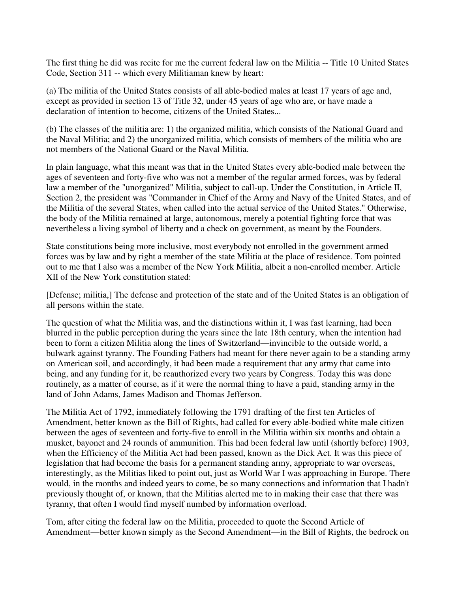The first thing he did was recite for me the current federal law on the Militia -- Title 10 United States Code, Section 311 -- which every Militiaman knew by heart:

(a) The militia of the United States consists of all able-bodied males at least 17 years of age and, except as provided in section 13 of Title 32, under 45 years of age who are, or have made a declaration of intention to become, citizens of the United States...

(b) The classes of the militia are: 1) the organized militia, which consists of the National Guard and the Naval Militia; and 2) the unorganized militia, which consists of members of the militia who are not members of the National Guard or the Naval Militia.

In plain language, what this meant was that in the United States every able-bodied male between the ages of seventeen and forty-five who was not a member of the regular armed forces, was by federal law a member of the "unorganized" Militia, subject to call-up. Under the Constitution, in Article II, Section 2, the president was "Commander in Chief of the Army and Navy of the United States, and of the Militia of the several States, when called into the actual service of the United States." Otherwise, the body of the Militia remained at large, autonomous, merely a potential fighting force that was nevertheless a living symbol of liberty and a check on government, as meant by the Founders.

State constitutions being more inclusive, most everybody not enrolled in the government armed forces was by law and by right a member of the state Militia at the place of residence. Tom pointed out to me that I also was a member of the New York Militia, albeit a non-enrolled member. Article XII of the New York constitution stated:

[Defense; militia,] The defense and protection of the state and of the United States is an obligation of all persons within the state.

The question of what the Militia was, and the distinctions within it, I was fast learning, had been blurred in the public perception during the years since the late 18th century, when the intention had been to form a citizen Militia along the lines of Switzerland—invincible to the outside world, a bulwark against tyranny. The Founding Fathers had meant for there never again to be a standing army on American soil, and accordingly, it had been made a requirement that any army that came into being, and any funding for it, be reauthorized every two years by Congress. Today this was done routinely, as a matter of course, as if it were the normal thing to have a paid, standing army in the land of John Adams, James Madison and Thomas Jefferson.

The Militia Act of 1792, immediately following the 1791 drafting of the first ten Articles of Amendment, better known as the Bill of Rights, had called for every able-bodied white male citizen between the ages of seventeen and forty-five to enroll in the Militia within six months and obtain a musket, bayonet and 24 rounds of ammunition. This had been federal law until (shortly before) 1903, when the Efficiency of the Militia Act had been passed, known as the Dick Act. It was this piece of legislation that had become the basis for a permanent standing army, appropriate to war overseas, interestingly, as the Militias liked to point out, just as World War I was approaching in Europe. There would, in the months and indeed years to come, be so many connections and information that I hadn't previously thought of, or known, that the Militias alerted me to in making their case that there was tyranny, that often I would find myself numbed by information overload.

Tom, after citing the federal law on the Militia, proceeded to quote the Second Article of Amendment—better known simply as the Second Amendment—in the Bill of Rights, the bedrock on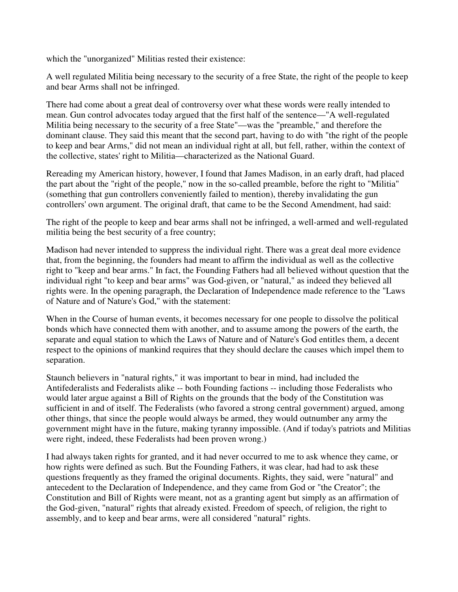which the "unorganized" Militias rested their existence:

A well regulated Militia being necessary to the security of a free State, the right of the people to keep and bear Arms shall not be infringed.

There had come about a great deal of controversy over what these words were really intended to mean. Gun control advocates today argued that the first half of the sentence—"A well-regulated Militia being necessary to the security of a free State"—was the "preamble," and therefore the dominant clause. They said this meant that the second part, having to do with "the right of the people to keep and bear Arms," did not mean an individual right at all, but fell, rather, within the context of the collective, states' right to Militia—characterized as the National Guard.

Rereading my American history, however, I found that James Madison, in an early draft, had placed the part about the "right of the people," now in the so-called preamble, before the right to "Militia" (something that gun controllers conveniently failed to mention), thereby invalidating the gun controllers' own argument. The original draft, that came to be the Second Amendment, had said:

The right of the people to keep and bear arms shall not be infringed, a well-armed and well-regulated militia being the best security of a free country;

Madison had never intended to suppress the individual right. There was a great deal more evidence that, from the beginning, the founders had meant to affirm the individual as well as the collective right to "keep and bear arms." In fact, the Founding Fathers had all believed without question that the individual right "to keep and bear arms" was God-given, or "natural," as indeed they believed all rights were. In the opening paragraph, the Declaration of Independence made reference to the "Laws of Nature and of Nature's God," with the statement:

When in the Course of human events, it becomes necessary for one people to dissolve the political bonds which have connected them with another, and to assume among the powers of the earth, the separate and equal station to which the Laws of Nature and of Nature's God entitles them, a decent respect to the opinions of mankind requires that they should declare the causes which impel them to separation.

Staunch believers in "natural rights," it was important to bear in mind, had included the Antifederalists and Federalists alike -- both Founding factions -- including those Federalists who would later argue against a Bill of Rights on the grounds that the body of the Constitution was sufficient in and of itself. The Federalists (who favored a strong central government) argued, among other things, that since the people would always be armed, they would outnumber any army the government might have in the future, making tyranny impossible. (And if today's patriots and Militias were right, indeed, these Federalists had been proven wrong.)

I had always taken rights for granted, and it had never occurred to me to ask whence they came, or how rights were defined as such. But the Founding Fathers, it was clear, had had to ask these questions frequently as they framed the original documents. Rights, they said, were "natural" and antecedent to the Declaration of Independence, and they came from God or "the Creator"; the Constitution and Bill of Rights were meant, not as a granting agent but simply as an affirmation of the God-given, "natural" rights that already existed. Freedom of speech, of religion, the right to assembly, and to keep and bear arms, were all considered "natural" rights.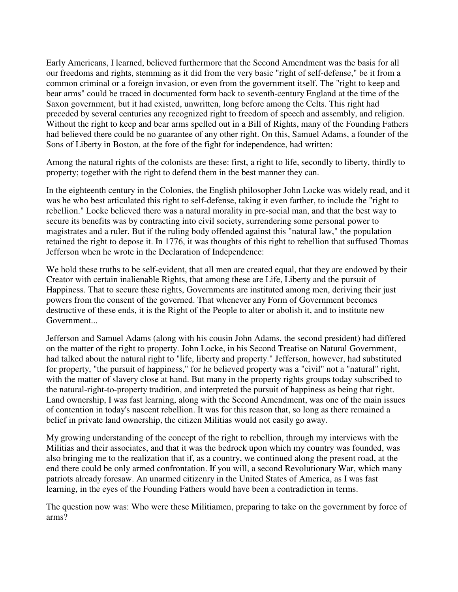Early Americans, I learned, believed furthermore that the Second Amendment was the basis for all our freedoms and rights, stemming as it did from the very basic "right of self-defense," be it from a common criminal or a foreign invasion, or even from the government itself. The "right to keep and bear arms" could be traced in documented form back to seventh-century England at the time of the Saxon government, but it had existed, unwritten, long before among the Celts. This right had preceded by several centuries any recognized right to freedom of speech and assembly, and religion. Without the right to keep and bear arms spelled out in a Bill of Rights, many of the Founding Fathers had believed there could be no guarantee of any other right. On this, Samuel Adams, a founder of the Sons of Liberty in Boston, at the fore of the fight for independence, had written:

Among the natural rights of the colonists are these: first, a right to life, secondly to liberty, thirdly to property; together with the right to defend them in the best manner they can.

In the eighteenth century in the Colonies, the English philosopher John Locke was widely read, and it was he who best articulated this right to self-defense, taking it even farther, to include the "right to rebellion." Locke believed there was a natural morality in pre-social man, and that the best way to secure its benefits was by contracting into civil society, surrendering some personal power to magistrates and a ruler. But if the ruling body offended against this "natural law," the population retained the right to depose it. In 1776, it was thoughts of this right to rebellion that suffused Thomas Jefferson when he wrote in the Declaration of Independence:

We hold these truths to be self-evident, that all men are created equal, that they are endowed by their Creator with certain inalienable Rights, that among these are Life, Liberty and the pursuit of Happiness. That to secure these rights, Governments are instituted among men, deriving their just powers from the consent of the governed. That whenever any Form of Government becomes destructive of these ends, it is the Right of the People to alter or abolish it, and to institute new Government...

Jefferson and Samuel Adams (along with his cousin John Adams, the second president) had differed on the matter of the right to property. John Locke, in his Second Treatise on Natural Government, had talked about the natural right to "life, liberty and property." Jefferson, however, had substituted for property, "the pursuit of happiness," for he believed property was a "civil" not a "natural" right, with the matter of slavery close at hand. But many in the property rights groups today subscribed to the natural-right-to-property tradition, and interpreted the pursuit of happiness as being that right. Land ownership, I was fast learning, along with the Second Amendment, was one of the main issues of contention in today's nascent rebellion. It was for this reason that, so long as there remained a belief in private land ownership, the citizen Militias would not easily go away.

My growing understanding of the concept of the right to rebellion, through my interviews with the Militias and their associates, and that it was the bedrock upon which my country was founded, was also bringing me to the realization that if, as a country, we continued along the present road, at the end there could be only armed confrontation. If you will, a second Revolutionary War, which many patriots already foresaw. An unarmed citizenry in the United States of America, as I was fast learning, in the eyes of the Founding Fathers would have been a contradiction in terms.

The question now was: Who were these Militiamen, preparing to take on the government by force of arms?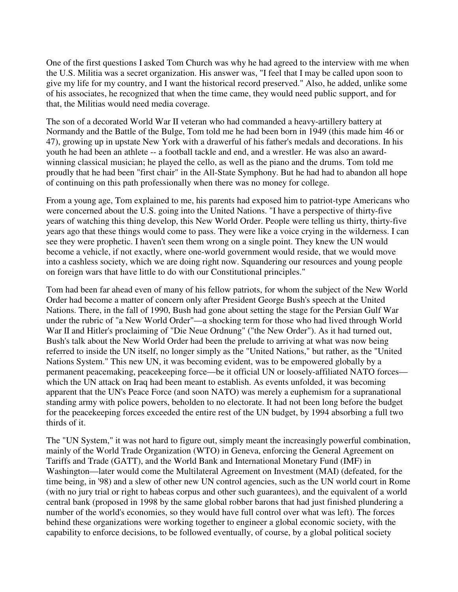One of the first questions I asked Tom Church was why he had agreed to the interview with me when the U.S. Militia was a secret organization. His answer was, "I feel that I may be called upon soon to give my life for my country, and I want the historical record preserved." Also, he added, unlike some of his associates, he recognized that when the time came, they would need public support, and for that, the Militias would need media coverage.

The son of a decorated World War II veteran who had commanded a heavy-artillery battery at Normandy and the Battle of the Bulge, Tom told me he had been born in 1949 (this made him 46 or 47), growing up in upstate New York with a drawerful of his father's medals and decorations. In his youth he had been an athlete -- a football tackle and end, and a wrestler. He was also an awardwinning classical musician; he played the cello, as well as the piano and the drums. Tom told me proudly that he had been "first chair" in the All-State Symphony. But he had had to abandon all hope of continuing on this path professionally when there was no money for college.

From a young age, Tom explained to me, his parents had exposed him to patriot-type Americans who were concerned about the U.S. going into the United Nations. "I have a perspective of thirty-five years of watching this thing develop, this New World Order. People were telling us thirty, thirty-five years ago that these things would come to pass. They were like a voice crying in the wilderness. I can see they were prophetic. I haven't seen them wrong on a single point. They knew the UN would become a vehicle, if not exactly, where one-world government would reside, that we would move into a cashless society, which we are doing right now. Squandering our resources and young people on foreign wars that have little to do with our Constitutional principles."

Tom had been far ahead even of many of his fellow patriots, for whom the subject of the New World Order had become a matter of concern only after President George Bush's speech at the United Nations. There, in the fall of 1990, Bush had gone about setting the stage for the Persian Gulf War under the rubric of "a New World Order"—a shocking term for those who had lived through World War II and Hitler's proclaiming of "Die Neue Ordnung" ("the New Order"). As it had turned out, Bush's talk about the New World Order had been the prelude to arriving at what was now being referred to inside the UN itself, no longer simply as the "United Nations," but rather, as the "United Nations System." This new UN, it was becoming evident, was to be empowered globally by a permanent peacemaking, peacekeeping force—be it official UN or loosely-affiliated NATO forces which the UN attack on Iraq had been meant to establish. As events unfolded, it was becoming apparent that the UN's Peace Force (and soon NATO) was merely a euphemism for a supranational standing army with police powers, beholden to no electorate. It had not been long before the budget for the peacekeeping forces exceeded the entire rest of the UN budget, by 1994 absorbing a full two thirds of it.

The "UN System," it was not hard to figure out, simply meant the increasingly powerful combination, mainly of the World Trade Organization (WTO) in Geneva, enforcing the General Agreement on Tariffs and Trade (GATT), and the World Bank and International Monetary Fund (IMF) in Washington—later would come the Multilateral Agreement on Investment (MAI) (defeated, for the time being, in '98) and a slew of other new UN control agencies, such as the UN world court in Rome (with no jury trial or right to habeas corpus and other such guarantees), and the equivalent of a world central bank (proposed in 1998 by the same global robber barons that had just finished plundering a number of the world's economies, so they would have full control over what was left). The forces behind these organizations were working together to engineer a global economic society, with the capability to enforce decisions, to be followed eventually, of course, by a global political society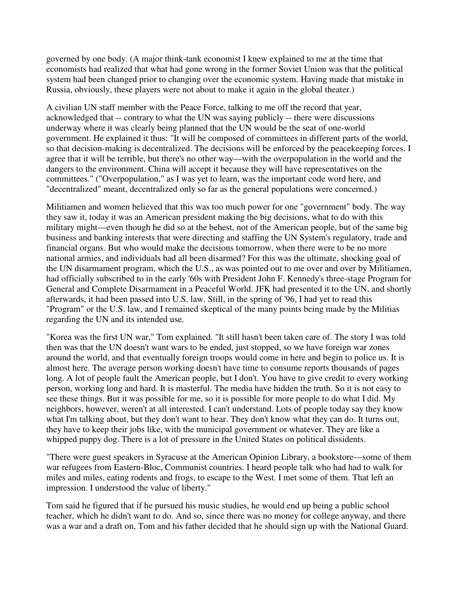governed by one body. (A major think-tank economist I knew explained to me at the time that economists had realized that what had gone wrong in the former Soviet Union was that the political system had been changed prior to changing over the economic system. Having made that mistake in Russia, obviously, these players were not about to make it again in the global theater.)

A civilian UN staff member with the Peace Force, talking to me off the record that year, acknowledged that -- contrary to what the UN was saying publicly -- there were discussions underway where it was clearly being planned that the UN would be the seat of one-world government. He explained it thus: "It will be composed of committees in different parts of the world, so that decision-making is decentralized. The decisions will be enforced by the peacekeeping forces. I agree that it will be terrible, but there's no other way—with the overpopulation in the world and the dangers to the environment. China will accept it because they will have representatives on the committees." ("Overpopulation," as I was yet to learn, was the important code word here, and "decentralized" meant, decentralized only so far as the general populations were concerned.)

Militiamen and women believed that this was too much power for one "government" body. The way they saw it, today it was an American president making the big decisions, what to do with this military might—even though he did so at the behest, not of the American people, but of the same big business and banking interests that were directing and staffing the UN System's regulatory, trade and financial organs. But who would make the decisions tomorrow, when there were to be no more national armies, and individuals had all been disarmed? For this was the ultimate, shocking goal of the UN disarmament program, which the U.S., as was pointed out to me over and over by Militiamen, had officially subscribed to in the early '60s with President John F. Kennedy's three-stage Program for General and Complete Disarmament in a Peaceful World. JFK had presented it to the UN, and shortly afterwards, it had been passed into U.S. law. Still, in the spring of '96, I had yet to read this "Program" or the U.S. law, and I remained skeptical of the many points being made by the Militias regarding the UN and its intended use.

"Korea was the first UN war," Tom explained. "It still hasn't been taken care of. The story I was told then was that the UN doesn't want wars to be ended, just stopped, so we have foreign war zones around the world, and that eventually foreign troops would come in here and begin to police us. It is almost here. The average person working doesn't have time to consume reports thousands of pages long. A lot of people fault the American people, but I don't. You have to give credit to every working person, working long and hard. It is masterful. The media have hidden the truth. So it is not easy to see these things. But it was possible for me, so it is possible for more people to do what I did. My neighbors, however, weren't at all interested. I can't understand. Lots of people today say they know what I'm talking about, but they don't want to hear. They don't know what they can do. It turns out, they have to keep their jobs like, with the municipal government or whatever. They are like a whipped puppy dog. There is a lot of pressure in the United States on political dissidents.

"There were guest speakers in Syracuse at the American Opinion Library, a bookstore—some of them war refugees from Eastern-Bloc, Communist countries. I heard people talk who had had to walk for miles and miles, eating rodents and frogs, to escape to the West. I met some of them. That left an impression. I understood the value of liberty."

Tom said he figured that if he pursued his music studies, he would end up being a public school teacher, which he didn't want to do. And so, since there was no money for college anyway, and there was a war and a draft on, Tom and his father decided that he should sign up with the National Guard.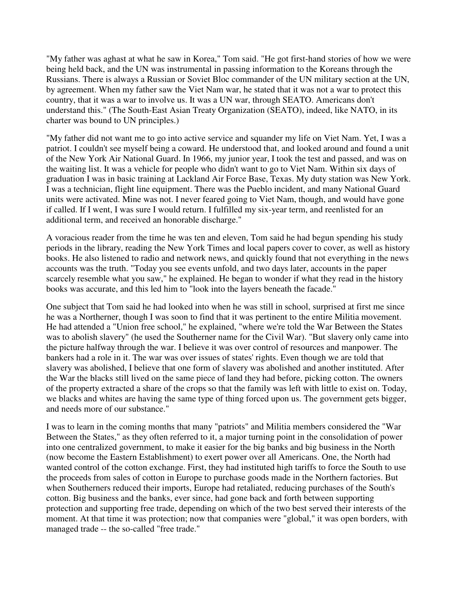"My father was aghast at what he saw in Korea," Tom said. "He got first-hand stories of how we were being held back, and the UN was instrumental in passing information to the Koreans through the Russians. There is always a Russian or Soviet Bloc commander of the UN military section at the UN, by agreement. When my father saw the Viet Nam war, he stated that it was not a war to protect this country, that it was a war to involve us. It was a UN war, through SEATO. Americans don't understand this." (The South-East Asian Treaty Organization (SEATO), indeed, like NATO, in its charter was bound to UN principles.)

"My father did not want me to go into active service and squander my life on Viet Nam. Yet, I was a patriot. I couldn't see myself being a coward. He understood that, and looked around and found a unit of the New York Air National Guard. In 1966, my junior year, I took the test and passed, and was on the waiting list. It was a vehicle for people who didn't want to go to Viet Nam. Within six days of graduation I was in basic training at Lackland Air Force Base, Texas. My duty station was New York. I was a technician, flight line equipment. There was the Pueblo incident, and many National Guard units were activated. Mine was not. I never feared going to Viet Nam, though, and would have gone if called. If I went, I was sure I would return. I fulfilled my six-year term, and reenlisted for an additional term, and received an honorable discharge."

A voracious reader from the time he was ten and eleven, Tom said he had begun spending his study periods in the library, reading the New York Times and local papers cover to cover, as well as history books. He also listened to radio and network news, and quickly found that not everything in the news accounts was the truth. "Today you see events unfold, and two days later, accounts in the paper scarcely resemble what you saw," he explained. He began to wonder if what they read in the history books was accurate, and this led him to "look into the layers beneath the facade."

One subject that Tom said he had looked into when he was still in school, surprised at first me since he was a Northerner, though I was soon to find that it was pertinent to the entire Militia movement. He had attended a "Union free school," he explained, "where we're told the War Between the States was to abolish slavery" (he used the Southerner name for the Civil War). "But slavery only came into the picture halfway through the war. I believe it was over control of resources and manpower. The bankers had a role in it. The war was over issues of states' rights. Even though we are told that slavery was abolished, I believe that one form of slavery was abolished and another instituted. After the War the blacks still lived on the same piece of land they had before, picking cotton. The owners of the property extracted a share of the crops so that the family was left with little to exist on. Today, we blacks and whites are having the same type of thing forced upon us. The government gets bigger, and needs more of our substance."

I was to learn in the coming months that many "patriots" and Militia members considered the "War Between the States," as they often referred to it, a major turning point in the consolidation of power into one centralized government, to make it easier for the big banks and big business in the North (now become the Eastern Establishment) to exert power over all Americans. One, the North had wanted control of the cotton exchange. First, they had instituted high tariffs to force the South to use the proceeds from sales of cotton in Europe to purchase goods made in the Northern factories. But when Southerners reduced their imports, Europe had retaliated, reducing purchases of the South's cotton. Big business and the banks, ever since, had gone back and forth between supporting protection and supporting free trade, depending on which of the two best served their interests of the moment. At that time it was protection; now that companies were "global," it was open borders, with managed trade -- the so-called "free trade."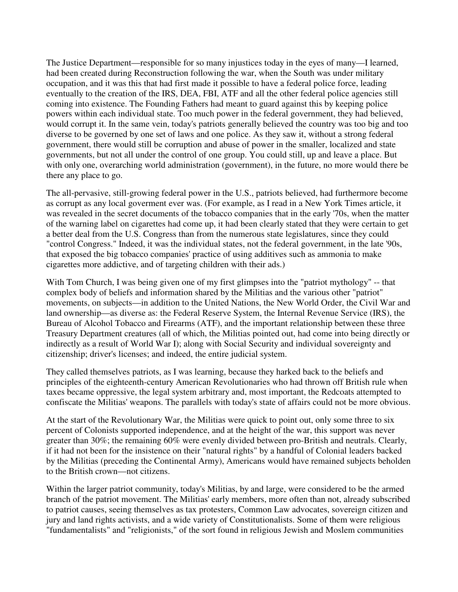The Justice Department—responsible for so many injustices today in the eyes of many—I learned, had been created during Reconstruction following the war, when the South was under military occupation, and it was this that had first made it possible to have a federal police force, leading eventually to the creation of the IRS, DEA, FBI, ATF and all the other federal police agencies still coming into existence. The Founding Fathers had meant to guard against this by keeping police powers within each individual state. Too much power in the federal government, they had believed, would corrupt it. In the same vein, today's patriots generally believed the country was too big and too diverse to be governed by one set of laws and one police. As they saw it, without a strong federal government, there would still be corruption and abuse of power in the smaller, localized and state governments, but not all under the control of one group. You could still, up and leave a place. But with only one, overarching world administration (government), in the future, no more would there be there any place to go.

The all-pervasive, still-growing federal power in the U.S., patriots believed, had furthermore become as corrupt as any local goverment ever was. (For example, as I read in a New York Times article, it was revealed in the secret documents of the tobacco companies that in the early '70s, when the matter of the warning label on cigarettes had come up, it had been clearly stated that they were certain to get a better deal from the U.S. Congress than from the numerous state legislatures, since they could "control Congress." Indeed, it was the individual states, not the federal government, in the late '90s, that exposed the big tobacco companies' practice of using additives such as ammonia to make cigarettes more addictive, and of targeting children with their ads.)

With Tom Church, I was being given one of my first glimpses into the "patriot mythology" -- that complex body of beliefs and information shared by the Militias and the various other "patriot" movements, on subjects—in addition to the United Nations, the New World Order, the Civil War and land ownership—as diverse as: the Federal Reserve System, the Internal Revenue Service (IRS), the Bureau of Alcohol Tobacco and Firearms (ATF), and the important relationship between these three Treasury Department creatures (all of which, the Militias pointed out, had come into being directly or indirectly as a result of World War I); along with Social Security and individual sovereignty and citizenship; driver's licenses; and indeed, the entire judicial system.

They called themselves patriots, as I was learning, because they harked back to the beliefs and principles of the eighteenth-century American Revolutionaries who had thrown off British rule when taxes became oppressive, the legal system arbitrary and, most important, the Redcoats attempted to confiscate the Militias' weapons. The parallels with today's state of affairs could not be more obvious.

At the start of the Revolutionary War, the Militias were quick to point out, only some three to six percent of Colonists supported independence, and at the height of the war, this support was never greater than 30%; the remaining 60% were evenly divided between pro-British and neutrals. Clearly, if it had not been for the insistence on their "natural rights" by a handful of Colonial leaders backed by the Militias (preceding the Continental Army), Americans would have remained subjects beholden to the British crown—not citizens.

Within the larger patriot community, today's Militias, by and large, were considered to be the armed branch of the patriot movement. The Militias' early members, more often than not, already subscribed to patriot causes, seeing themselves as tax protesters, Common Law advocates, sovereign citizen and jury and land rights activists, and a wide variety of Constitutionalists. Some of them were religious "fundamentalists" and "religionists," of the sort found in religious Jewish and Moslem communities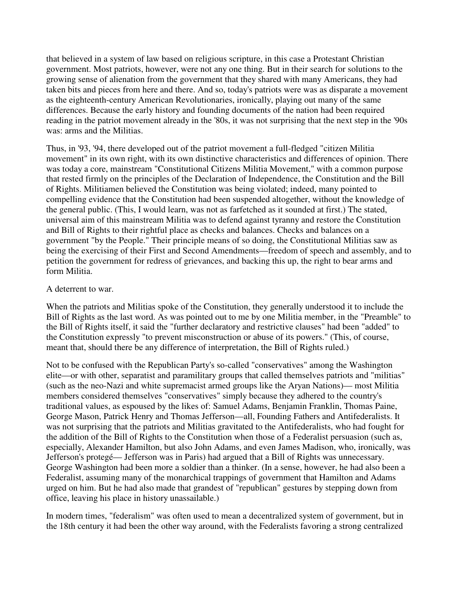that believed in a system of law based on religious scripture, in this case a Protestant Christian government. Most patriots, however, were not any one thing. But in their search for solutions to the growing sense of alienation from the government that they shared with many Americans, they had taken bits and pieces from here and there. And so, today's patriots were was as disparate a movement as the eighteenth-century American Revolutionaries, ironically, playing out many of the same differences. Because the early history and founding documents of the nation had been required reading in the patriot movement already in the '80s, it was not surprising that the next step in the '90s was: arms and the Militias.

Thus, in '93, '94, there developed out of the patriot movement a full-fledged "citizen Militia movement" in its own right, with its own distinctive characteristics and differences of opinion. There was today a core, mainstream "Constitutional Citizens Militia Movement," with a common purpose that rested firmly on the principles of the Declaration of Independence, the Constitution and the Bill of Rights. Militiamen believed the Constitution was being violated; indeed, many pointed to compelling evidence that the Constitution had been suspended altogether, without the knowledge of the general public. (This, I would learn, was not as farfetched as it sounded at first.) The stated, universal aim of this mainstream Militia was to defend against tyranny and restore the Constitution and Bill of Rights to their rightful place as checks and balances. Checks and balances on a government "by the People." Their principle means of so doing, the Constitutional Militias saw as being the exercising of their First and Second Amendments—freedom of speech and assembly, and to petition the government for redress of grievances, and backing this up, the right to bear arms and form Militia.

#### A deterrent to war.

When the patriots and Militias spoke of the Constitution, they generally understood it to include the Bill of Rights as the last word. As was pointed out to me by one Militia member, in the "Preamble" to the Bill of Rights itself, it said the "further declaratory and restrictive clauses" had been "added" to the Constitution expressly "to prevent misconstruction or abuse of its powers." (This, of course, meant that, should there be any difference of interpretation, the Bill of Rights ruled.)

Not to be confused with the Republican Party's so-called "conservatives" among the Washington elite—or with other, separatist and paramilitary groups that called themselves patriots and "militias" (such as the neo-Nazi and white supremacist armed groups like the Aryan Nations)— most Militia members considered themselves "conservatives" simply because they adhered to the country's traditional values, as espoused by the likes of: Samuel Adams, Benjamin Franklin, Thomas Paine, George Mason, Patrick Henry and Thomas Jefferson—all, Founding Fathers and Antifederalists. It was not surprising that the patriots and Militias gravitated to the Antifederalists, who had fought for the addition of the Bill of Rights to the Constitution when those of a Federalist persuasion (such as, especially, Alexander Hamilton, but also John Adams, and even James Madison, who, ironically, was Jefferson's protegé— Jefferson was in Paris) had argued that a Bill of Rights was unnecessary. George Washington had been more a soldier than a thinker. (In a sense, however, he had also been a Federalist, assuming many of the monarchical trappings of government that Hamilton and Adams urged on him. But he had also made that grandest of "republican" gestures by stepping down from office, leaving his place in history unassailable.)

In modern times, "federalism" was often used to mean a decentralized system of government, but in the 18th century it had been the other way around, with the Federalists favoring a strong centralized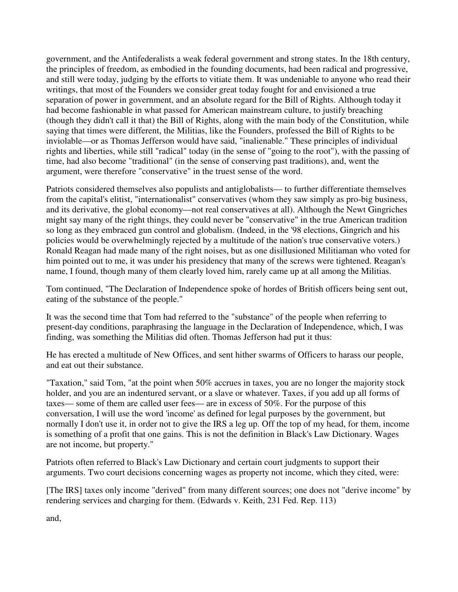government, and the Antifederalists a weak federal government and strong states. In the 18th century, the principles of freedom, as embodied in the founding documents, had been radical and progressive, and still were today, judging by the efforts to vitiate them. It was undeniable to anyone who read their writings, that most of the Founders we consider great today fought for and envisioned a true separation of power in government, and an absolute regard for the Bill of Rights. Although today it had become fashionable in what passed for American mainstream culture, to justify breaching (though they didn't call it that) the Bill of Rights, along with the main body of the Constitution, while saying that times were different, the Militias, like the Founders, professed the Bill of Rights to be inviolable—or as Thomas Jefferson would have said, "inalienable." These principles of individual rights and liberties, while still "radical" today (in the sense of "going to the root"), with the passing of time, had also become "traditional" (in the sense of conserving past traditions), and, went the argument, were therefore "conservative" in the truest sense of the word.

Patriots considered themselves also populists and antiglobalists— to further differentiate themselves from the capital's elitist, "internationalist" conservatives (whom they saw simply as pro-big business, and its derivative, the global economy—not real conservatives at all). Although the Newt Gingriches might say many of the right things, they could never be "conservative" in the true American tradition so long as they embraced gun control and globalism. (Indeed, in the '98 elections, Gingrich and his policies would be overwhelmingly rejected by a multitude of the nation's true conservative voters.) Ronald Reagan had made many of the right noises, but as one disillusioned Militiaman who voted for him pointed out to me, it was under his presidency that many of the screws were tightened. Reagan's name, I found, though many of them clearly loved him, rarely came up at all among the Militias.

Tom continued, "The Declaration of Independence spoke of hordes of British officers being sent out, eating of the substance of the people."

It was the second time that Tom had referred to the "substance" of the people when referring to present-day conditions, paraphrasing the language in the Declaration of Independence, which, I was finding, was something the Militias did often. Thomas Jefferson had put it thus:

He has erected a multitude of New Offices, and sent hither swarms of Officers to harass our people, and eat out their substance.

"Taxation," said Tom, "at the point when 50% accrues in taxes, you are no longer the majority stock holder, and you are an indentured servant, or a slave or whatever. Taxes, if you add up all forms of taxes— some of them are called user fees— are in excess of 50%. For the purpose of this conversation, I will use the word 'income' as defined for legal purposes by the government, but normally I don't use it, in order not to give the IRS a leg up. Off the top of my head, for them, income is something of a profit that one gains. This is not the definition in Black's Law Dictionary. Wages are not income, but property."

Patriots often referred to Black's Law Dictionary and certain court judgments to support their arguments. Two court decisions concerning wages as property not income, which they cited, were:

[The IRS] taxes only income "derived" from many different sources; one does not "derive income" by rendering services and charging for them. (Edwards v. Keith, 231 Fed. Rep. 113)

and,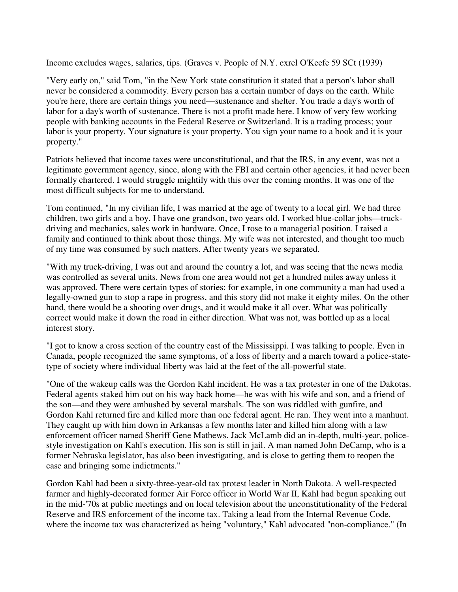Income excludes wages, salaries, tips. (Graves v. People of N.Y. exrel O'Keefe 59 SCt (1939)

"Very early on," said Tom, "in the New York state constitution it stated that a person's labor shall never be considered a commodity. Every person has a certain number of days on the earth. While you're here, there are certain things you need—sustenance and shelter. You trade a day's worth of labor for a day's worth of sustenance. There is not a profit made here. I know of very few working people with banking accounts in the Federal Reserve or Switzerland. It is a trading process; your labor is your property. Your signature is your property. You sign your name to a book and it is your property."

Patriots believed that income taxes were unconstitutional, and that the IRS, in any event, was not a legitimate government agency, since, along with the FBI and certain other agencies, it had never been formally chartered. I would struggle mightily with this over the coming months. It was one of the most difficult subjects for me to understand.

Tom continued, "In my civilian life, I was married at the age of twenty to a local girl. We had three children, two girls and a boy. I have one grandson, two years old. I worked blue-collar jobs—truckdriving and mechanics, sales work in hardware. Once, I rose to a managerial position. I raised a family and continued to think about those things. My wife was not interested, and thought too much of my time was consumed by such matters. After twenty years we separated.

"With my truck-driving, I was out and around the country a lot, and was seeing that the news media was controlled as several units. News from one area would not get a hundred miles away unless it was approved. There were certain types of stories: for example, in one community a man had used a legally-owned gun to stop a rape in progress, and this story did not make it eighty miles. On the other hand, there would be a shooting over drugs, and it would make it all over. What was politically correct would make it down the road in either direction. What was not, was bottled up as a local interest story.

"I got to know a cross section of the country east of the Mississippi. I was talking to people. Even in Canada, people recognized the same symptoms, of a loss of liberty and a march toward a police-statetype of society where individual liberty was laid at the feet of the all-powerful state.

"One of the wakeup calls was the Gordon Kahl incident. He was a tax protester in one of the Dakotas. Federal agents staked him out on his way back home—he was with his wife and son, and a friend of the son—and they were ambushed by several marshals. The son was riddled with gunfire, and Gordon Kahl returned fire and killed more than one federal agent. He ran. They went into a manhunt. They caught up with him down in Arkansas a few months later and killed him along with a law enforcement officer named Sheriff Gene Mathews. Jack McLamb did an in-depth, multi-year, policestyle investigation on Kahl's execution. His son is still in jail. A man named John DeCamp, who is a former Nebraska legislator, has also been investigating, and is close to getting them to reopen the case and bringing some indictments."

Gordon Kahl had been a sixty-three-year-old tax protest leader in North Dakota. A well-respected farmer and highly-decorated former Air Force officer in World War II, Kahl had begun speaking out in the mid-'70s at public meetings and on local television about the unconstitutionality of the Federal Reserve and IRS enforcement of the income tax. Taking a lead from the Internal Revenue Code, where the income tax was characterized as being "voluntary," Kahl advocated "non-compliance." (In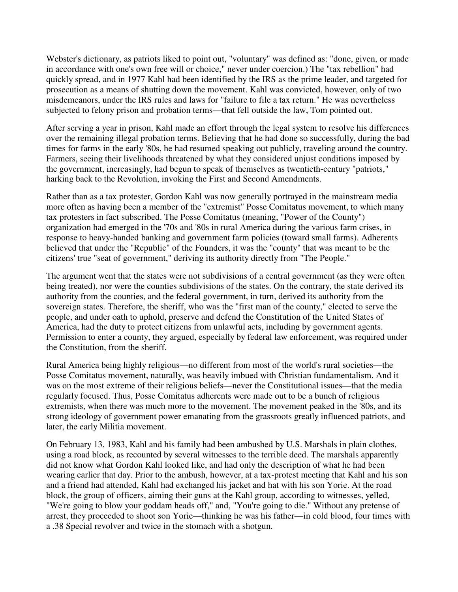Webster's dictionary, as patriots liked to point out, "voluntary" was defined as: "done, given, or made in accordance with one's own free will or choice," never under coercion.) The "tax rebellion" had quickly spread, and in 1977 Kahl had been identified by the IRS as the prime leader, and targeted for prosecution as a means of shutting down the movement. Kahl was convicted, however, only of two misdemeanors, under the IRS rules and laws for "failure to file a tax return." He was nevertheless subjected to felony prison and probation terms—that fell outside the law, Tom pointed out.

After serving a year in prison, Kahl made an effort through the legal system to resolve his differences over the remaining illegal probation terms. Believing that he had done so successfully, during the bad times for farms in the early '80s, he had resumed speaking out publicly, traveling around the country. Farmers, seeing their livelihoods threatened by what they considered unjust conditions imposed by the government, increasingly, had begun to speak of themselves as twentieth-century "patriots," harking back to the Revolution, invoking the First and Second Amendments.

Rather than as a tax protester, Gordon Kahl was now generally portrayed in the mainstream media more often as having been a member of the "extremist" Posse Comitatus movement, to which many tax protesters in fact subscribed. The Posse Comitatus (meaning, "Power of the County") organization had emerged in the '70s and '80s in rural America during the various farm crises, in response to heavy-handed banking and government farm policies (toward small farms). Adherents believed that under the "Republic" of the Founders, it was the "county" that was meant to be the citizens' true "seat of government," deriving its authority directly from "The People."

The argument went that the states were not subdivisions of a central government (as they were often being treated), nor were the counties subdivisions of the states. On the contrary, the state derived its authority from the counties, and the federal government, in turn, derived its authority from the sovereign states. Therefore, the sheriff, who was the "first man of the county," elected to serve the people, and under oath to uphold, preserve and defend the Constitution of the United States of America, had the duty to protect citizens from unlawful acts, including by government agents. Permission to enter a county, they argued, especially by federal law enforcement, was required under the Constitution, from the sheriff.

Rural America being highly religious—no different from most of the world's rural societies—the Posse Comitatus movement, naturally, was heavily imbued with Christian fundamentalism. And it was on the most extreme of their religious beliefs—never the Constitutional issues—that the media regularly focused. Thus, Posse Comitatus adherents were made out to be a bunch of religious extremists, when there was much more to the movement. The movement peaked in the '80s, and its strong ideology of government power emanating from the grassroots greatly influenced patriots, and later, the early Militia movement.

On February 13, 1983, Kahl and his family had been ambushed by U.S. Marshals in plain clothes, using a road block, as recounted by several witnesses to the terrible deed. The marshals apparently did not know what Gordon Kahl looked like, and had only the description of what he had been wearing earlier that day. Prior to the ambush, however, at a tax-protest meeting that Kahl and his son and a friend had attended, Kahl had exchanged his jacket and hat with his son Yorie. At the road block, the group of officers, aiming their guns at the Kahl group, according to witnesses, yelled, "We're going to blow your goddam heads off," and, "You're going to die." Without any pretense of arrest, they proceeded to shoot son Yorie—thinking he was his father—in cold blood, four times with a .38 Special revolver and twice in the stomach with a shotgun.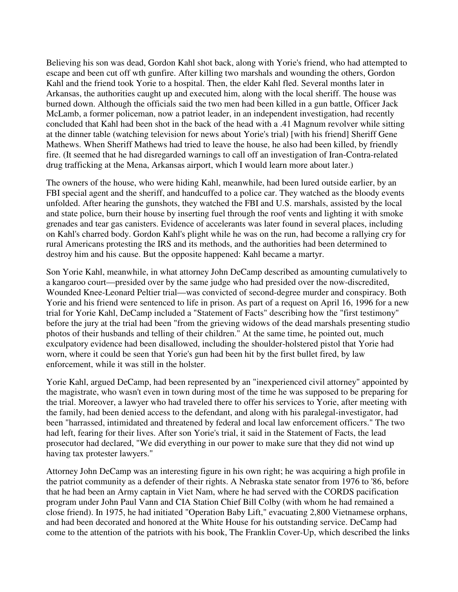Believing his son was dead, Gordon Kahl shot back, along with Yorie's friend, who had attempted to escape and been cut off wth gunfire. After killing two marshals and wounding the others, Gordon Kahl and the friend took Yorie to a hospital. Then, the elder Kahl fled. Several months later in Arkansas, the authorities caught up and executed him, along with the local sheriff. The house was burned down. Although the officials said the two men had been killed in a gun battle, Officer Jack McLamb, a former policeman, now a patriot leader, in an independent investigation, had recently concluded that Kahl had been shot in the back of the head with a .41 Magnum revolver while sitting at the dinner table (watching television for news about Yorie's trial) [with his friend] Sheriff Gene Mathews. When Sheriff Mathews had tried to leave the house, he also had been killed, by friendly fire. (It seemed that he had disregarded warnings to call off an investigation of Iran-Contra-related drug trafficking at the Mena, Arkansas airport, which I would learn more about later.)

The owners of the house, who were hiding Kahl, meanwhile, had been lured outside earlier, by an FBI special agent and the sheriff, and handcuffed to a police car. They watched as the bloody events unfolded. After hearing the gunshots, they watched the FBI and U.S. marshals, assisted by the local and state police, burn their house by inserting fuel through the roof vents and lighting it with smoke grenades and tear gas canisters. Evidence of accelerants was later found in several places, including on Kahl's charred body. Gordon Kahl's plight while he was on the run, had become a rallying cry for rural Americans protesting the IRS and its methods, and the authorities had been determined to destroy him and his cause. But the opposite happened: Kahl became a martyr.

Son Yorie Kahl, meanwhile, in what attorney John DeCamp described as amounting cumulatively to a kangaroo court—presided over by the same judge who had presided over the now-discredited, Wounded Knee-Leonard Peltier trial—was convicted of second-degree murder and conspiracy. Both Yorie and his friend were sentenced to life in prison. As part of a request on April 16, 1996 for a new trial for Yorie Kahl, DeCamp included a "Statement of Facts" describing how the "first testimony" before the jury at the trial had been "from the grieving widows of the dead marshals presenting studio photos of their husbands and telling of their children." At the same time, he pointed out, much exculpatory evidence had been disallowed, including the shoulder-holstered pistol that Yorie had worn, where it could be seen that Yorie's gun had been hit by the first bullet fired, by law enforcement, while it was still in the holster.

Yorie Kahl, argued DeCamp, had been represented by an "inexperienced civil attorney" appointed by the magistrate, who wasn't even in town during most of the time he was supposed to be preparing for the trial. Moreover, a lawyer who had traveled there to offer his services to Yorie, after meeting with the family, had been denied access to the defendant, and along with his paralegal-investigator, had been "harrassed, intimidated and threatened by federal and local law enforcement officers." The two had left, fearing for their lives. After son Yorie's trial, it said in the Statement of Facts, the lead prosecutor had declared, "We did everything in our power to make sure that they did not wind up having tax protester lawyers."

Attorney John DeCamp was an interesting figure in his own right; he was acquiring a high profile in the patriot community as a defender of their rights. A Nebraska state senator from 1976 to '86, before that he had been an Army captain in Viet Nam, where he had served with the CORDS pacification program under John Paul Vann and CIA Station Chief Bill Colby (with whom he had remained a close friend). In 1975, he had initiated "Operation Baby Lift," evacuating 2,800 Vietnamese orphans, and had been decorated and honored at the White House for his outstanding service. DeCamp had come to the attention of the patriots with his book, The Franklin Cover-Up, which described the links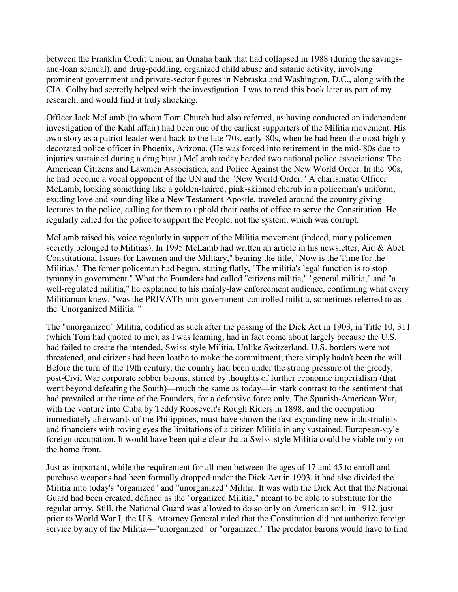between the Franklin Credit Union, an Omaha bank that had collapsed in 1988 (during the savingsand-loan scandal), and drug-peddling, organized child abuse and satanic activity, involving prominent government and private-sector figures in Nebraska and Washington, D.C., along with the CIA. Colby had secretly helped with the investigation. I was to read this book later as part of my research, and would find it truly shocking.

Officer Jack McLamb (to whom Tom Church had also referred, as having conducted an independent investigation of the Kahl affair) had been one of the earliest supporters of the Militia movement. His own story as a patriot leader went back to the late '70s, early '80s, when he had been the most-highlydecorated police officer in Phoenix, Arizona. (He was forced into retirement in the mid-'80s due to injuries sustained during a drug bust.) McLamb today headed two national police associations: The American Citizens and Lawmen Association, and Police Against the New World Order. In the '90s, he had become a vocal opponent of the UN and the "New World Order." A charismatic Officer McLamb, looking something like a golden-haired, pink-skinned cherub in a policeman's uniform, exuding love and sounding like a New Testament Apostle, traveled around the country giving lectures to the police, calling for them to uphold their oaths of office to serve the Constitution. He regularly called for the police to support the People, not the system, which was corrupt.

McLamb raised his voice regularly in support of the Militia movement (indeed, many policemen secretly belonged to Militias). In 1995 McLamb had written an article in his newsletter, Aid & Abet: Constitutional Issues for Lawmen and the Military," bearing the title, "Now is the Time for the Militias." The fomer policeman had begun, stating flatly, "The militia's legal function is to stop tyranny in government." What the Founders had called "citizens militia," "general militia," and "a well-regulated militia," he explained to his mainly-law enforcement audience, confirming what every Militiaman knew, "was the PRIVATE non-government-controlled militia, sometimes referred to as the 'Unorganized Militia.'"

The "unorganized" Militia, codified as such after the passing of the Dick Act in 1903, in Title 10, 311 (which Tom had quoted to me), as I was learning, had in fact come about largely because the U.S. had failed to create the intended, Swiss-style Militia. Unlike Switzerland, U.S. borders were not threatened, and citizens had been loathe to make the commitment; there simply hadn't been the will. Before the turn of the 19th century, the country had been under the strong pressure of the greedy, post-Civil War corporate robber barons, stirred by thoughts of further economic imperialism (that went beyond defeating the South)—much the same as today—in stark contrast to the sentiment that had prevailed at the time of the Founders, for a defensive force only. The Spanish-American War, with the venture into Cuba by Teddy Roosevelt's Rough Riders in 1898, and the occupation immediately afterwards of the Philippines, must have shown the fast-expanding new industrialists and financiers with roving eyes the limitations of a citizen Militia in any sustained, European-style foreign occupation. It would have been quite clear that a Swiss-style Militia could be viable only on the home front.

Just as important, while the requirement for all men between the ages of 17 and 45 to enroll and purchase weapons had been formally dropped under the Dick Act in 1903, it had also divided the Militia into today's "organized" and "unorganized" Militia. It was with the Dick Act that the National Guard had been created, defined as the "organized Militia," meant to be able to substitute for the regular army. Still, the National Guard was allowed to do so only on American soil; in 1912, just prior to World War I, the U.S. Attorney General ruled that the Constitution did not authorize foreign service by any of the Militia—"unorganized" or "organized." The predator barons would have to find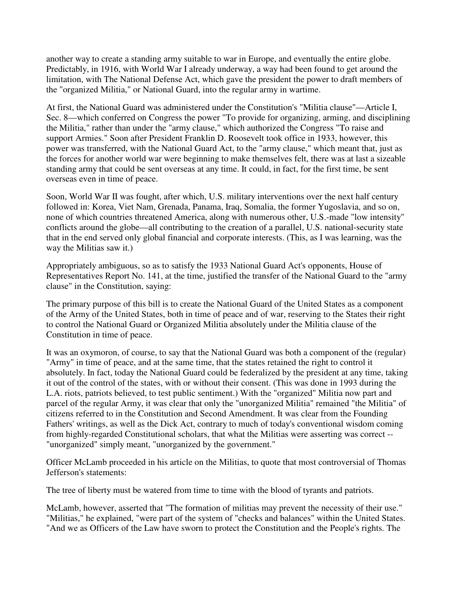another way to create a standing army suitable to war in Europe, and eventually the entire globe. Predictably, in 1916, with World War I already underway, a way had been found to get around the limitation, with The National Defense Act, which gave the president the power to draft members of the "organized Militia," or National Guard, into the regular army in wartime.

At first, the National Guard was administered under the Constitution's "Militia clause"—Article I, Sec. 8—which conferred on Congress the power "To provide for organizing, arming, and disciplining the Militia," rather than under the "army clause," which authorized the Congress "To raise and support Armies." Soon after President Franklin D. Roosevelt took office in 1933, however, this power was transferred, with the National Guard Act, to the "army clause," which meant that, just as the forces for another world war were beginning to make themselves felt, there was at last a sizeable standing army that could be sent overseas at any time. It could, in fact, for the first time, be sent overseas even in time of peace.

Soon, World War II was fought, after which, U.S. military interventions over the next half century followed in: Korea, Viet Nam, Grenada, Panama, Iraq, Somalia, the former Yugoslavia, and so on, none of which countries threatened America, along with numerous other, U.S.-made "low intensity" conflicts around the globe—all contributing to the creation of a parallel, U.S. national-security state that in the end served only global financial and corporate interests. (This, as I was learning, was the way the Militias saw it.)

Appropriately ambiguous, so as to satisfy the 1933 National Guard Act's opponents, House of Representatives Report No. 141, at the time, justified the transfer of the National Guard to the "army clause" in the Constitution, saying:

The primary purpose of this bill is to create the National Guard of the United States as a component of the Army of the United States, both in time of peace and of war, reserving to the States their right to control the National Guard or Organized Militia absolutely under the Militia clause of the Constitution in time of peace.

It was an oxymoron, of course, to say that the National Guard was both a component of the (regular) "Army" in time of peace, and at the same time, that the states retained the right to control it absolutely. In fact, today the National Guard could be federalized by the president at any time, taking it out of the control of the states, with or without their consent. (This was done in 1993 during the L.A. riots, patriots believed, to test public sentiment.) With the "organized" Militia now part and parcel of the regular Army, it was clear that only the "unorganized Militia" remained "the Militia" of citizens referred to in the Constitution and Second Amendment. It was clear from the Founding Fathers' writings, as well as the Dick Act, contrary to much of today's conventional wisdom coming from highly-regarded Constitutional scholars, that what the Militias were asserting was correct -- "unorganized" simply meant, "unorganized by the government."

Officer McLamb proceeded in his article on the Militias, to quote that most controversial of Thomas Jefferson's statements:

The tree of liberty must be watered from time to time with the blood of tyrants and patriots.

McLamb, however, asserted that "The formation of militias may prevent the necessity of their use." "Militias," he explained, "were part of the system of "checks and balances" within the United States. "And we as Officers of the Law have sworn to protect the Constitution and the People's rights. The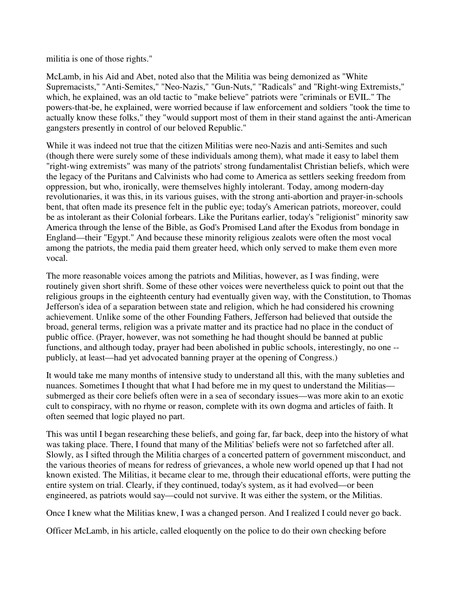militia is one of those rights."

McLamb, in his Aid and Abet, noted also that the Militia was being demonized as "White Supremacists," "Anti-Semites," "Neo-Nazis," "Gun-Nuts," "Radicals" and "Right-wing Extremists," which, he explained, was an old tactic to "make believe" patriots were "criminals or EVIL." The powers-that-be, he explained, were worried because if law enforcement and soldiers "took the time to actually know these folks," they "would support most of them in their stand against the anti-American gangsters presently in control of our beloved Republic."

While it was indeed not true that the citizen Militias were neo-Nazis and anti-Semites and such (though there were surely some of these individuals among them), what made it easy to label them "right-wing extremists" was many of the patriots' strong fundamentalist Christian beliefs, which were the legacy of the Puritans and Calvinists who had come to America as settlers seeking freedom from oppression, but who, ironically, were themselves highly intolerant. Today, among modern-day revolutionaries, it was this, in its various guises, with the strong anti-abortion and prayer-in-schools bent, that often made its presence felt in the public eye; today's American patriots, moreover, could be as intolerant as their Colonial forbears. Like the Puritans earlier, today's "religionist" minority saw America through the lense of the Bible, as God's Promised Land after the Exodus from bondage in England—their "Egypt." And because these minority religious zealots were often the most vocal among the patriots, the media paid them greater heed, which only served to make them even more vocal.

The more reasonable voices among the patriots and Militias, however, as I was finding, were routinely given short shrift. Some of these other voices were nevertheless quick to point out that the religious groups in the eighteenth century had eventually given way, with the Constitution, to Thomas Jefferson's idea of a separation between state and religion, which he had considered his crowning achievement. Unlike some of the other Founding Fathers, Jefferson had believed that outside the broad, general terms, religion was a private matter and its practice had no place in the conduct of public office. (Prayer, however, was not something he had thought should be banned at public functions, and although today, prayer had been abolished in public schools, interestingly, no one - publicly, at least—had yet advocated banning prayer at the opening of Congress.)

It would take me many months of intensive study to understand all this, with the many subleties and nuances. Sometimes I thought that what I had before me in my quest to understand the Militias submerged as their core beliefs often were in a sea of secondary issues—was more akin to an exotic cult to conspiracy, with no rhyme or reason, complete with its own dogma and articles of faith. It often seemed that logic played no part.

This was until I began researching these beliefs, and going far, far back, deep into the history of what was taking place. There, I found that many of the Militias' beliefs were not so farfetched after all. Slowly, as I sifted through the Militia charges of a concerted pattern of government misconduct, and the various theories of means for redress of grievances, a whole new world opened up that I had not known existed. The Militias, it became clear to me, through their educational efforts, were putting the entire system on trial. Clearly, if they continued, today's system, as it had evolved—or been engineered, as patriots would say—could not survive. It was either the system, or the Militias.

Once I knew what the Militias knew, I was a changed person. And I realized I could never go back.

Officer McLamb, in his article, called eloquently on the police to do their own checking before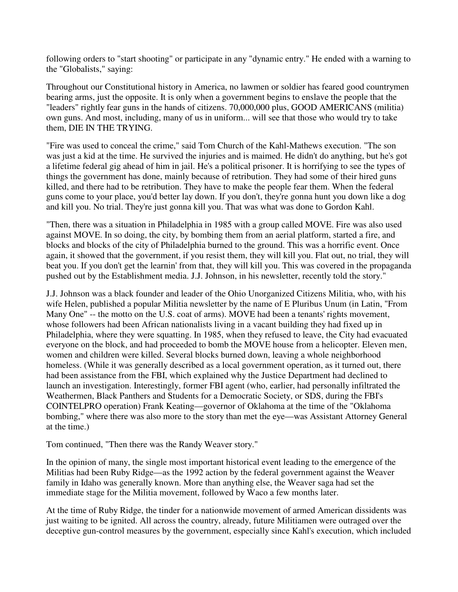following orders to "start shooting" or participate in any "dynamic entry." He ended with a warning to the "Globalists," saying:

Throughout our Constitutional history in America, no lawmen or soldier has feared good countrymen bearing arms, just the opposite. It is only when a government begins to enslave the people that the "leaders" rightly fear guns in the hands of citizens. 70,000,000 plus, GOOD AMERICANS (militia) own guns. And most, including, many of us in uniform... will see that those who would try to take them, DIE IN THE TRYING.

"Fire was used to conceal the crime," said Tom Church of the Kahl-Mathews execution. "The son was just a kid at the time. He survived the injuries and is maimed. He didn't do anything, but he's got a lifetime federal gig ahead of him in jail. He's a political prisoner. It is horrifying to see the types of things the government has done, mainly because of retribution. They had some of their hired guns killed, and there had to be retribution. They have to make the people fear them. When the federal guns come to your place, you'd better lay down. If you don't, they're gonna hunt you down like a dog and kill you. No trial. They're just gonna kill you. That was what was done to Gordon Kahl.

"Then, there was a situation in Philadelphia in 1985 with a group called MOVE. Fire was also used against MOVE. In so doing, the city, by bombing them from an aerial platform, started a fire, and blocks and blocks of the city of Philadelphia burned to the ground. This was a horrific event. Once again, it showed that the government, if you resist them, they will kill you. Flat out, no trial, they will beat you. If you don't get the learnin' from that, they will kill you. This was covered in the propaganda pushed out by the Establishment media. J.J. Johnson, in his newsletter, recently told the story."

J.J. Johnson was a black founder and leader of the Ohio Unorganized Citizens Militia, who, with his wife Helen, published a popular Militia newsletter by the name of E Pluribus Unum (in Latin, "From Many One" -- the motto on the U.S. coat of arms). MOVE had been a tenants' rights movement, whose followers had been African nationalists living in a vacant building they had fixed up in Philadelphia, where they were squatting. In 1985, when they refused to leave, the City had evacuated everyone on the block, and had proceeded to bomb the MOVE house from a helicopter. Eleven men, women and children were killed. Several blocks burned down, leaving a whole neighborhood homeless. (While it was generally described as a local government operation, as it turned out, there had been assistance from the FBI, which explained why the Justice Department had declined to launch an investigation. Interestingly, former FBI agent (who, earlier, had personally infiltrated the Weathermen, Black Panthers and Students for a Democratic Society, or SDS, during the FBI's COINTELPRO operation) Frank Keating—governor of Oklahoma at the time of the "Oklahoma bombing," where there was also more to the story than met the eye—was Assistant Attorney General at the time.)

Tom continued, "Then there was the Randy Weaver story."

In the opinion of many, the single most important historical event leading to the emergence of the Militias had been Ruby Ridge—as the 1992 action by the federal government against the Weaver family in Idaho was generally known. More than anything else, the Weaver saga had set the immediate stage for the Militia movement, followed by Waco a few months later.

At the time of Ruby Ridge, the tinder for a nationwide movement of armed American dissidents was just waiting to be ignited. All across the country, already, future Militiamen were outraged over the deceptive gun-control measures by the government, especially since Kahl's execution, which included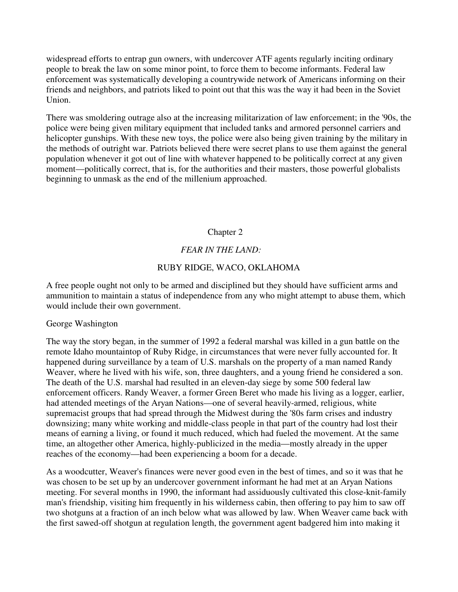widespread efforts to entrap gun owners, with undercover ATF agents regularly inciting ordinary people to break the law on some minor point, to force them to become informants. Federal law enforcement was systematically developing a countrywide network of Americans informing on their friends and neighbors, and patriots liked to point out that this was the way it had been in the Soviet Union.

There was smoldering outrage also at the increasing militarization of law enforcement; in the '90s, the police were being given military equipment that included tanks and armored personnel carriers and helicopter gunships. With these new toys, the police were also being given training by the military in the methods of outright war. Patriots believed there were secret plans to use them against the general population whenever it got out of line with whatever happened to be politically correct at any given moment—politically correct, that is, for the authorities and their masters, those powerful globalists beginning to unmask as the end of the millenium approached.

# Chapter 2

# *FEAR IN THE LAND:*

#### RUBY RIDGE, WACO, OKLAHOMA

A free people ought not only to be armed and disciplined but they should have sufficient arms and ammunition to maintain a status of independence from any who might attempt to abuse them, which would include their own government.

#### George Washington

The way the story began, in the summer of 1992 a federal marshal was killed in a gun battle on the remote Idaho mountaintop of Ruby Ridge, in circumstances that were never fully accounted for. It happened during surveillance by a team of U.S. marshals on the property of a man named Randy Weaver, where he lived with his wife, son, three daughters, and a young friend he considered a son. The death of the U.S. marshal had resulted in an eleven-day siege by some 500 federal law enforcement officers. Randy Weaver, a former Green Beret who made his living as a logger, earlier, had attended meetings of the Aryan Nations—one of several heavily-armed, religious, white supremacist groups that had spread through the Midwest during the '80s farm crises and industry downsizing; many white working and middle-class people in that part of the country had lost their means of earning a living, or found it much reduced, which had fueled the movement. At the same time, an altogether other America, highly-publicized in the media—mostly already in the upper reaches of the economy—had been experiencing a boom for a decade.

As a woodcutter, Weaver's finances were never good even in the best of times, and so it was that he was chosen to be set up by an undercover government informant he had met at an Aryan Nations meeting. For several months in 1990, the informant had assiduously cultivated this close-knit-family man's friendship, visiting him frequently in his wilderness cabin, then offering to pay him to saw off two shotguns at a fraction of an inch below what was allowed by law. When Weaver came back with the first sawed-off shotgun at regulation length, the government agent badgered him into making it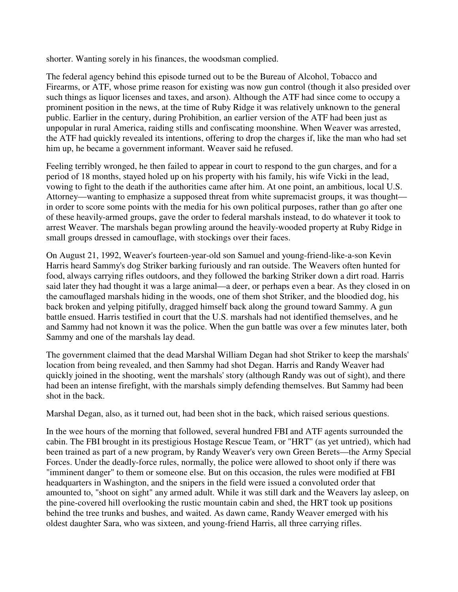shorter. Wanting sorely in his finances, the woodsman complied.

The federal agency behind this episode turned out to be the Bureau of Alcohol, Tobacco and Firearms, or ATF, whose prime reason for existing was now gun control (though it also presided over such things as liquor licenses and taxes, and arson). Although the ATF had since come to occupy a prominent position in the news, at the time of Ruby Ridge it was relatively unknown to the general public. Earlier in the century, during Prohibition, an earlier version of the ATF had been just as unpopular in rural America, raiding stills and confiscating moonshine. When Weaver was arrested, the ATF had quickly revealed its intentions, offering to drop the charges if, like the man who had set him up, he became a government informant. Weaver said he refused.

Feeling terribly wronged, he then failed to appear in court to respond to the gun charges, and for a period of 18 months, stayed holed up on his property with his family, his wife Vicki in the lead, vowing to fight to the death if the authorities came after him. At one point, an ambitious, local U.S. Attorney—wanting to emphasize a supposed threat from white supremacist groups, it was thought in order to score some points with the media for his own political purposes, rather than go after one of these heavily-armed groups, gave the order to federal marshals instead, to do whatever it took to arrest Weaver. The marshals began prowling around the heavily-wooded property at Ruby Ridge in small groups dressed in camouflage, with stockings over their faces.

On August 21, 1992, Weaver's fourteen-year-old son Samuel and young-friend-like-a-son Kevin Harris heard Sammy's dog Striker barking furiously and ran outside. The Weavers often hunted for food, always carrying rifles outdoors, and they followed the barking Striker down a dirt road. Harris said later they had thought it was a large animal—a deer, or perhaps even a bear. As they closed in on the camouflaged marshals hiding in the woods, one of them shot Striker, and the bloodied dog, his back broken and yelping pitifully, dragged himself back along the ground toward Sammy. A gun battle ensued. Harris testified in court that the U.S. marshals had not identified themselves, and he and Sammy had not known it was the police. When the gun battle was over a few minutes later, both Sammy and one of the marshals lay dead.

The government claimed that the dead Marshal William Degan had shot Striker to keep the marshals' location from being revealed, and then Sammy had shot Degan. Harris and Randy Weaver had quickly joined in the shooting, went the marshals' story (although Randy was out of sight), and there had been an intense firefight, with the marshals simply defending themselves. But Sammy had been shot in the back.

Marshal Degan, also, as it turned out, had been shot in the back, which raised serious questions.

In the wee hours of the morning that followed, several hundred FBI and ATF agents surrounded the cabin. The FBI brought in its prestigious Hostage Rescue Team, or "HRT" (as yet untried), which had been trained as part of a new program, by Randy Weaver's very own Green Berets—the Army Special Forces. Under the deadly-force rules, normally, the police were allowed to shoot only if there was "imminent danger" to them or someone else. But on this occasion, the rules were modified at FBI headquarters in Washington, and the snipers in the field were issued a convoluted order that amounted to, "shoot on sight" any armed adult. While it was still dark and the Weavers lay asleep, on the pine-covered hill overlooking the rustic mountain cabin and shed, the HRT took up positions behind the tree trunks and bushes, and waited. As dawn came, Randy Weaver emerged with his oldest daughter Sara, who was sixteen, and young-friend Harris, all three carrying rifles.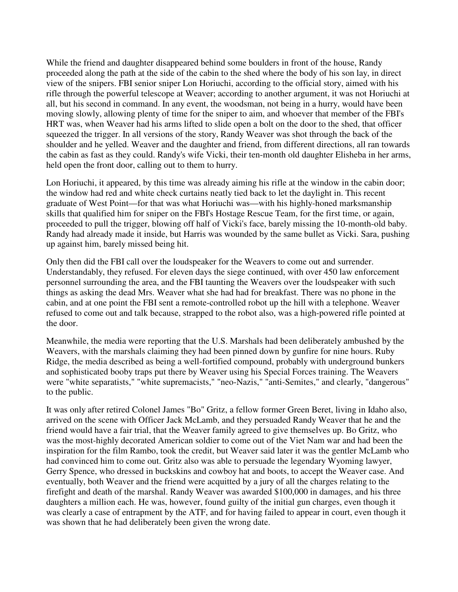While the friend and daughter disappeared behind some boulders in front of the house, Randy proceeded along the path at the side of the cabin to the shed where the body of his son lay, in direct view of the snipers. FBI senior sniper Lon Horiuchi, according to the official story, aimed with his rifle through the powerful telescope at Weaver; according to another argument, it was not Horiuchi at all, but his second in command. In any event, the woodsman, not being in a hurry, would have been moving slowly, allowing plenty of time for the sniper to aim, and whoever that member of the FBI's HRT was, when Weaver had his arms lifted to slide open a bolt on the door to the shed, that officer squeezed the trigger. In all versions of the story, Randy Weaver was shot through the back of the shoulder and he yelled. Weaver and the daughter and friend, from different directions, all ran towards the cabin as fast as they could. Randy's wife Vicki, their ten-month old daughter Elisheba in her arms, held open the front door, calling out to them to hurry.

Lon Horiuchi, it appeared, by this time was already aiming his rifle at the window in the cabin door; the window had red and white check curtains neatly tied back to let the daylight in. This recent graduate of West Point—for that was what Horiuchi was—with his highly-honed marksmanship skills that qualified him for sniper on the FBI's Hostage Rescue Team, for the first time, or again, proceeded to pull the trigger, blowing off half of Vicki's face, barely missing the 10-month-old baby. Randy had already made it inside, but Harris was wounded by the same bullet as Vicki. Sara, pushing up against him, barely missed being hit.

Only then did the FBI call over the loudspeaker for the Weavers to come out and surrender. Understandably, they refused. For eleven days the siege continued, with over 450 law enforcement personnel surrounding the area, and the FBI taunting the Weavers over the loudspeaker with such things as asking the dead Mrs. Weaver what she had had for breakfast. There was no phone in the cabin, and at one point the FBI sent a remote-controlled robot up the hill with a telephone. Weaver refused to come out and talk because, strapped to the robot also, was a high-powered rifle pointed at the door.

Meanwhile, the media were reporting that the U.S. Marshals had been deliberately ambushed by the Weavers, with the marshals claiming they had been pinned down by gunfire for nine hours. Ruby Ridge, the media described as being a well-fortified compound, probably with underground bunkers and sophisticated booby traps put there by Weaver using his Special Forces training. The Weavers were "white separatists," "white supremacists," "neo-Nazis," "anti-Semites," and clearly, "dangerous" to the public.

It was only after retired Colonel James "Bo" Gritz, a fellow former Green Beret, living in Idaho also, arrived on the scene with Officer Jack McLamb, and they persuaded Randy Weaver that he and the friend would have a fair trial, that the Weaver family agreed to give themselves up. Bo Gritz, who was the most-highly decorated American soldier to come out of the Viet Nam war and had been the inspiration for the film Rambo, took the credit, but Weaver said later it was the gentler McLamb who had convinced him to come out. Gritz also was able to persuade the legendary Wyoming lawyer, Gerry Spence, who dressed in buckskins and cowboy hat and boots, to accept the Weaver case. And eventually, both Weaver and the friend were acquitted by a jury of all the charges relating to the firefight and death of the marshal. Randy Weaver was awarded \$100,000 in damages, and his three daughters a million each. He was, however, found guilty of the initial gun charges, even though it was clearly a case of entrapment by the ATF, and for having failed to appear in court, even though it was shown that he had deliberately been given the wrong date.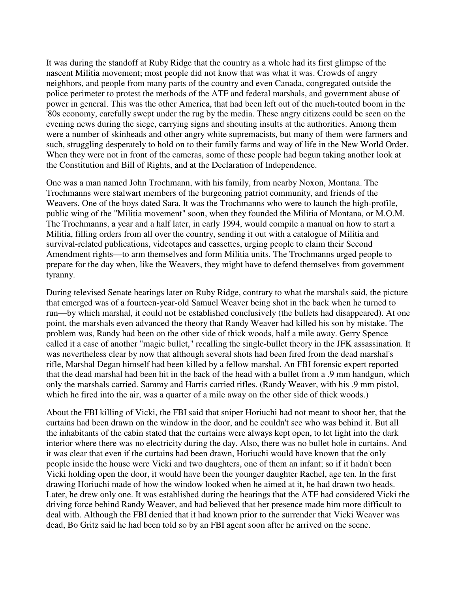It was during the standoff at Ruby Ridge that the country as a whole had its first glimpse of the nascent Militia movement; most people did not know that was what it was. Crowds of angry neighbors, and people from many parts of the country and even Canada, congregated outside the police perimeter to protest the methods of the ATF and federal marshals, and government abuse of power in general. This was the other America, that had been left out of the much-touted boom in the '80s economy, carefully swept under the rug by the media. These angry citizens could be seen on the evening news during the siege, carrying signs and shouting insults at the authorities. Among them were a number of skinheads and other angry white supremacists, but many of them were farmers and such, struggling desperately to hold on to their family farms and way of life in the New World Order. When they were not in front of the cameras, some of these people had begun taking another look at the Constitution and Bill of Rights, and at the Declaration of Independence.

One was a man named John Trochmann, with his family, from nearby Noxon, Montana. The Trochmanns were stalwart members of the burgeoning patriot community, and friends of the Weavers. One of the boys dated Sara. It was the Trochmanns who were to launch the high-profile, public wing of the "Militia movement" soon, when they founded the Militia of Montana, or M.O.M. The Trochmanns, a year and a half later, in early 1994, would compile a manual on how to start a Militia, filling orders from all over the country, sending it out with a catalogue of Militia and survival-related publications, videotapes and cassettes, urging people to claim their Second Amendment rights—to arm themselves and form Militia units. The Trochmanns urged people to prepare for the day when, like the Weavers, they might have to defend themselves from government tyranny.

During televised Senate hearings later on Ruby Ridge, contrary to what the marshals said, the picture that emerged was of a fourteen-year-old Samuel Weaver being shot in the back when he turned to run—by which marshal, it could not be established conclusively (the bullets had disappeared). At one point, the marshals even advanced the theory that Randy Weaver had killed his son by mistake. The problem was, Randy had been on the other side of thick woods, half a mile away. Gerry Spence called it a case of another "magic bullet," recalling the single-bullet theory in the JFK assassination. It was nevertheless clear by now that although several shots had been fired from the dead marshal's rifle, Marshal Degan himself had been killed by a fellow marshal. An FBI forensic expert reported that the dead marshal had been hit in the back of the head with a bullet from a .9 mm handgun, which only the marshals carried. Sammy and Harris carried rifles. (Randy Weaver, with his .9 mm pistol, which he fired into the air, was a quarter of a mile away on the other side of thick woods.)

About the FBI killing of Vicki, the FBI said that sniper Horiuchi had not meant to shoot her, that the curtains had been drawn on the window in the door, and he couldn't see who was behind it. But all the inhabitants of the cabin stated that the curtains were always kept open, to let light into the dark interior where there was no electricity during the day. Also, there was no bullet hole in curtains. And it was clear that even if the curtains had been drawn, Horiuchi would have known that the only people inside the house were Vicki and two daughters, one of them an infant; so if it hadn't been Vicki holding open the door, it would have been the younger daughter Rachel, age ten. In the first drawing Horiuchi made of how the window looked when he aimed at it, he had drawn two heads. Later, he drew only one. It was established during the hearings that the ATF had considered Vicki the driving force behind Randy Weaver, and had believed that her presence made him more difficult to deal with. Although the FBI denied that it had known prior to the surrender that Vicki Weaver was dead, Bo Gritz said he had been told so by an FBI agent soon after he arrived on the scene.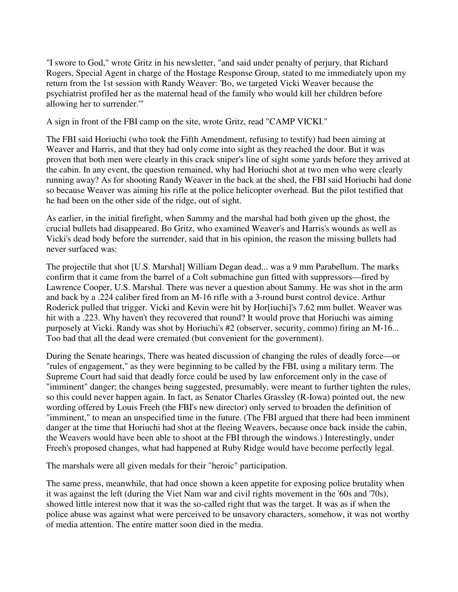"I swore to God," wrote Gritz in his newsletter, "and said under penalty of perjury, that Richard Rogers, Special Agent in charge of the Hostage Response Group, stated to me immediately upon my return from the 1st session with Randy Weaver: 'Bo, we targeted Vicki Weaver because the psychiatrist profiled her as the maternal head of the family who would kill her children before allowing her to surrender.'"

A sign in front of the FBI camp on the site, wrote Gritz, read "CAMP VICKI."

The FBI said Horiuchi (who took the Fifth Amendment, refusing to testify) had been aiming at Weaver and Harris, and that they had only come into sight as they reached the door. But it was proven that both men were clearly in this crack sniper's line of sight some yards before they arrived at the cabin. In any event, the question remained, why had Horiuchi shot at two men who were clearly running away? As for shooting Randy Weaver in the back at the shed, the FBI said Horiuchi had done so because Weaver was aiming his rifle at the police helicopter overhead. But the pilot testified that he had been on the other side of the ridge, out of sight.

As earlier, in the initial firefight, when Sammy and the marshal had both given up the ghost, the crucial bullets had disappeared. Bo Gritz, who examined Weaver's and Harris's wounds as well as Vicki's dead body before the surrender, said that in his opinion, the reason the missing bullets had never surfaced was:

The projectile that shot [U.S. Marshal] William Degan dead... was a 9 mm Parabellum. The marks confirm that it came from the barrel of a Colt submachine gun fitted with suppressors—fired by Lawrence Cooper, U.S. Marshal. There was never a question about Sammy. He was shot in the arm and back by a .224 caliber fired from an M-16 rifle with a 3-round burst control device. Arthur Roderick pulled that trigger. Vicki and Kevin were hit by Hor[iuchi]'s 7.62 mm bullet. Weaver was hit with a .223. Why haven't they recovered that round? It would prove that Horiuchi was aiming purposely at Vicki. Randy was shot by Horiuchi's #2 (observer, security, commo) firing an M-16... Too bad that all the dead were cremated (but convenient for the government).

During the Senate hearings, There was heated discussion of changing the rules of deadly force—or "rules of engagement," as they were beginning to be called by the FBI, using a military term. The Supreme Court had said that deadly force could be used by law enforcement only in the case of "imminent" danger; the changes being suggested, presumably, were meant to further tighten the rules, so this could never happen again. In fact, as Senator Charles Grassley (R-Iowa) pointed out, the new wording offered by Louis Freeh (the FBI's new director) only served to broaden the definition of "imminent," to mean an unspecified time in the future. (The FBI argued that there had been imminent danger at the time that Horiuchi had shot at the fleeing Weavers, because once back inside the cabin, the Weavers would have been able to shoot at the FBI through the windows.) Interestingly, under Freeh's proposed changes, what had happened at Ruby Ridge would have become perfectly legal.

The marshals were all given medals for their "heroic" participation.

The same press, meanwhile, that had once shown a keen appetite for exposing police brutality when it was against the left (during the Viet Nam war and civil rights movement in the '60s and '70s), showed little interest now that it was the so-called right that was the target. It was as if when the police abuse was against what were perceived to be unsavory characters, somehow, it was not worthy of media attention. The entire matter soon died in the media.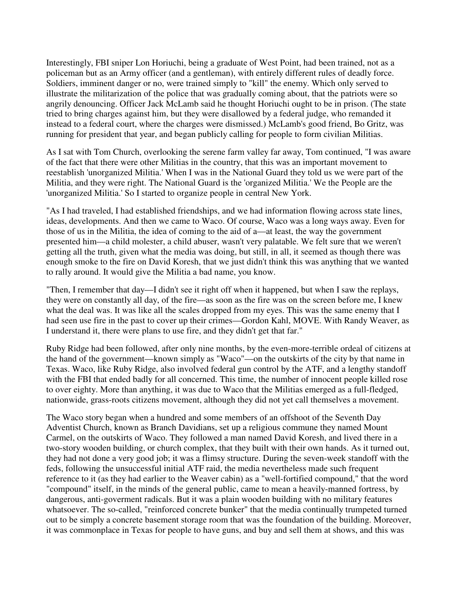Interestingly, FBI sniper Lon Horiuchi, being a graduate of West Point, had been trained, not as a policeman but as an Army officer (and a gentleman), with entirely different rules of deadly force. Soldiers, imminent danger or no, were trained simply to "kill" the enemy. Which only served to illustrate the militarization of the police that was gradually coming about, that the patriots were so angrily denouncing. Officer Jack McLamb said he thought Horiuchi ought to be in prison. (The state tried to bring charges against him, but they were disallowed by a federal judge, who remanded it instead to a federal court, where the charges were dismissed.) McLamb's good friend, Bo Gritz, was running for president that year, and began publicly calling for people to form civilian Militias.

As I sat with Tom Church, overlooking the serene farm valley far away, Tom continued, "I was aware of the fact that there were other Militias in the country, that this was an important movement to reestablish 'unorganized Militia.' When I was in the National Guard they told us we were part of the Militia, and they were right. The National Guard is the 'organized Militia.' We the People are the 'unorganized Militia.' So I started to organize people in central New York.

"As I had traveled, I had established friendships, and we had information flowing across state lines, ideas, developments. And then we came to Waco. Of course, Waco was a long ways away. Even for those of us in the Militia, the idea of coming to the aid of a—at least, the way the government presented him—a child molester, a child abuser, wasn't very palatable. We felt sure that we weren't getting all the truth, given what the media was doing, but still, in all, it seemed as though there was enough smoke to the fire on David Koresh, that we just didn't think this was anything that we wanted to rally around. It would give the Militia a bad name, you know.

"Then, I remember that day—I didn't see it right off when it happened, but when I saw the replays, they were on constantly all day, of the fire—as soon as the fire was on the screen before me, I knew what the deal was. It was like all the scales dropped from my eyes. This was the same enemy that I had seen use fire in the past to cover up their crimes—Gordon Kahl, MOVE. With Randy Weaver, as I understand it, there were plans to use fire, and they didn't get that far."

Ruby Ridge had been followed, after only nine months, by the even-more-terrible ordeal of citizens at the hand of the government—known simply as "Waco"—on the outskirts of the city by that name in Texas. Waco, like Ruby Ridge, also involved federal gun control by the ATF, and a lengthy standoff with the FBI that ended badly for all concerned. This time, the number of innocent people killed rose to over eighty. More than anything, it was due to Waco that the Militias emerged as a full-fledged, nationwide, grass-roots citizens movement, although they did not yet call themselves a movement.

The Waco story began when a hundred and some members of an offshoot of the Seventh Day Adventist Church, known as Branch Davidians, set up a religious commune they named Mount Carmel, on the outskirts of Waco. They followed a man named David Koresh, and lived there in a two-story wooden building, or church complex, that they built with their own hands. As it turned out, they had not done a very good job; it was a flimsy structure. During the seven-week standoff with the feds, following the unsuccessful initial ATF raid, the media nevertheless made such frequent reference to it (as they had earlier to the Weaver cabin) as a "well-fortified compound," that the word "compound" itself, in the minds of the general public, came to mean a heavily-manned fortress, by dangerous, anti-goverment radicals. But it was a plain wooden building with no military features whatsoever. The so-called, "reinforced concrete bunker" that the media continually trumpeted turned out to be simply a concrete basement storage room that was the foundation of the building. Moreover, it was commonplace in Texas for people to have guns, and buy and sell them at shows, and this was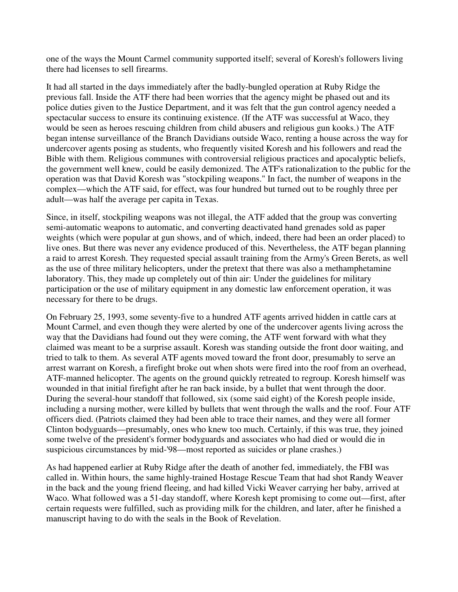one of the ways the Mount Carmel community supported itself; several of Koresh's followers living there had licenses to sell firearms.

It had all started in the days immediately after the badly-bungled operation at Ruby Ridge the previous fall. Inside the ATF there had been worries that the agency might be phased out and its police duties given to the Justice Department, and it was felt that the gun control agency needed a spectacular success to ensure its continuing existence. (If the ATF was successful at Waco, they would be seen as heroes rescuing children from child abusers and religious gun kooks.) The ATF began intense surveillance of the Branch Davidians outside Waco, renting a house across the way for undercover agents posing as students, who frequently visited Koresh and his followers and read the Bible with them. Religious communes with controversial religious practices and apocalyptic beliefs, the government well knew, could be easily demonized. The ATF's rationalization to the public for the operation was that David Koresh was "stockpiling weapons." In fact, the number of weapons in the complex—which the ATF said, for effect, was four hundred but turned out to be roughly three per adult—was half the average per capita in Texas.

Since, in itself, stockpiling weapons was not illegal, the ATF added that the group was converting semi-automatic weapons to automatic, and converting deactivated hand grenades sold as paper weights (which were popular at gun shows, and of which, indeed, there had been an order placed) to live ones. But there was never any evidence produced of this. Nevertheless, the ATF began planning a raid to arrest Koresh. They requested special assault training from the Army's Green Berets, as well as the use of three military helicopters, under the pretext that there was also a methamphetamine laboratory. This, they made up completely out of thin air: Under the guidelines for military participation or the use of military equipment in any domestic law enforcement operation, it was necessary for there to be drugs.

On February 25, 1993, some seventy-five to a hundred ATF agents arrived hidden in cattle cars at Mount Carmel, and even though they were alerted by one of the undercover agents living across the way that the Davidians had found out they were coming, the ATF went forward with what they claimed was meant to be a surprise assault. Koresh was standing outside the front door waiting, and tried to talk to them. As several ATF agents moved toward the front door, presumably to serve an arrest warrant on Koresh, a firefight broke out when shots were fired into the roof from an overhead, ATF-manned helicopter. The agents on the ground quickly retreated to regroup. Koresh himself was wounded in that initial firefight after he ran back inside, by a bullet that went through the door. During the several-hour standoff that followed, six (some said eight) of the Koresh people inside, including a nursing mother, were killed by bullets that went through the walls and the roof. Four ATF officers died. (Patriots claimed they had been able to trace their names, and they were all former Clinton bodyguards—presumably, ones who knew too much. Certainly, if this was true, they joined some twelve of the president's former bodyguards and associates who had died or would die in suspicious circumstances by mid-'98—most reported as suicides or plane crashes.)

As had happened earlier at Ruby Ridge after the death of another fed, immediately, the FBI was called in. Within hours, the same highly-trained Hostage Rescue Team that had shot Randy Weaver in the back and the young friend fleeing, and had killed Vicki Weaver carrying her baby, arrived at Waco. What followed was a 51-day standoff, where Koresh kept promising to come out—first, after certain requests were fulfilled, such as providing milk for the children, and later, after he finished a manuscript having to do with the seals in the Book of Revelation.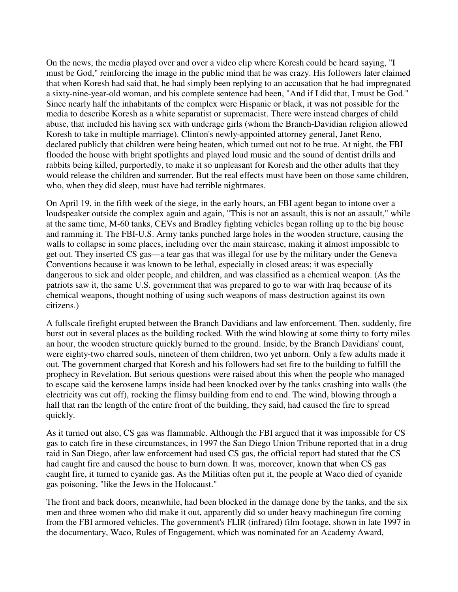On the news, the media played over and over a video clip where Koresh could be heard saying, "I must be God," reinforcing the image in the public mind that he was crazy. His followers later claimed that when Koresh had said that, he had simply been replying to an accusation that he had impregnated a sixty-nine-year-old woman, and his complete sentence had been, "And if I did that, I must be God." Since nearly half the inhabitants of the complex were Hispanic or black, it was not possible for the media to describe Koresh as a white separatist or supremacist. There were instead charges of child abuse, that included his having sex with underage girls (whom the Branch-Davidian religion allowed Koresh to take in multiple marriage). Clinton's newly-appointed attorney general, Janet Reno, declared publicly that children were being beaten, which turned out not to be true. At night, the FBI flooded the house with bright spotlights and played loud music and the sound of dentist drills and rabbits being killed, purportedly, to make it so unpleasant for Koresh and the other adults that they would release the children and surrender. But the real effects must have been on those same children, who, when they did sleep, must have had terrible nightmares.

On April 19, in the fifth week of the siege, in the early hours, an FBI agent began to intone over a loudspeaker outside the complex again and again, "This is not an assault, this is not an assault," while at the same time, M-60 tanks, CEVs and Bradley fighting vehicles began rolling up to the big house and ramming it. The FBI-U.S. Army tanks punched large holes in the wooden structure, causing the walls to collapse in some places, including over the main staircase, making it almost impossible to get out. They inserted CS gas—a tear gas that was illegal for use by the military under the Geneva Conventions because it was known to be lethal, especially in closed areas; it was especially dangerous to sick and older people, and children, and was classified as a chemical weapon. (As the patriots saw it, the same U.S. government that was prepared to go to war with Iraq because of its chemical weapons, thought nothing of using such weapons of mass destruction against its own citizens.)

A fullscale firefight erupted between the Branch Davidians and law enforcement. Then, suddenly, fire burst out in several places as the building rocked. With the wind blowing at some thirty to forty miles an hour, the wooden structure quickly burned to the ground. Inside, by the Branch Davidians' count, were eighty-two charred souls, nineteen of them children, two yet unborn. Only a few adults made it out. The government charged that Koresh and his followers had set fire to the building to fulfill the prophecy in Revelation. But serious questions were raised about this when the people who managed to escape said the kerosene lamps inside had been knocked over by the tanks crashing into walls (the electricity was cut off), rocking the flimsy building from end to end. The wind, blowing through a hall that ran the length of the entire front of the building, they said, had caused the fire to spread quickly.

As it turned out also, CS gas was flammable. Although the FBI argued that it was impossible for CS gas to catch fire in these circumstances, in 1997 the San Diego Union Tribune reported that in a drug raid in San Diego, after law enforcement had used CS gas, the official report had stated that the CS had caught fire and caused the house to burn down. It was, moreover, known that when CS gas caught fire, it turned to cyanide gas. As the Militias often put it, the people at Waco died of cyanide gas poisoning, "like the Jews in the Holocaust."

The front and back doors, meanwhile, had been blocked in the damage done by the tanks, and the six men and three women who did make it out, apparently did so under heavy machinegun fire coming from the FBI armored vehicles. The government's FLIR (infrared) film footage, shown in late 1997 in the documentary, Waco, Rules of Engagement, which was nominated for an Academy Award,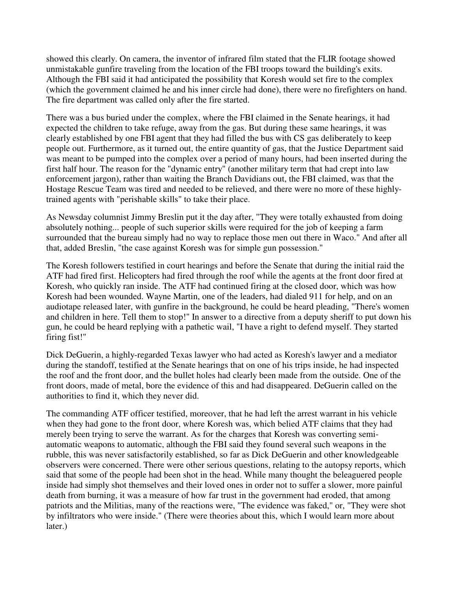showed this clearly. On camera, the inventor of infrared film stated that the FLIR footage showed unmistakable gunfire traveling from the location of the FBI troops toward the building's exits. Although the FBI said it had anticipated the possibility that Koresh would set fire to the complex (which the government claimed he and his inner circle had done), there were no firefighters on hand. The fire department was called only after the fire started.

There was a bus buried under the complex, where the FBI claimed in the Senate hearings, it had expected the children to take refuge, away from the gas. But during these same hearings, it was clearly established by one FBI agent that they had filled the bus with CS gas deliberately to keep people out. Furthermore, as it turned out, the entire quantity of gas, that the Justice Department said was meant to be pumped into the complex over a period of many hours, had been inserted during the first half hour. The reason for the "dynamic entry" (another military term that had crept into law enforcement jargon), rather than waiting the Branch Davidians out, the FBI claimed, was that the Hostage Rescue Team was tired and needed to be relieved, and there were no more of these highlytrained agents with "perishable skills" to take their place.

As Newsday columnist Jimmy Breslin put it the day after, "They were totally exhausted from doing absolutely nothing... people of such superior skills were required for the job of keeping a farm surrounded that the bureau simply had no way to replace those men out there in Waco." And after all that, added Breslin, "the case against Koresh was for simple gun possession."

The Koresh followers testified in court hearings and before the Senate that during the initial raid the ATF had fired first. Helicopters had fired through the roof while the agents at the front door fired at Koresh, who quickly ran inside. The ATF had continued firing at the closed door, which was how Koresh had been wounded. Wayne Martin, one of the leaders, had dialed 911 for help, and on an audiotape released later, with gunfire in the background, he could be heard pleading, "There's women and children in here. Tell them to stop!" In answer to a directive from a deputy sheriff to put down his gun, he could be heard replying with a pathetic wail, "I have a right to defend myself. They started firing fist!"

Dick DeGuerin, a highly-regarded Texas lawyer who had acted as Koresh's lawyer and a mediator during the standoff, testified at the Senate hearings that on one of his trips inside, he had inspected the roof and the front door, and the bullet holes had clearly been made from the outside. One of the front doors, made of metal, bore the evidence of this and had disappeared. DeGuerin called on the authorities to find it, which they never did.

The commanding ATF officer testified, moreover, that he had left the arrest warrant in his vehicle when they had gone to the front door, where Koresh was, which belied ATF claims that they had merely been trying to serve the warrant. As for the charges that Koresh was converting semiautomatic weapons to automatic, although the FBI said they found several such weapons in the rubble, this was never satisfactorily established, so far as Dick DeGuerin and other knowledgeable observers were concerned. There were other serious questions, relating to the autopsy reports, which said that some of the people had been shot in the head. While many thought the beleaguered people inside had simply shot themselves and their loved ones in order not to suffer a slower, more painful death from burning, it was a measure of how far trust in the government had eroded, that among patriots and the Militias, many of the reactions were, "The evidence was faked," or, "They were shot by infiltrators who were inside." (There were theories about this, which I would learn more about later.)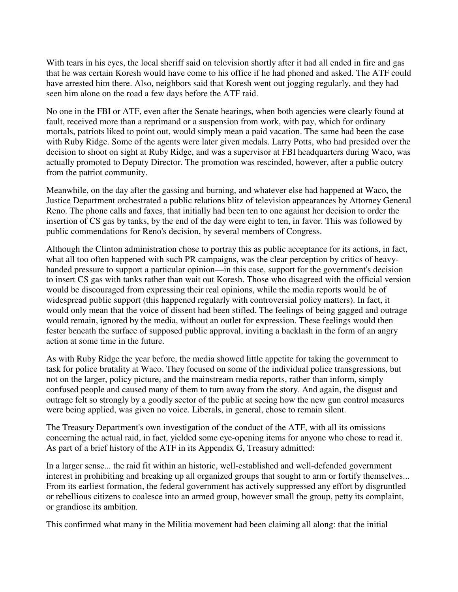With tears in his eyes, the local sheriff said on television shortly after it had all ended in fire and gas that he was certain Koresh would have come to his office if he had phoned and asked. The ATF could have arrested him there. Also, neighbors said that Koresh went out jogging regularly, and they had seen him alone on the road a few days before the ATF raid.

No one in the FBI or ATF, even after the Senate hearings, when both agencies were clearly found at fault, received more than a reprimand or a suspension from work, with pay, which for ordinary mortals, patriots liked to point out, would simply mean a paid vacation. The same had been the case with Ruby Ridge. Some of the agents were later given medals. Larry Potts, who had presided over the decision to shoot on sight at Ruby Ridge, and was a supervisor at FBI headquarters during Waco, was actually promoted to Deputy Director. The promotion was rescinded, however, after a public outcry from the patriot community.

Meanwhile, on the day after the gassing and burning, and whatever else had happened at Waco, the Justice Department orchestrated a public relations blitz of television appearances by Attorney General Reno. The phone calls and faxes, that initially had been ten to one against her decision to order the insertion of CS gas by tanks, by the end of the day were eight to ten, in favor. This was followed by public commendations for Reno's decision, by several members of Congress.

Although the Clinton administration chose to portray this as public acceptance for its actions, in fact, what all too often happened with such PR campaigns, was the clear perception by critics of heavyhanded pressure to support a particular opinion—in this case, support for the government's decision to insert CS gas with tanks rather than wait out Koresh. Those who disagreed with the official version would be discouraged from expressing their real opinions, while the media reports would be of widespread public support (this happened regularly with controversial policy matters). In fact, it would only mean that the voice of dissent had been stifled. The feelings of being gagged and outrage would remain, ignored by the media, without an outlet for expression. These feelings would then fester beneath the surface of supposed public approval, inviting a backlash in the form of an angry action at some time in the future.

As with Ruby Ridge the year before, the media showed little appetite for taking the government to task for police brutality at Waco. They focused on some of the individual police transgressions, but not on the larger, policy picture, and the mainstream media reports, rather than inform, simply confused people and caused many of them to turn away from the story. And again, the disgust and outrage felt so strongly by a goodly sector of the public at seeing how the new gun control measures were being applied, was given no voice. Liberals, in general, chose to remain silent.

The Treasury Department's own investigation of the conduct of the ATF, with all its omissions concerning the actual raid, in fact, yielded some eye-opening items for anyone who chose to read it. As part of a brief history of the ATF in its Appendix G, Treasury admitted:

In a larger sense... the raid fit within an historic, well-established and well-defended government interest in prohibiting and breaking up all organized groups that sought to arm or fortify themselves... From its earliest formation, the federal government has actively suppressed any effort by disgruntled or rebellious citizens to coalesce into an armed group, however small the group, petty its complaint, or grandiose its ambition.

This confirmed what many in the Militia movement had been claiming all along: that the initial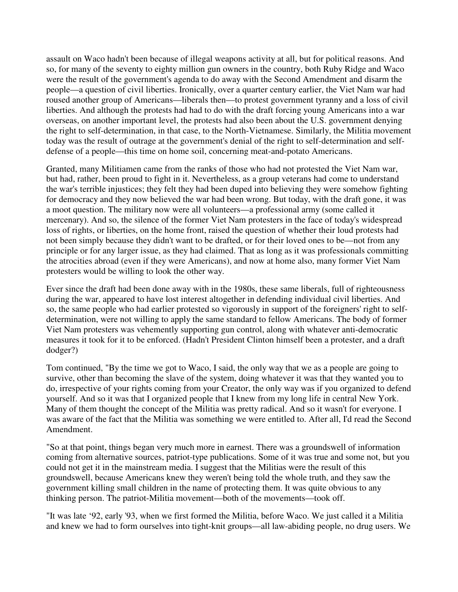assault on Waco hadn't been because of illegal weapons activity at all, but for political reasons. And so, for many of the seventy to eighty million gun owners in the country, both Ruby Ridge and Waco were the result of the government's agenda to do away with the Second Amendment and disarm the people—a question of civil liberties. Ironically, over a quarter century earlier, the Viet Nam war had roused another group of Americans—liberals then—to protest government tyranny and a loss of civil liberties. And although the protests had had to do with the draft forcing young Americans into a war overseas, on another important level, the protests had also been about the U.S. government denying the right to self-determination, in that case, to the North-Vietnamese. Similarly, the Militia movement today was the result of outrage at the government's denial of the right to self-determination and selfdefense of a people—this time on home soil, concerning meat-and-potato Americans.

Granted, many Militiamen came from the ranks of those who had not protested the Viet Nam war, but had, rather, been proud to fight in it. Nevertheless, as a group veterans had come to understand the war's terrible injustices; they felt they had been duped into believing they were somehow fighting for democracy and they now believed the war had been wrong. But today, with the draft gone, it was a moot question. The military now were all volunteers—a professional army (some called it mercenary). And so, the silence of the former Viet Nam protesters in the face of today's widespread loss of rights, or liberties, on the home front, raised the question of whether their loud protests had not been simply because they didn't want to be drafted, or for their loved ones to be—not from any principle or for any larger issue, as they had claimed. That as long as it was professionals committing the atrocities abroad (even if they were Americans), and now at home also, many former Viet Nam protesters would be willing to look the other way.

Ever since the draft had been done away with in the 1980s, these same liberals, full of righteousness during the war, appeared to have lost interest altogether in defending individual civil liberties. And so, the same people who had earlier protested so vigorously in support of the foreigners' right to selfdetermination, were not willing to apply the same standard to fellow Americans. The body of former Viet Nam protesters was vehemently supporting gun control, along with whatever anti-democratic measures it took for it to be enforced. (Hadn't President Clinton himself been a protester, and a draft dodger?)

Tom continued, "By the time we got to Waco, I said, the only way that we as a people are going to survive, other than becoming the slave of the system, doing whatever it was that they wanted you to do, irrespective of your rights coming from your Creator, the only way was if you organized to defend yourself. And so it was that I organized people that I knew from my long life in central New York. Many of them thought the concept of the Militia was pretty radical. And so it wasn't for everyone. I was aware of the fact that the Militia was something we were entitled to. After all, I'd read the Second Amendment.

"So at that point, things began very much more in earnest. There was a groundswell of information coming from alternative sources, patriot-type publications. Some of it was true and some not, but you could not get it in the mainstream media. I suggest that the Militias were the result of this groundswell, because Americans knew they weren't being told the whole truth, and they saw the government killing small children in the name of protecting them. It was quite obvious to any thinking person. The patriot-Militia movement—both of the movements—took off.

"It was late '92, early '93, when we first formed the Militia, before Waco. We just called it a Militia and knew we had to form ourselves into tight-knit groups—all law-abiding people, no drug users. We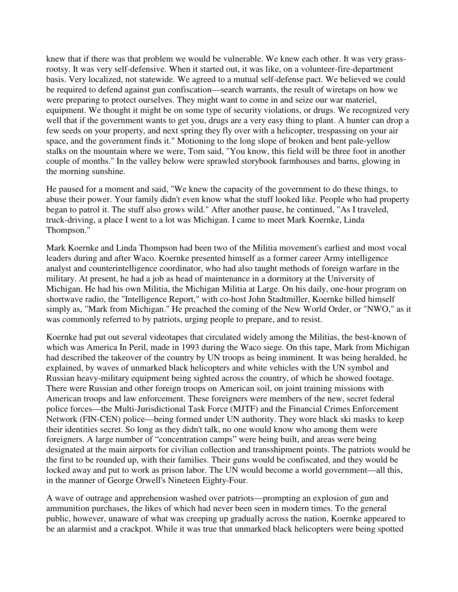knew that if there was that problem we would be vulnerable. We knew each other. It was very grassrootsy. It was very self-defensive. When it started out, it was like, on a volunteer-fire-department basis. Very localized, not statewide. We agreed to a mutual self-defense pact. We believed we could be required to defend against gun confiscation—search warrants, the result of wiretaps on how we were preparing to protect ourselves. They might want to come in and seize our war materiel, equipment. We thought it might be on some type of security violations, or drugs. We recognized very well that if the government wants to get you, drugs are a very easy thing to plant. A hunter can drop a few seeds on your property, and next spring they fly over with a helicopter, trespassing on your air space, and the government finds it." Motioning to the long slope of broken and bent pale-yellow stalks on the mountain where we were, Tom said, "You know, this field will be three foot in another couple of months." In the valley below were sprawled storybook farmhouses and barns, glowing in the morning sunshine.

He paused for a moment and said, "We knew the capacity of the government to do these things, to abuse their power. Your family didn't even know what the stuff looked like. People who had property began to patrol it. The stuff also grows wild." After another pause, he continued, "As I traveled, truck-driving, a place I went to a lot was Michigan. I came to meet Mark Koernke, Linda Thompson."

Mark Koernke and Linda Thompson had been two of the Militia movement's earliest and most vocal leaders during and after Waco. Koernke presented himself as a former career Army intelligence analyst and counterintelligence coordinator, who had also taught methods of foreign warfare in the military. At present, he had a job as head of maintenance in a dormitory at the University of Michigan. He had his own Militia, the Michigan Militia at Large. On his daily, one-hour program on shortwave radio, the "Intelligence Report," with co-host John Stadtmiller, Koernke billed himself simply as, "Mark from Michigan." He preached the coming of the New World Order, or "NWO," as it was commonly referred to by patriots, urging people to prepare, and to resist.

Koernke had put out several videotapes that circulated widely among the Militias, the best-known of which was America In Peril, made in 1993 during the Waco siege. On this tape, Mark from Michigan had described the takeover of the country by UN troops as being imminent. It was being heralded, he explained, by waves of unmarked black helicopters and white vehicles with the UN symbol and Russian heavy-military equipment being sighted across the country, of which he showed footage. There were Russian and other foreign troops on American soil, on joint training missions with American troops and law enforcement. These foreigners were members of the new, secret federal police forces—the Multi-Jurisdictional Task Force (MJTF) and the Financial Crimes Enforcement Network (FIN-CEN) police—being formed under UN authority. They wore black ski masks to keep their identities secret. So long as they didn't talk, no one would know who among them were foreigners. A large number of "concentration camps" were being built, and areas were being designated at the main airports for civilian collection and transshipment points. The patriots would be the first to be rounded up, with their families. Their guns would be confiscated, and they would be locked away and put to work as prison labor. The UN would become a world government—all this, in the manner of George Orwell's Nineteen Eighty-Four.

A wave of outrage and apprehension washed over patriots—prompting an explosion of gun and ammunition purchases, the likes of which had never been seen in modern times. To the general public, however, unaware of what was creeping up gradually across the nation, Koernke appeared to be an alarmist and a crackpot. While it was true that unmarked black helicopters were being spotted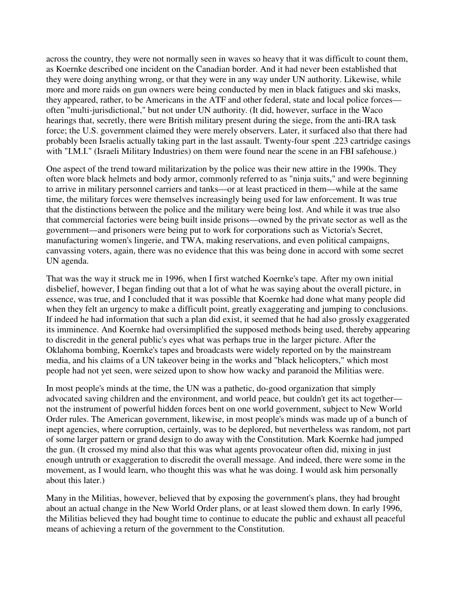across the country, they were not normally seen in waves so heavy that it was difficult to count them, as Koernke described one incident on the Canadian border. And it had never been established that they were doing anything wrong, or that they were in any way under UN authority. Likewise, while more and more raids on gun owners were being conducted by men in black fatigues and ski masks, they appeared, rather, to be Americans in the ATF and other federal, state and local police forces often "multi-jurisdictional," but not under UN authority. (It did, however, surface in the Waco hearings that, secretly, there were British military present during the siege, from the anti-IRA task force; the U.S. government claimed they were merely observers. Later, it surfaced also that there had probably been Israelis actually taking part in the last assault. Twenty-four spent .223 cartridge casings with "I.M.I." (Israeli Military Industries) on them were found near the scene in an FBI safehouse.)

One aspect of the trend toward militarization by the police was their new attire in the 1990s. They often wore black helmets and body armor, commonly referred to as "ninja suits," and were beginning to arrive in military personnel carriers and tanks—or at least practiced in them—while at the same time, the military forces were themselves increasingly being used for law enforcement. It was true that the distinctions between the police and the military were being lost. And while it was true also that commercial factories were being built inside prisons—owned by the private sector as well as the government—and prisoners were being put to work for corporations such as Victoria's Secret, manufacturing women's lingerie, and TWA, making reservations, and even political campaigns, canvassing voters, again, there was no evidence that this was being done in accord with some secret UN agenda.

That was the way it struck me in 1996, when I first watched Koernke's tape. After my own initial disbelief, however, I began finding out that a lot of what he was saying about the overall picture, in essence, was true, and I concluded that it was possible that Koernke had done what many people did when they felt an urgency to make a difficult point, greatly exaggerating and jumping to conclusions. If indeed he had information that such a plan did exist, it seemed that he had also grossly exaggerated its imminence. And Koernke had oversimplified the supposed methods being used, thereby appearing to discredit in the general public's eyes what was perhaps true in the larger picture. After the Oklahoma bombing, Koernke's tapes and broadcasts were widely reported on by the mainstream media, and his claims of a UN takeover being in the works and "black helicopters," which most people had not yet seen, were seized upon to show how wacky and paranoid the Militias were.

In most people's minds at the time, the UN was a pathetic, do-good organization that simply advocated saving children and the environment, and world peace, but couldn't get its act together not the instrument of powerful hidden forces bent on one world government, subject to New World Order rules. The American government, likewise, in most people's minds was made up of a bunch of inept agencies, where corruption, certainly, was to be deplored, but nevertheless was random, not part of some larger pattern or grand design to do away with the Constitution. Mark Koernke had jumped the gun. (It crossed my mind also that this was what agents provocateur often did, mixing in just enough untruth or exaggeration to discredit the overall message. And indeed, there were some in the movement, as I would learn, who thought this was what he was doing. I would ask him personally about this later.)

Many in the Militias, however, believed that by exposing the government's plans, they had brought about an actual change in the New World Order plans, or at least slowed them down. In early 1996, the Militias believed they had bought time to continue to educate the public and exhaust all peaceful means of achieving a return of the government to the Constitution.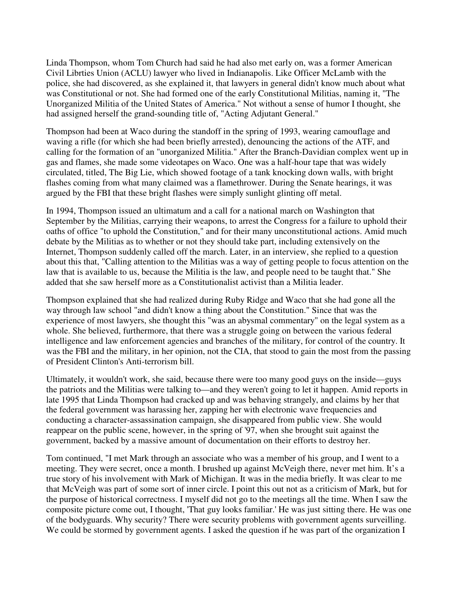Linda Thompson, whom Tom Church had said he had also met early on, was a former American Civil Librties Union (ACLU) lawyer who lived in Indianapolis. Like Officer McLamb with the police, she had discovered, as she explained it, that lawyers in general didn't know much about what was Constitutional or not. She had formed one of the early Constitutional Militias, naming it, "The Unorganized Militia of the United States of America." Not without a sense of humor I thought, she had assigned herself the grand-sounding title of, "Acting Adjutant General."

Thompson had been at Waco during the standoff in the spring of 1993, wearing camouflage and waving a rifle (for which she had been briefly arrested), denouncing the actions of the ATF, and calling for the formation of an "unorganized Militia." After the Branch-Davidian complex went up in gas and flames, she made some videotapes on Waco. One was a half-hour tape that was widely circulated, titled, The Big Lie, which showed footage of a tank knocking down walls, with bright flashes coming from what many claimed was a flamethrower. During the Senate hearings, it was argued by the FBI that these bright flashes were simply sunlight glinting off metal.

In 1994, Thompson issued an ultimatum and a call for a national march on Washington that September by the Militias, carrying their weapons, to arrest the Congress for a failure to uphold their oaths of office "to uphold the Constitution," and for their many unconstitutional actions. Amid much debate by the Militias as to whether or not they should take part, including extensively on the Internet, Thompson suddenly called off the march. Later, in an interview, she replied to a question about this that, "Calling attention to the Militias was a way of getting people to focus attention on the law that is available to us, because the Militia is the law, and people need to be taught that." She added that she saw herself more as a Constitutionalist activist than a Militia leader.

Thompson explained that she had realized during Ruby Ridge and Waco that she had gone all the way through law school "and didn't know a thing about the Constitution." Since that was the experience of most lawyers, she thought this "was an abysmal commentary" on the legal system as a whole. She believed, furthermore, that there was a struggle going on between the various federal intelligence and law enforcement agencies and branches of the military, for control of the country. It was the FBI and the military, in her opinion, not the CIA, that stood to gain the most from the passing of President Clinton's Anti-terrorism bill.

Ultimately, it wouldn't work, she said, because there were too many good guys on the inside—guys the patriots and the Militias were talking to—and they weren't going to let it happen. Amid reports in late 1995 that Linda Thompson had cracked up and was behaving strangely, and claims by her that the federal government was harassing her, zapping her with electronic wave frequencies and conducting a character-assassination campaign, she disappeared from public view. She would reappear on the public scene, however, in the spring of '97, when she brought suit against the government, backed by a massive amount of documentation on their efforts to destroy her.

Tom continued, "I met Mark through an associate who was a member of his group, and I went to a meeting. They were secret, once a month. I brushed up against McVeigh there, never met him. It's a true story of his involvement with Mark of Michigan. It was in the media briefly. It was clear to me that McVeigh was part of some sort of inner circle. I point this out not as a criticism of Mark, but for the purpose of historical correctness. I myself did not go to the meetings all the time. When I saw the composite picture come out, I thought, 'That guy looks familiar.' He was just sitting there. He was one of the bodyguards. Why security? There were security problems with government agents surveilling. We could be stormed by government agents. I asked the question if he was part of the organization I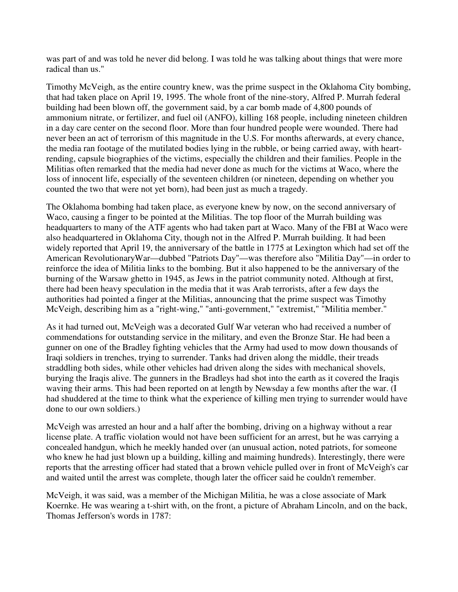was part of and was told he never did belong. I was told he was talking about things that were more radical than us."

Timothy McVeigh, as the entire country knew, was the prime suspect in the Oklahoma City bombing, that had taken place on April 19, 1995. The whole front of the nine-story, Alfred P. Murrah federal building had been blown off, the government said, by a car bomb made of 4,800 pounds of ammonium nitrate, or fertilizer, and fuel oil (ANFO), killing 168 people, including nineteen children in a day care center on the second floor. More than four hundred people were wounded. There had never been an act of terrorism of this magnitude in the U.S. For months afterwards, at every chance, the media ran footage of the mutilated bodies lying in the rubble, or being carried away, with heartrending, capsule biographies of the victims, especially the children and their families. People in the Militias often remarked that the media had never done as much for the victims at Waco, where the loss of innocent life, especially of the seventeen children (or nineteen, depending on whether you counted the two that were not yet born), had been just as much a tragedy.

The Oklahoma bombing had taken place, as everyone knew by now, on the second anniversary of Waco, causing a finger to be pointed at the Militias. The top floor of the Murrah building was headquarters to many of the ATF agents who had taken part at Waco. Many of the FBI at Waco were also headquartered in Oklahoma City, though not in the Alfred P. Murrah building. It had been widely reported that April 19, the anniversary of the battle in 1775 at Lexington which had set off the American RevolutionaryWar—dubbed "Patriots Day"—was therefore also "Militia Day"—in order to reinforce the idea of Militia links to the bombing. But it also happened to be the anniversary of the burning of the Warsaw ghetto in 1945, as Jews in the patriot community noted. Although at first, there had been heavy speculation in the media that it was Arab terrorists, after a few days the authorities had pointed a finger at the Militias, announcing that the prime suspect was Timothy McVeigh, describing him as a "right-wing," "anti-government," "extremist," "Militia member."

As it had turned out, McVeigh was a decorated Gulf War veteran who had received a number of commendations for outstanding service in the military, and even the Bronze Star. He had been a gunner on one of the Bradley fighting vehicles that the Army had used to mow down thousands of Iraqi soldiers in trenches, trying to surrender. Tanks had driven along the middle, their treads straddling both sides, while other vehicles had driven along the sides with mechanical shovels, burying the Iraqis alive. The gunners in the Bradleys had shot into the earth as it covered the Iraqis waving their arms. This had been reported on at length by Newsday a few months after the war. (I had shuddered at the time to think what the experience of killing men trying to surrender would have done to our own soldiers.)

McVeigh was arrested an hour and a half after the bombing, driving on a highway without a rear license plate. A traffic violation would not have been sufficient for an arrest, but he was carrying a concealed handgun, which he meekly handed over (an unusual action, noted patriots, for someone who knew he had just blown up a building, killing and maiming hundreds). Interestingly, there were reports that the arresting officer had stated that a brown vehicle pulled over in front of McVeigh's car and waited until the arrest was complete, though later the officer said he couldn't remember.

McVeigh, it was said, was a member of the Michigan Militia, he was a close associate of Mark Koernke. He was wearing a t-shirt with, on the front, a picture of Abraham Lincoln, and on the back, Thomas Jefferson's words in 1787: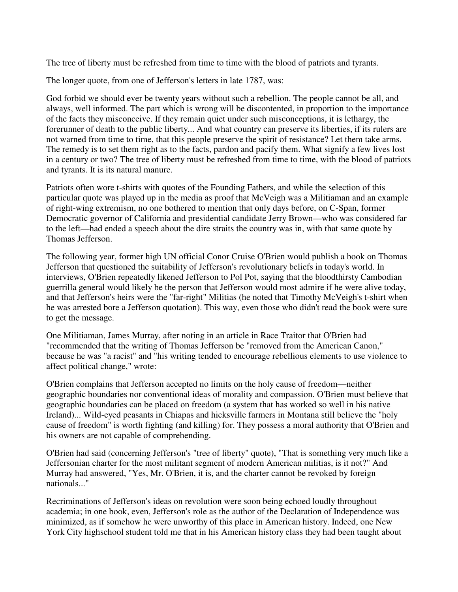The tree of liberty must be refreshed from time to time with the blood of patriots and tyrants.

The longer quote, from one of Jefferson's letters in late 1787, was:

God forbid we should ever be twenty years without such a rebellion. The people cannot be all, and always, well informed. The part which is wrong will be discontented, in proportion to the importance of the facts they misconceive. If they remain quiet under such misconceptions, it is lethargy, the forerunner of death to the public liberty... And what country can preserve its liberties, if its rulers are not warned from time to time, that this people preserve the spirit of resistance? Let them take arms. The remedy is to set them right as to the facts, pardon and pacify them. What signify a few lives lost in a century or two? The tree of liberty must be refreshed from time to time, with the blood of patriots and tyrants. It is its natural manure.

Patriots often wore t-shirts with quotes of the Founding Fathers, and while the selection of this particular quote was played up in the media as proof that McVeigh was a Militiaman and an example of right-wing extremism, no one bothered to mention that only days before, on C-Span, former Democratic governor of California and presidential candidate Jerry Brown—who was considered far to the left—had ended a speech about the dire straits the country was in, with that same quote by Thomas Jefferson.

The following year, former high UN official Conor Cruise O'Brien would publish a book on Thomas Jefferson that questioned the suitability of Jefferson's revolutionary beliefs in today's world. In interviews, O'Brien repeatedly likened Jefferson to Pol Pot, saying that the bloodthirsty Cambodian guerrilla general would likely be the person that Jefferson would most admire if he were alive today, and that Jefferson's heirs were the "far-right" Militias (he noted that Timothy McVeigh's t-shirt when he was arrested bore a Jefferson quotation). This way, even those who didn't read the book were sure to get the message.

One Militiaman, James Murray, after noting in an article in Race Traitor that O'Brien had "recommended that the writing of Thomas Jefferson be "removed from the American Canon," because he was "a racist" and "his writing tended to encourage rebellious elements to use violence to affect political change," wrote:

O'Brien complains that Jefferson accepted no limits on the holy cause of freedom—neither geographic boundaries nor conventional ideas of morality and compassion. O'Brien must believe that geographic boundaries can be placed on freedom (a system that has worked so well in his native Ireland)... Wild-eyed peasants in Chiapas and hicksville farmers in Montana still believe the "holy cause of freedom" is worth fighting (and killing) for. They possess a moral authority that O'Brien and his owners are not capable of comprehending.

O'Brien had said (concerning Jefferson's "tree of liberty" quote), "That is something very much like a Jeffersonian charter for the most militant segment of modern American militias, is it not?" And Murray had answered, "Yes, Mr. O'Brien, it is, and the charter cannot be revoked by foreign nationals..."

Recriminations of Jefferson's ideas on revolution were soon being echoed loudly throughout academia; in one book, even, Jefferson's role as the author of the Declaration of Independence was minimized, as if somehow he were unworthy of this place in American history. Indeed, one New York City highschool student told me that in his American history class they had been taught about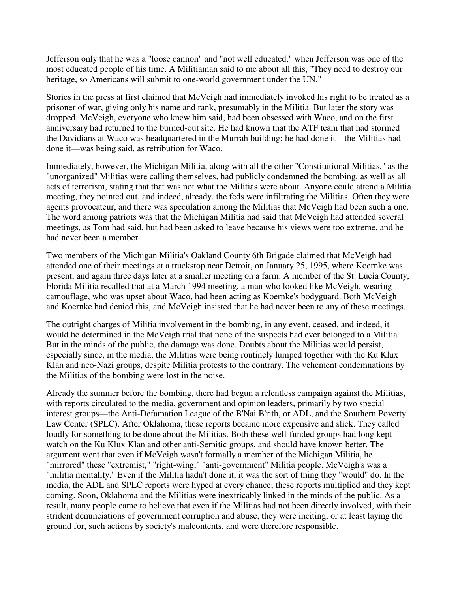Jefferson only that he was a "loose cannon" and "not well educated," when Jefferson was one of the most educated people of his time. A Militiaman said to me about all this, "They need to destroy our heritage, so Americans will submit to one-world government under the UN."

Stories in the press at first claimed that McVeigh had immediately invoked his right to be treated as a prisoner of war, giving only his name and rank, presumably in the Militia. But later the story was dropped. McVeigh, everyone who knew him said, had been obsessed with Waco, and on the first anniversary had returned to the burned-out site. He had known that the ATF team that had stormed the Davidians at Waco was headquartered in the Murrah building; he had done it—the Militias had done it—was being said, as retribution for Waco.

Immediately, however, the Michigan Militia, along with all the other "Constitutional Militias," as the "unorganized" Militias were calling themselves, had publicly condemned the bombing, as well as all acts of terrorism, stating that that was not what the Militias were about. Anyone could attend a Militia meeting, they pointed out, and indeed, already, the feds were infiltrating the Militias. Often they were agents provocateur, and there was speculation among the Militias that McVeigh had been such a one. The word among patriots was that the Michigan Militia had said that McVeigh had attended several meetings, as Tom had said, but had been asked to leave because his views were too extreme, and he had never been a member.

Two members of the Michigan Militia's Oakland County 6th Brigade claimed that McVeigh had attended one of their meetings at a truckstop near Detroit, on January 25, 1995, where Koernke was present, and again three days later at a smaller meeting on a farm. A member of the St. Lucia County, Florida Militia recalled that at a March 1994 meeting, a man who looked like McVeigh, wearing camouflage, who was upset about Waco, had been acting as Koernke's bodyguard. Both McVeigh and Koernke had denied this, and McVeigh insisted that he had never been to any of these meetings.

The outright charges of Militia involvement in the bombing, in any event, ceased, and indeed, it would be determined in the McVeigh trial that none of the suspects had ever belonged to a Militia. But in the minds of the public, the damage was done. Doubts about the Militias would persist, especially since, in the media, the Militias were being routinely lumped together with the Ku Klux Klan and neo-Nazi groups, despite Militia protests to the contrary. The vehement condemnations by the Militias of the bombing were lost in the noise.

Already the summer before the bombing, there had begun a relentless campaign against the Militias, with reports circulated to the media, government and opinion leaders, primarily by two special interest groups—the Anti-Defamation League of the B'Nai B'rith, or ADL, and the Southern Poverty Law Center (SPLC). After Oklahoma, these reports became more expensive and slick. They called loudly for something to be done about the Militias. Both these well-funded groups had long kept watch on the Ku Klux Klan and other anti-Semitic groups, and should have known better. The argument went that even if McVeigh wasn't formally a member of the Michigan Militia, he "mirrored" these "extremist," "right-wing," "anti-government" Militia people. McVeigh's was a "militia mentality." Even if the Militia hadn't done it, it was the sort of thing they "would" do. In the media, the ADL and SPLC reports were hyped at every chance; these reports multiplied and they kept coming. Soon, Oklahoma and the Militias were inextricably linked in the minds of the public. As a result, many people came to believe that even if the Militias had not been directly involved, with their strident denunciations of government corruption and abuse, they were inciting, or at least laying the ground for, such actions by society's malcontents, and were therefore responsible.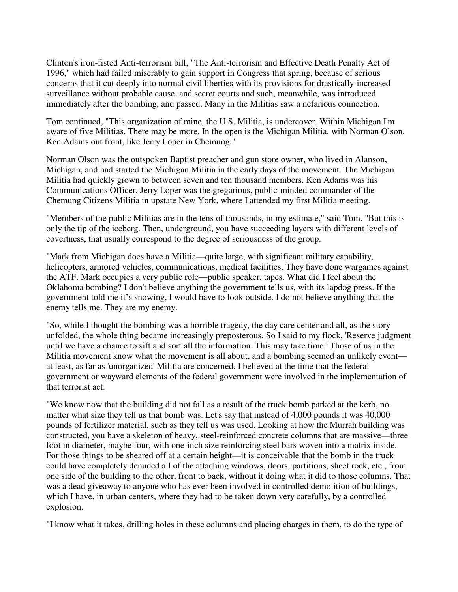Clinton's iron-fisted Anti-terrorism bill, "The Anti-terrorism and Effective Death Penalty Act of 1996," which had failed miserably to gain support in Congress that spring, because of serious concerns that it cut deeply into normal civil liberties with its provisions for drastically-increased surveillance without probable cause, and secret courts and such, meanwhile, was introduced immediately after the bombing, and passed. Many in the Militias saw a nefarious connection.

Tom continued, "This organization of mine, the U.S. Militia, is undercover. Within Michigan I'm aware of five Militias. There may be more. In the open is the Michigan Militia, with Norman Olson, Ken Adams out front, like Jerry Loper in Chemung."

Norman Olson was the outspoken Baptist preacher and gun store owner, who lived in Alanson, Michigan, and had started the Michigan Militia in the early days of the movement. The Michigan Militia had quickly grown to between seven and ten thousand members. Ken Adams was his Communications Officer. Jerry Loper was the gregarious, public-minded commander of the Chemung Citizens Militia in upstate New York, where I attended my first Militia meeting.

"Members of the public Militias are in the tens of thousands, in my estimate," said Tom. "But this is only the tip of the iceberg. Then, underground, you have succeeding layers with different levels of covertness, that usually correspond to the degree of seriousness of the group.

"Mark from Michigan does have a Militia—quite large, with significant military capability, helicopters, armored vehicles, communications, medical facilities. They have done wargames against the ATF. Mark occupies a very public role—public speaker, tapes. What did I feel about the Oklahoma bombing? I don't believe anything the government tells us, with its lapdog press. If the government told me it's snowing, I would have to look outside. I do not believe anything that the enemy tells me. They are my enemy.

"So, while I thought the bombing was a horrible tragedy, the day care center and all, as the story unfolded, the whole thing became increasingly preposterous. So I said to my flock, 'Reserve judgment until we have a chance to sift and sort all the information. This may take time.' Those of us in the Militia movement know what the movement is all about, and a bombing seemed an unlikely event at least, as far as 'unorganized' Militia are concerned. I believed at the time that the federal government or wayward elements of the federal government were involved in the implementation of that terrorist act.

"We know now that the building did not fall as a result of the truck bomb parked at the kerb, no matter what size they tell us that bomb was. Let's say that instead of 4,000 pounds it was 40,000 pounds of fertilizer material, such as they tell us was used. Looking at how the Murrah building was constructed, you have a skeleton of heavy, steel-reinforced concrete columns that are massive—three foot in diameter, maybe four, with one-inch size reinforcing steel bars woven into a matrix inside. For those things to be sheared off at a certain height—it is conceivable that the bomb in the truck could have completely denuded all of the attaching windows, doors, partitions, sheet rock, etc., from one side of the building to the other, front to back, without it doing what it did to those columns. That was a dead giveaway to anyone who has ever been involved in controlled demolition of buildings, which I have, in urban centers, where they had to be taken down very carefully, by a controlled explosion.

"I know what it takes, drilling holes in these columns and placing charges in them, to do the type of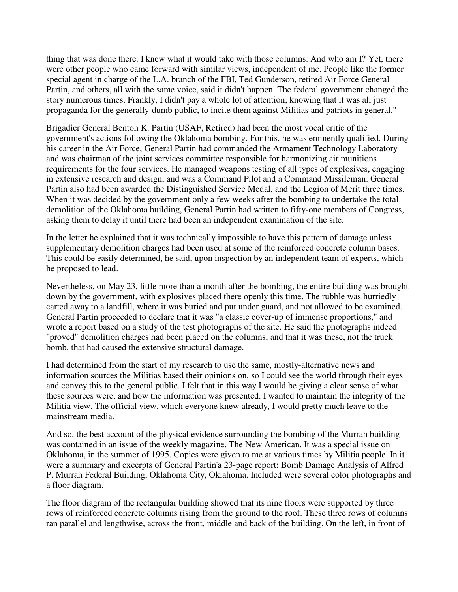thing that was done there. I knew what it would take with those columns. And who am I? Yet, there were other people who came forward with similar views, independent of me. People like the former special agent in charge of the L.A. branch of the FBI, Ted Gunderson, retired Air Force General Partin, and others, all with the same voice, said it didn't happen. The federal government changed the story numerous times. Frankly, I didn't pay a whole lot of attention, knowing that it was all just propaganda for the generally-dumb public, to incite them against Militias and patriots in general."

Brigadier General Benton K. Partin (USAF, Retired) had been the most vocal critic of the government's actions following the Oklahoma bombing. For this, he was eminently qualified. During his career in the Air Force, General Partin had commanded the Armament Technology Laboratory and was chairman of the joint services committee responsible for harmonizing air munitions requirements for the four services. He managed weapons testing of all types of explosives, engaging in extensive research and design, and was a Command Pilot and a Command Missileman. General Partin also had been awarded the Distinguished Service Medal, and the Legion of Merit three times. When it was decided by the government only a few weeks after the bombing to undertake the total demolition of the Oklahoma building, General Partin had written to fifty-one members of Congress, asking them to delay it until there had been an independent examination of the site.

In the letter he explained that it was technically impossible to have this pattern of damage unless supplementary demolition charges had been used at some of the reinforced concrete column bases. This could be easily determined, he said, upon inspection by an independent team of experts, which he proposed to lead.

Nevertheless, on May 23, little more than a month after the bombing, the entire building was brought down by the government, with explosives placed there openly this time. The rubble was hurriedly carted away to a landfill, where it was buried and put under guard, and not allowed to be examined. General Partin proceeded to declare that it was "a classic cover-up of immense proportions," and wrote a report based on a study of the test photographs of the site. He said the photographs indeed "proved" demolition charges had been placed on the columns, and that it was these, not the truck bomb, that had caused the extensive structural damage.

I had determined from the start of my research to use the same, mostly-alternative news and information sources the Militias based their opinions on, so I could see the world through their eyes and convey this to the general public. I felt that in this way I would be giving a clear sense of what these sources were, and how the information was presented. I wanted to maintain the integrity of the Militia view. The official view, which everyone knew already, I would pretty much leave to the mainstream media.

And so, the best account of the physical evidence surrounding the bombing of the Murrah building was contained in an issue of the weekly magazine, The New American. It was a special issue on Oklahoma, in the summer of 1995. Copies were given to me at various times by Militia people. In it were a summary and excerpts of General Partin'a 23-page report: Bomb Damage Analysis of Alfred P. Murrah Federal Building, Oklahoma City, Oklahoma. Included were several color photographs and a floor diagram.

The floor diagram of the rectangular building showed that its nine floors were supported by three rows of reinforced concrete columns rising from the ground to the roof. These three rows of columns ran parallel and lengthwise, across the front, middle and back of the building. On the left, in front of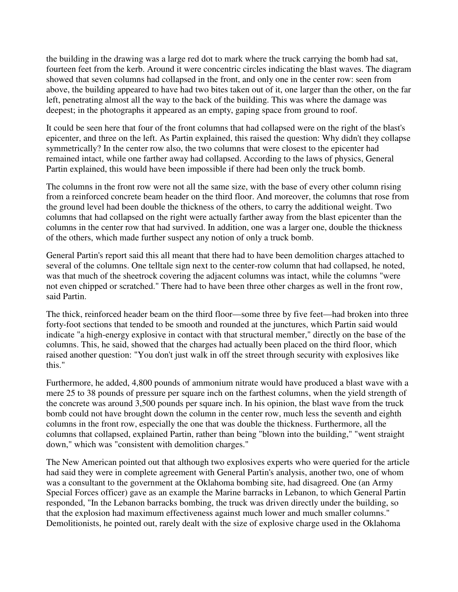the building in the drawing was a large red dot to mark where the truck carrying the bomb had sat, fourteen feet from the kerb. Around it were concentric circles indicating the blast waves. The diagram showed that seven columns had collapsed in the front, and only one in the center row: seen from above, the building appeared to have had two bites taken out of it, one larger than the other, on the far left, penetrating almost all the way to the back of the building. This was where the damage was deepest; in the photographs it appeared as an empty, gaping space from ground to roof.

It could be seen here that four of the front columns that had collapsed were on the right of the blast's epicenter, and three on the left. As Partin explained, this raised the question: Why didn't they collapse symmetrically? In the center row also, the two columns that were closest to the epicenter had remained intact, while one farther away had collapsed. According to the laws of physics, General Partin explained, this would have been impossible if there had been only the truck bomb.

The columns in the front row were not all the same size, with the base of every other column rising from a reinforced concrete beam header on the third floor. And moreover, the columns that rose from the ground level had been double the thickness of the others, to carry the additional weight. Two columns that had collapsed on the right were actually farther away from the blast epicenter than the columns in the center row that had survived. In addition, one was a larger one, double the thickness of the others, which made further suspect any notion of only a truck bomb.

General Partin's report said this all meant that there had to have been demolition charges attached to several of the columns. One telltale sign next to the center-row column that had collapsed, he noted, was that much of the sheetrock covering the adjacent columns was intact, while the columns "were not even chipped or scratched." There had to have been three other charges as well in the front row, said Partin.

The thick, reinforced header beam on the third floor—some three by five feet—had broken into three forty-foot sections that tended to be smooth and rounded at the junctures, which Partin said would indicate "a high-energy explosive in contact with that structural member," directly on the base of the columns. This, he said, showed that the charges had actually been placed on the third floor, which raised another question: "You don't just walk in off the street through security with explosives like this."

Furthermore, he added, 4,800 pounds of ammonium nitrate would have produced a blast wave with a mere 25 to 38 pounds of pressure per square inch on the farthest columns, when the yield strength of the concrete was around 3,500 pounds per square inch. In his opinion, the blast wave from the truck bomb could not have brought down the column in the center row, much less the seventh and eighth columns in the front row, especially the one that was double the thickness. Furthermore, all the columns that collapsed, explained Partin, rather than being "blown into the building," "went straight down," which was "consistent with demolition charges."

The New American pointed out that although two explosives experts who were queried for the article had said they were in complete agreement with General Partin's analysis, another two, one of whom was a consultant to the government at the Oklahoma bombing site, had disagreed. One (an Army Special Forces officer) gave as an example the Marine barracks in Lebanon, to which General Partin responded, "In the Lebanon barracks bombing, the truck was driven directly under the building, so that the explosion had maximum effectiveness against much lower and much smaller columns." Demolitionists, he pointed out, rarely dealt with the size of explosive charge used in the Oklahoma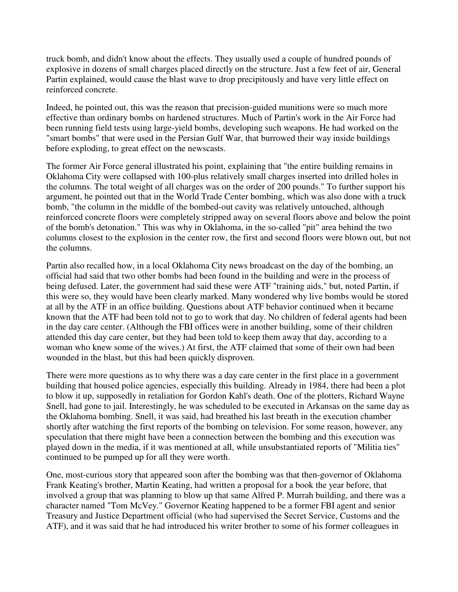truck bomb, and didn't know about the effects. They usually used a couple of hundred pounds of explosive in dozens of small charges placed directly on the structure. Just a few feet of air, General Partin explained, would cause the blast wave to drop precipitously and have very little effect on reinforced concrete.

Indeed, he pointed out, this was the reason that precision-guided munitions were so much more effective than ordinary bombs on hardened structures. Much of Partin's work in the Air Force had been running field tests using large-yield bombs, developing such weapons. He had worked on the "smart bombs" that were used in the Persian Gulf War, that burrowed their way inside buildings before exploding, to great effect on the newscasts.

The former Air Force general illustrated his point, explaining that "the entire building remains in Oklahoma City were collapsed with 100-plus relatively small charges inserted into drilled holes in the columns. The total weight of all charges was on the order of 200 pounds." To further support his argument, he pointed out that in the World Trade Center bombing, which was also done with a truck bomb, "the column in the middle of the bombed-out cavity was relatively untouched, although reinforced concrete floors were completely stripped away on several floors above and below the point of the bomb's detonation." This was why in Oklahoma, in the so-called "pit" area behind the two columns closest to the explosion in the center row, the first and second floors were blown out, but not the columns.

Partin also recalled how, in a local Oklahoma City news broadcast on the day of the bombing, an official had said that two other bombs had been found in the building and were in the process of being defused. Later, the government had said these were ATF "training aids," but, noted Partin, if this were so, they would have been clearly marked. Many wondered why live bombs would be stored at all by the ATF in an office building. Questions about ATF behavior continued when it became known that the ATF had been told not to go to work that day. No children of federal agents had been in the day care center. (Although the FBI offices were in another building, some of their children attended this day care center, but they had been told to keep them away that day, according to a woman who knew some of the wives.) At first, the ATF claimed that some of their own had been wounded in the blast, but this had been quickly disproven.

There were more questions as to why there was a day care center in the first place in a government building that housed police agencies, especially this building. Already in 1984, there had been a plot to blow it up, supposedly in retaliation for Gordon Kahl's death. One of the plotters, Richard Wayne Snell, had gone to jail. Interestingly, he was scheduled to be executed in Arkansas on the same day as the Oklahoma bombing. Snell, it was said, had breathed his last breath in the execution chamber shortly after watching the first reports of the bombing on television. For some reason, however, any speculation that there might have been a connection between the bombing and this execution was played down in the media, if it was mentioned at all, while unsubstantiated reports of "Militia ties" continued to be pumped up for all they were worth.

One, most-curious story that appeared soon after the bombing was that then-governor of Oklahoma Frank Keating's brother, Martin Keating, had written a proposal for a book the year before, that involved a group that was planning to blow up that same Alfred P. Murrah building, and there was a character named "Tom McVey." Governor Keating happened to be a former FBI agent and senior Treasury and Justice Department official (who had supervised the Secret Service, Customs and the ATF), and it was said that he had introduced his writer brother to some of his former colleagues in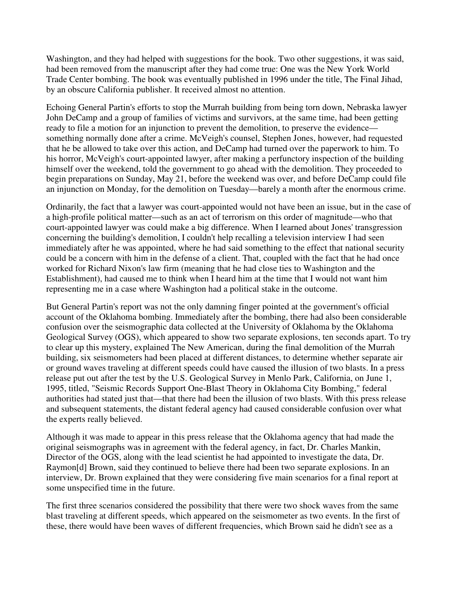Washington, and they had helped with suggestions for the book. Two other suggestions, it was said, had been removed from the manuscript after they had come true: One was the New York World Trade Center bombing. The book was eventually published in 1996 under the title, The Final Jihad, by an obscure California publisher. It received almost no attention.

Echoing General Partin's efforts to stop the Murrah building from being torn down, Nebraska lawyer John DeCamp and a group of families of victims and survivors, at the same time, had been getting ready to file a motion for an injunction to prevent the demolition, to preserve the evidence something normally done after a crime. McVeigh's counsel, Stephen Jones, however, had requested that he be allowed to take over this action, and DeCamp had turned over the paperwork to him. To his horror, McVeigh's court-appointed lawyer, after making a perfunctory inspection of the building himself over the weekend, told the government to go ahead with the demolition. They proceeded to begin preparations on Sunday, May 21, before the weekend was over, and before DeCamp could file an injunction on Monday, for the demolition on Tuesday—barely a month after the enormous crime.

Ordinarily, the fact that a lawyer was court-appointed would not have been an issue, but in the case of a high-profile political matter—such as an act of terrorism on this order of magnitude—who that court-appointed lawyer was could make a big difference. When I learned about Jones' transgression concerning the building's demolition, I couldn't help recalling a television interview I had seen immediately after he was appointed, where he had said something to the effect that national security could be a concern with him in the defense of a client. That, coupled with the fact that he had once worked for Richard Nixon's law firm (meaning that he had close ties to Washington and the Establishment), had caused me to think when I heard him at the time that I would not want him representing me in a case where Washington had a political stake in the outcome.

But General Partin's report was not the only damning finger pointed at the government's official account of the Oklahoma bombing. Immediately after the bombing, there had also been considerable confusion over the seismographic data collected at the University of Oklahoma by the Oklahoma Geological Survey (OGS), which appeared to show two separate explosions, ten seconds apart. To try to clear up this mystery, explained The New American, during the final demolition of the Murrah building, six seismometers had been placed at different distances, to determine whether separate air or ground waves traveling at different speeds could have caused the illusion of two blasts. In a press release put out after the test by the U.S. Geological Survey in Menlo Park, California, on June 1, 1995, titled, "Seismic Records Support One-Blast Theory in Oklahoma City Bombing," federal authorities had stated just that—that there had been the illusion of two blasts. With this press release and subsequent statements, the distant federal agency had caused considerable confusion over what the experts really believed.

Although it was made to appear in this press release that the Oklahoma agency that had made the original seismographs was in agreement with the federal agency, in fact, Dr. Charles Mankin, Director of the OGS, along with the lead scientist he had appointed to investigate the data, Dr. Raymon[d] Brown, said they continued to believe there had been two separate explosions. In an interview, Dr. Brown explained that they were considering five main scenarios for a final report at some unspecified time in the future.

The first three scenarios considered the possibility that there were two shock waves from the same blast traveling at different speeds, which appeared on the seismometer as two events. In the first of these, there would have been waves of different frequencies, which Brown said he didn't see as a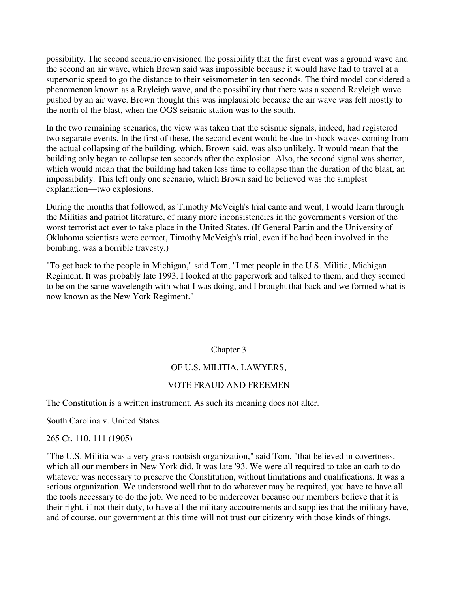possibility. The second scenario envisioned the possibility that the first event was a ground wave and the second an air wave, which Brown said was impossible because it would have had to travel at a supersonic speed to go the distance to their seismometer in ten seconds. The third model considered a phenomenon known as a Rayleigh wave, and the possibility that there was a second Rayleigh wave pushed by an air wave. Brown thought this was implausible because the air wave was felt mostly to the north of the blast, when the OGS seismic station was to the south.

In the two remaining scenarios, the view was taken that the seismic signals, indeed, had registered two separate events. In the first of these, the second event would be due to shock waves coming from the actual collapsing of the building, which, Brown said, was also unlikely. It would mean that the building only began to collapse ten seconds after the explosion. Also, the second signal was shorter, which would mean that the building had taken less time to collapse than the duration of the blast, an impossibility. This left only one scenario, which Brown said he believed was the simplest explanation—two explosions.

During the months that followed, as Timothy McVeigh's trial came and went, I would learn through the Militias and patriot literature, of many more inconsistencies in the government's version of the worst terrorist act ever to take place in the United States. (If General Partin and the University of Oklahoma scientists were correct, Timothy McVeigh's trial, even if he had been involved in the bombing, was a horrible travesty.)

"To get back to the people in Michigan," said Tom, "I met people in the U.S. Militia, Michigan Regiment. It was probably late 1993. I looked at the paperwork and talked to them, and they seemed to be on the same wavelength with what I was doing, and I brought that back and we formed what is now known as the New York Regiment."

# Chapter 3

# OF U.S. MILITIA, LAWYERS,

# VOTE FRAUD AND FREEMEN

The Constitution is a written instrument. As such its meaning does not alter.

South Carolina v. United States

265 Ct. 110, 111 (1905)

"The U.S. Militia was a very grass-rootsish organization," said Tom, "that believed in covertness, which all our members in New York did. It was late '93. We were all required to take an oath to do whatever was necessary to preserve the Constitution, without limitations and qualifications. It was a serious organization. We understood well that to do whatever may be required, you have to have all the tools necessary to do the job. We need to be undercover because our members believe that it is their right, if not their duty, to have all the military accoutrements and supplies that the military have, and of course, our government at this time will not trust our citizenry with those kinds of things.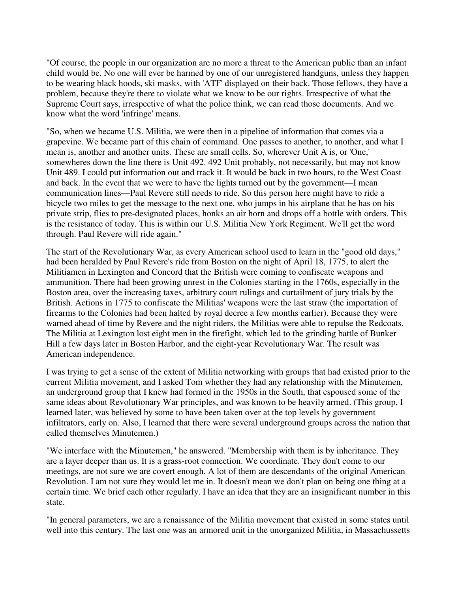"Of course, the people in our organization are no more a threat to the American public than an infant child would be. No one will ever be harmed by one of our unregistered handguns, unless they happen to be wearing black hoods, ski masks, with 'ATF' displayed on their back. Those fellows, they have a problem, because they're there to violate what we know to be our rights. Irrespective of what the Supreme Court says, irrespective of what the police think, we can read those documents. And we know what the word 'infringe' means.

"So, when we became U.S. Militia, we were then in a pipeline of information that comes via a grapevine. We became part of this chain of command. One passes to another, to another, and what I mean is, another and another units. These are small cells. So, wherever Unit A is, or 'One,' somewheres down the line there is Unit 492. 492 Unit probably, not necessarily, but may not know Unit 489. I could put information out and track it. It would be back in two hours, to the West Coast and back. In the event that we were to have the lights turned out by the government—I mean communication lines—Paul Revere still needs to ride. So this person here might have to ride a bicycle two miles to get the message to the next one, who jumps in his airplane that he has on his private strip, flies to pre-designated places, honks an air horn and drops off a bottle with orders. This is the resistance of today. This is within our U.S. Militia New York Regiment. We'll get the word through. Paul Revere will ride again."

The start of the Revolutionary War, as every American school used to learn in the "good old days," had been heralded by Paul Revere's ride from Boston on the night of April 18, 1775, to alert the Militiamen in Lexington and Concord that the British were coming to confiscate weapons and ammunition. There had been growing unrest in the Colonies starting in the 1760s, especially in the Boston area, over the increasing taxes, arbitrary court rulings and curtailment of jury trials by the British. Actions in 1775 to confiscate the Militias' weapons were the last straw (the importation of firearms to the Colonies had been halted by royal decree a few months earlier). Because they were warned ahead of time by Revere and the night riders, the Militias were able to repulse the Redcoats. The Militia at Lexington lost eight men in the firefight, which led to the grinding battle of Bunker Hill a few days later in Boston Harbor, and the eight-year Revolutionary War. The result was American independence.

I was trying to get a sense of the extent of Militia networking with groups that had existed prior to the current Militia movement, and I asked Tom whether they had any relationship with the Minutemen, an underground group that I knew had formed in the 1950s in the South, that espoused some of the same ideas about Revolutionary War principles, and was known to be heavily armed. (This group, I learned later, was believed by some to have been taken over at the top levels by government infiltrators, early on. Also, I learned that there were several underground groups across the nation that called themselves Minutemen.)

"We interface with the Minutemen," he answered. "Membership with them is by inheritance. They are a layer deeper than us. It is a grass-root connection. We coordinate. They don't come to our meetings, are not sure we are covert enough. A lot of them are descendants of the original American Revolution. I am not sure they would let me in. It doesn't mean we don't plan on being one thing at a certain time. We brief each other regularly. I have an idea that they are an insignificant number in this state.

"In general parameters, we are a renaissance of the Militia movement that existed in some states until well into this century. The last one was an armored unit in the unorganized Militia, in Massachussetts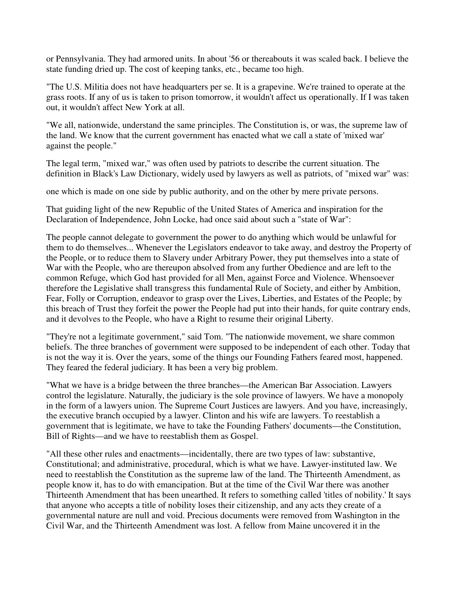or Pennsylvania. They had armored units. In about '56 or thereabouts it was scaled back. I believe the state funding dried up. The cost of keeping tanks, etc., became too high.

"The U.S. Militia does not have headquarters per se. It is a grapevine. We're trained to operate at the grass roots. If any of us is taken to prison tomorrow, it wouldn't affect us operationally. If I was taken out, it wouldn't affect New York at all.

"We all, nationwide, understand the same principles. The Constitution is, or was, the supreme law of the land. We know that the current government has enacted what we call a state of 'mixed war' against the people."

The legal term, "mixed war," was often used by patriots to describe the current situation. The definition in Black's Law Dictionary, widely used by lawyers as well as patriots, of "mixed war" was:

one which is made on one side by public authority, and on the other by mere private persons.

That guiding light of the new Republic of the United States of America and inspiration for the Declaration of Independence, John Locke, had once said about such a "state of War":

The people cannot delegate to government the power to do anything which would be unlawful for them to do themselves... Whenever the Legislators endeavor to take away, and destroy the Property of the People, or to reduce them to Slavery under Arbitrary Power, they put themselves into a state of War with the People, who are thereupon absolved from any further Obedience and are left to the common Refuge, which God hast provided for all Men, against Force and Violence. Whensoever therefore the Legislative shall transgress this fundamental Rule of Society, and either by Ambition, Fear, Folly or Corruption, endeavor to grasp over the Lives, Liberties, and Estates of the People; by this breach of Trust they forfeit the power the People had put into their hands, for quite contrary ends, and it devolves to the People, who have a Right to resume their original Liberty.

"They're not a legitimate government," said Tom. "The nationwide movement, we share common beliefs. The three branches of government were supposed to be independent of each other. Today that is not the way it is. Over the years, some of the things our Founding Fathers feared most, happened. They feared the federal judiciary. It has been a very big problem.

"What we have is a bridge between the three branches—the American Bar Association. Lawyers control the legislature. Naturally, the judiciary is the sole province of lawyers. We have a monopoly in the form of a lawyers union. The Supreme Court Justices are lawyers. And you have, increasingly, the executive branch occupied by a lawyer. Clinton and his wife are lawyers. To reestablish a government that is legitimate, we have to take the Founding Fathers' documents—the Constitution, Bill of Rights—and we have to reestablish them as Gospel.

"All these other rules and enactments—incidentally, there are two types of law: substantive, Constitutional; and administrative, procedural, which is what we have. Lawyer-instituted law. We need to reestablish the Constitution as the supreme law of the land. The Thirteenth Amendment, as people know it, has to do with emancipation. But at the time of the Civil War there was another Thirteenth Amendment that has been unearthed. It refers to something called 'titles of nobility.' It says that anyone who accepts a title of nobility loses their citizenship, and any acts they create of a governmental nature are null and void. Precious documents were removed from Washington in the Civil War, and the Thirteenth Amendment was lost. A fellow from Maine uncovered it in the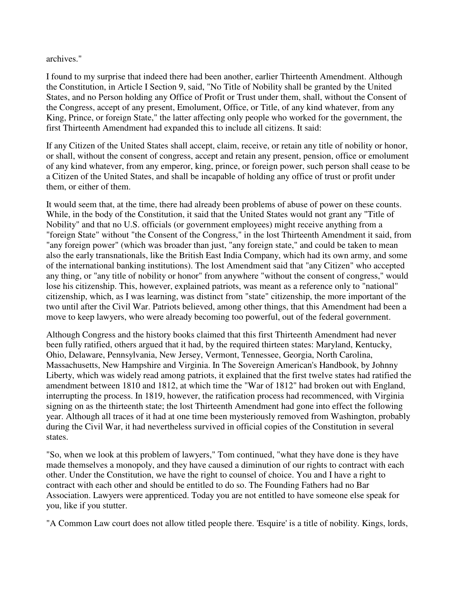archives."

I found to my surprise that indeed there had been another, earlier Thirteenth Amendment. Although the Constitution, in Article I Section 9, said, "No Title of Nobility shall be granted by the United States, and no Person holding any Office of Profit or Trust under them, shall, without the Consent of the Congress, accept of any present, Emolument, Office, or Title, of any kind whatever, from any King, Prince, or foreign State," the latter affecting only people who worked for the government, the first Thirteenth Amendment had expanded this to include all citizens. It said:

If any Citizen of the United States shall accept, claim, receive, or retain any title of nobility or honor, or shall, without the consent of congress, accept and retain any present, pension, office or emolument of any kind whatever, from any emperor, king, prince, or foreign power, such person shall cease to be a Citizen of the United States, and shall be incapable of holding any office of trust or profit under them, or either of them.

It would seem that, at the time, there had already been problems of abuse of power on these counts. While, in the body of the Constitution, it said that the United States would not grant any "Title of Nobility" and that no U.S. officials (or government employees) might receive anything from a "foreign State" without "the Consent of the Congress," in the lost Thirteenth Amendment it said, from "any foreign power" (which was broader than just, "any foreign state," and could be taken to mean also the early transnationals, like the British East India Company, which had its own army, and some of the international banking institutions). The lost Amendment said that "any Citizen" who accepted any thing, or "any title of nobility or honor" from anywhere "without the consent of congress," would lose his citizenship. This, however, explained patriots, was meant as a reference only to "national" citizenship, which, as I was learning, was distinct from "state" citizenship, the more important of the two until after the Civil War. Patriots believed, among other things, that this Amendment had been a move to keep lawyers, who were already becoming too powerful, out of the federal government.

Although Congress and the history books claimed that this first Thirteenth Amendment had never been fully ratified, others argued that it had, by the required thirteen states: Maryland, Kentucky, Ohio, Delaware, Pennsylvania, New Jersey, Vermont, Tennessee, Georgia, North Carolina, Massachusetts, New Hampshire and Virginia. In The Sovereign American's Handbook, by Johnny Liberty, which was widely read among patriots, it explained that the first twelve states had ratified the amendment between 1810 and 1812, at which time the "War of 1812" had broken out with England, interrupting the process. In 1819, however, the ratification process had recommenced, with Virginia signing on as the thirteenth state; the lost Thirteenth Amendment had gone into effect the following year. Although all traces of it had at one time been mysteriously removed from Washington, probably during the Civil War, it had nevertheless survived in official copies of the Constitution in several states.

"So, when we look at this problem of lawyers," Tom continued, "what they have done is they have made themselves a monopoly, and they have caused a diminution of our rights to contract with each other. Under the Constitution, we have the right to counsel of choice. You and I have a right to contract with each other and should be entitled to do so. The Founding Fathers had no Bar Association. Lawyers were apprenticed. Today you are not entitled to have someone else speak for you, like if you stutter.

"A Common Law court does not allow titled people there. 'Esquire' is a title of nobility. Kings, lords,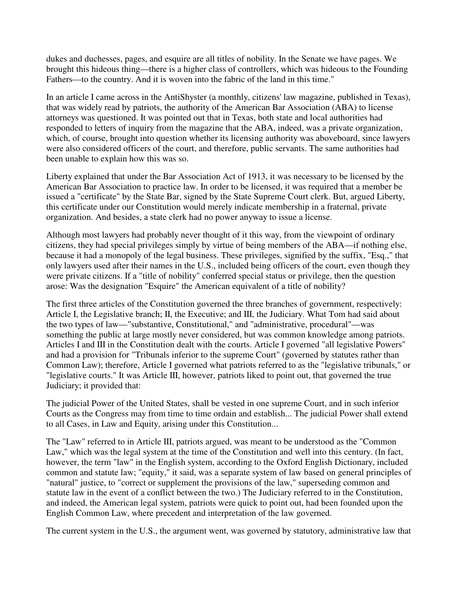dukes and duchesses, pages, and esquire are all titles of nobility. In the Senate we have pages. We brought this hideous thing—there is a higher class of controllers, which was hideous to the Founding Fathers—to the country. And it is woven into the fabric of the land in this time."

In an article I came across in the AntiShyster (a monthly, citizens' law magazine, published in Texas), that was widely read by patriots, the authority of the American Bar Association (ABA) to license attorneys was questioned. It was pointed out that in Texas, both state and local authorities had responded to letters of inquiry from the magazine that the ABA, indeed, was a private organization, which, of course, brought into question whether its licensing authority was aboveboard, since lawyers were also considered officers of the court, and therefore, public servants. The same authorities had been unable to explain how this was so.

Liberty explained that under the Bar Association Act of 1913, it was necessary to be licensed by the American Bar Association to practice law. In order to be licensed, it was required that a member be issued a "certificate" by the State Bar, signed by the State Supreme Court clerk. But, argued Liberty, this certificate under our Constitution would merely indicate membership in a fraternal, private organization. And besides, a state clerk had no power anyway to issue a license.

Although most lawyers had probably never thought of it this way, from the viewpoint of ordinary citizens, they had special privileges simply by virtue of being members of the ABA—if nothing else, because it had a monopoly of the legal business. These privileges, signified by the suffix, "Esq.," that only lawyers used after their names in the U.S., included being officers of the court, even though they were private citizens. If a "title of nobility" conferred special status or privilege, then the question arose: Was the designation "Esquire" the American equivalent of a title of nobility?

The first three articles of the Constitution governed the three branches of government, respectively: Article I, the Legislative branch; II, the Executive; and III, the Judiciary. What Tom had said about the two types of law—"substantive, Constitutional," and "administrative, procedural"—was something the public at large mostly never considered, but was common knowledge among patriots. Articles I and III in the Constitution dealt with the courts. Article I governed "all legislative Powers" and had a provision for "Tribunals inferior to the supreme Court" (governed by statutes rather than Common Law); therefore, Article I governed what patriots referred to as the "legislative tribunals," or "legislative courts." It was Article III, however, patriots liked to point out, that governed the true Judiciary; it provided that:

The judicial Power of the United States, shall be vested in one supreme Court, and in such inferior Courts as the Congress may from time to time ordain and establish... The judicial Power shall extend to all Cases, in Law and Equity, arising under this Constitution...

The "Law" referred to in Article III, patriots argued, was meant to be understood as the "Common Law," which was the legal system at the time of the Constitution and well into this century. (In fact, however, the term "law" in the English system, according to the Oxford English Dictionary, included common and statute law; "equity," it said, was a separate system of law based on general principles of "natural" justice, to "correct or supplement the provisions of the law," superseding common and statute law in the event of a conflict between the two.) The Judiciary referred to in the Constitution, and indeed, the American legal system, patriots were quick to point out, had been founded upon the English Common Law, where precedent and interpretation of the law governed.

The current system in the U.S., the argument went, was governed by statutory, administrative law that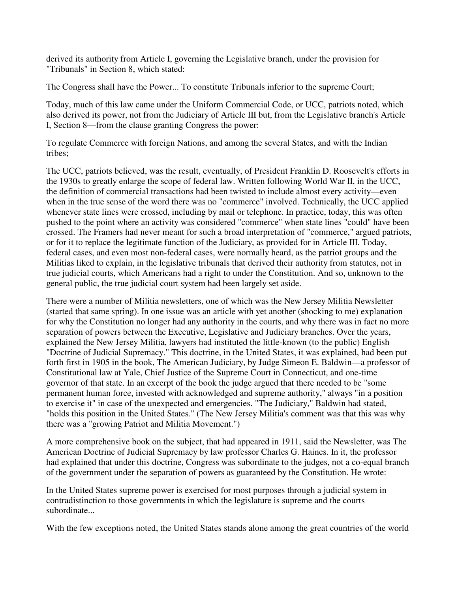derived its authority from Article I, governing the Legislative branch, under the provision for "Tribunals" in Section 8, which stated:

The Congress shall have the Power... To constitute Tribunals inferior to the supreme Court;

Today, much of this law came under the Uniform Commercial Code, or UCC, patriots noted, which also derived its power, not from the Judiciary of Article III but, from the Legislative branch's Article I, Section 8—from the clause granting Congress the power:

To regulate Commerce with foreign Nations, and among the several States, and with the Indian tribes;

The UCC, patriots believed, was the result, eventually, of President Franklin D. Roosevelt's efforts in the 1930s to greatly enlarge the scope of federal law. Written following World War II, in the UCC, the definition of commercial transactions had been twisted to include almost every activity—even when in the true sense of the word there was no "commerce" involved. Technically, the UCC applied whenever state lines were crossed, including by mail or telephone. In practice, today, this was often pushed to the point where an activity was considered "commerce" when state lines "could" have been crossed. The Framers had never meant for such a broad interpretation of "commerce," argued patriots, or for it to replace the legitimate function of the Judiciary, as provided for in Article III. Today, federal cases, and even most non-federal cases, were normally heard, as the patriot groups and the Militias liked to explain, in the legislative tribunals that derived their authority from statutes, not in true judicial courts, which Americans had a right to under the Constitution. And so, unknown to the general public, the true judicial court system had been largely set aside.

There were a number of Militia newsletters, one of which was the New Jersey Militia Newsletter (started that same spring). In one issue was an article with yet another (shocking to me) explanation for why the Constitution no longer had any authority in the courts, and why there was in fact no more separation of powers between the Executive, Legislative and Judiciary branches. Over the years, explained the New Jersey Militia, lawyers had instituted the little-known (to the public) English "Doctrine of Judicial Supremacy." This doctrine, in the United States, it was explained, had been put forth first in 1905 in the book, The American Judiciary, by Judge Simeon E. Baldwin—a professor of Constitutional law at Yale, Chief Justice of the Supreme Court in Connecticut, and one-time governor of that state. In an excerpt of the book the judge argued that there needed to be "some permanent human force, invested with acknowledged and supreme authority," always "in a position to exercise it" in case of the unexpected and emergencies. "The Judiciary," Baldwin had stated, "holds this position in the United States." (The New Jersey Militia's comment was that this was why there was a "growing Patriot and Militia Movement.")

A more comprehensive book on the subject, that had appeared in 1911, said the Newsletter, was The American Doctrine of Judicial Supremacy by law professor Charles G. Haines. In it, the professor had explained that under this doctrine, Congress was subordinate to the judges, not a co-equal branch of the government under the separation of powers as guaranteed by the Constitution. He wrote:

In the United States supreme power is exercised for most purposes through a judicial system in contradistinction to those governments in which the legislature is supreme and the courts subordinate...

With the few exceptions noted, the United States stands alone among the great countries of the world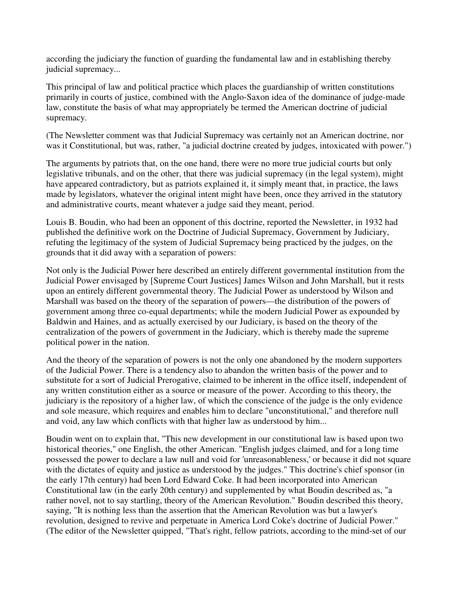according the judiciary the function of guarding the fundamental law and in establishing thereby judicial supremacy...

This principal of law and political practice which places the guardianship of written constitutions primarily in courts of justice, combined with the Anglo-Saxon idea of the dominance of judge-made law, constitute the basis of what may appropriately be termed the American doctrine of judicial supremacy.

(The Newsletter comment was that Judicial Supremacy was certainly not an American doctrine, nor was it Constitutional, but was, rather, "a judicial doctrine created by judges, intoxicated with power.")

The arguments by patriots that, on the one hand, there were no more true judicial courts but only legislative tribunals, and on the other, that there was judicial supremacy (in the legal system), might have appeared contradictory, but as patriots explained it, it simply meant that, in practice, the laws made by legislators, whatever the original intent might have been, once they arrived in the statutory and administrative courts, meant whatever a judge said they meant, period.

Louis B. Boudin, who had been an opponent of this doctrine, reported the Newsletter, in 1932 had published the definitive work on the Doctrine of Judicial Supremacy, Government by Judiciary, refuting the legitimacy of the system of Judicial Supremacy being practiced by the judges, on the grounds that it did away with a separation of powers:

Not only is the Judicial Power here described an entirely different governmental institution from the Judicial Power envisaged by [Supreme Court Justices] James Wilson and John Marshall, but it rests upon an entirely different governmental theory. The Judicial Power as understood by Wilson and Marshall was based on the theory of the separation of powers—the distribution of the powers of government among three co-equal departments; while the modern Judicial Power as expounded by Baldwin and Haines, and as actually exercised by our Judiciary, is based on the theory of the centralization of the powers of government in the Judiciary, which is thereby made the supreme political power in the nation.

And the theory of the separation of powers is not the only one abandoned by the modern supporters of the Judicial Power. There is a tendency also to abandon the written basis of the power and to substitute for a sort of Judicial Prerogative, claimed to be inherent in the office itself, independent of any written constitution either as a source or measure of the power. According to this theory, the judiciary is the repository of a higher law, of which the conscience of the judge is the only evidence and sole measure, which requires and enables him to declare "unconstitutional," and therefore null and void, any law which conflicts with that higher law as understood by him...

Boudin went on to explain that, "This new development in our constitutional law is based upon two historical theories," one English, the other American. "English judges claimed, and for a long time possessed the power to declare a law null and void for 'unreasonableness,' or because it did not square with the dictates of equity and justice as understood by the judges." This doctrine's chief sponsor (in the early 17th century) had been Lord Edward Coke. It had been incorporated into American Constitutional law (in the early 20th century) and supplemented by what Boudin described as, "a rather novel, not to say startling, theory of the American Revolution." Boudin described this theory, saying, "It is nothing less than the assertion that the American Revolution was but a lawyer's revolution, designed to revive and perpetuate in America Lord Coke's doctrine of Judicial Power." (The editor of the Newsletter quipped, "That's right, fellow patriots, according to the mind-set of our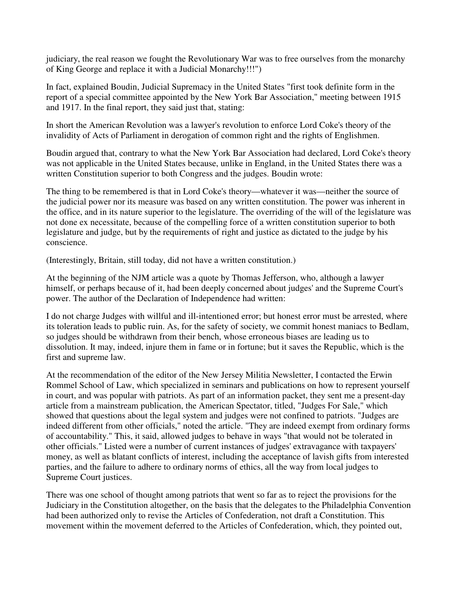judiciary, the real reason we fought the Revolutionary War was to free ourselves from the monarchy of King George and replace it with a Judicial Monarchy!!!")

In fact, explained Boudin, Judicial Supremacy in the United States "first took definite form in the report of a special committee appointed by the New York Bar Association," meeting between 1915 and 1917. In the final report, they said just that, stating:

In short the American Revolution was a lawyer's revolution to enforce Lord Coke's theory of the invalidity of Acts of Parliament in derogation of common right and the rights of Englishmen.

Boudin argued that, contrary to what the New York Bar Association had declared, Lord Coke's theory was not applicable in the United States because, unlike in England, in the United States there was a written Constitution superior to both Congress and the judges. Boudin wrote:

The thing to be remembered is that in Lord Coke's theory—whatever it was—neither the source of the judicial power nor its measure was based on any written constitution. The power was inherent in the office, and in its nature superior to the legislature. The overriding of the will of the legislature was not done ex necessitate, because of the compelling force of a written constitution superior to both legislature and judge, but by the requirements of right and justice as dictated to the judge by his conscience.

(Interestingly, Britain, still today, did not have a written constitution.)

At the beginning of the NJM article was a quote by Thomas Jefferson, who, although a lawyer himself, or perhaps because of it, had been deeply concerned about judges' and the Supreme Court's power. The author of the Declaration of Independence had written:

I do not charge Judges with willful and ill-intentioned error; but honest error must be arrested, where its toleration leads to public ruin. As, for the safety of society, we commit honest maniacs to Bedlam, so judges should be withdrawn from their bench, whose erroneous biases are leading us to dissolution. It may, indeed, injure them in fame or in fortune; but it saves the Republic, which is the first and supreme law.

At the recommendation of the editor of the New Jersey Militia Newsletter, I contacted the Erwin Rommel School of Law, which specialized in seminars and publications on how to represent yourself in court, and was popular with patriots. As part of an information packet, they sent me a present-day article from a mainstream publication, the American Spectator, titled, "Judges For Sale," which showed that questions about the legal system and judges were not confined to patriots. "Judges are indeed different from other officials," noted the article. "They are indeed exempt from ordinary forms of accountability." This, it said, allowed judges to behave in ways "that would not be tolerated in other officials." Listed were a number of current instances of judges' extravagance with taxpayers' money, as well as blatant conflicts of interest, including the acceptance of lavish gifts from interested parties, and the failure to adhere to ordinary norms of ethics, all the way from local judges to Supreme Court justices.

There was one school of thought among patriots that went so far as to reject the provisions for the Judiciary in the Constitution altogether, on the basis that the delegates to the Philadelphia Convention had been authorized only to revise the Articles of Confederation, not draft a Constitution. This movement within the movement deferred to the Articles of Confederation, which, they pointed out,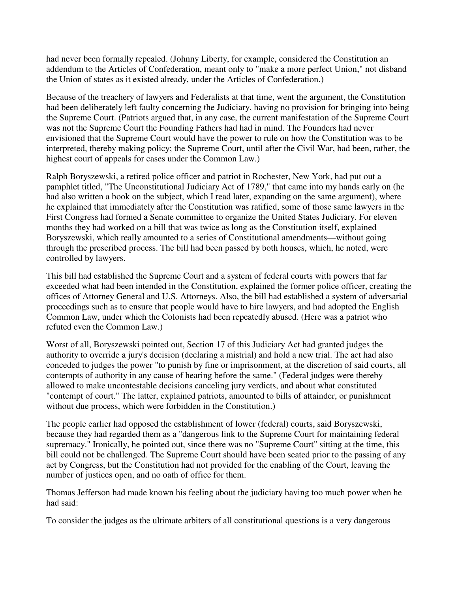had never been formally repealed. (Johnny Liberty, for example, considered the Constitution an addendum to the Articles of Confederation, meant only to "make a more perfect Union," not disband the Union of states as it existed already, under the Articles of Confederation.)

Because of the treachery of lawyers and Federalists at that time, went the argument, the Constitution had been deliberately left faulty concerning the Judiciary, having no provision for bringing into being the Supreme Court. (Patriots argued that, in any case, the current manifestation of the Supreme Court was not the Supreme Court the Founding Fathers had had in mind. The Founders had never envisioned that the Supreme Court would have the power to rule on how the Constitution was to be interpreted, thereby making policy; the Supreme Court, until after the Civil War, had been, rather, the highest court of appeals for cases under the Common Law.)

Ralph Boryszewski, a retired police officer and patriot in Rochester, New York, had put out a pamphlet titled, "The Unconstitutional Judiciary Act of 1789," that came into my hands early on (he had also written a book on the subject, which I read later, expanding on the same argument), where he explained that immediately after the Constitution was ratified, some of those same lawyers in the First Congress had formed a Senate committee to organize the United States Judiciary. For eleven months they had worked on a bill that was twice as long as the Constitution itself, explained Boryszewski, which really amounted to a series of Constitutional amendments—without going through the prescribed process. The bill had been passed by both houses, which, he noted, were controlled by lawyers.

This bill had established the Supreme Court and a system of federal courts with powers that far exceeded what had been intended in the Constitution, explained the former police officer, creating the offices of Attorney General and U.S. Attorneys. Also, the bill had established a system of adversarial proceedings such as to ensure that people would have to hire lawyers, and had adopted the English Common Law, under which the Colonists had been repeatedly abused. (Here was a patriot who refuted even the Common Law.)

Worst of all, Boryszewski pointed out, Section 17 of this Judiciary Act had granted judges the authority to override a jury's decision (declaring a mistrial) and hold a new trial. The act had also conceded to judges the power "to punish by fine or imprisonment, at the discretion of said courts, all contempts of authority in any cause of hearing before the same." (Federal judges were thereby allowed to make uncontestable decisions canceling jury verdicts, and about what constituted "contempt of court." The latter, explained patriots, amounted to bills of attainder, or punishment without due process, which were forbidden in the Constitution.)

The people earlier had opposed the establishment of lower (federal) courts, said Boryszewski, because they had regarded them as a "dangerous link to the Supreme Court for maintaining federal supremacy." Ironically, he pointed out, since there was no "Supreme Court" sitting at the time, this bill could not be challenged. The Supreme Court should have been seated prior to the passing of any act by Congress, but the Constitution had not provided for the enabling of the Court, leaving the number of justices open, and no oath of office for them.

Thomas Jefferson had made known his feeling about the judiciary having too much power when he had said:

To consider the judges as the ultimate arbiters of all constitutional questions is a very dangerous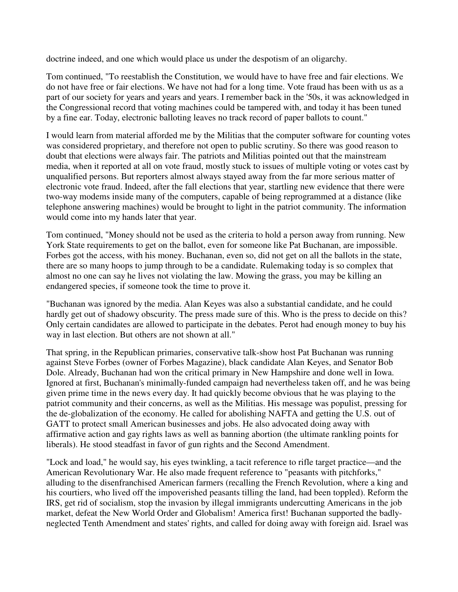doctrine indeed, and one which would place us under the despotism of an oligarchy.

Tom continued, "To reestablish the Constitution, we would have to have free and fair elections. We do not have free or fair elections. We have not had for a long time. Vote fraud has been with us as a part of our society for years and years and years. I remember back in the '50s, it was acknowledged in the Congressional record that voting machines could be tampered with, and today it has been tuned by a fine ear. Today, electronic balloting leaves no track record of paper ballots to count."

I would learn from material afforded me by the Militias that the computer software for counting votes was considered proprietary, and therefore not open to public scrutiny. So there was good reason to doubt that elections were always fair. The patriots and Militias pointed out that the mainstream media, when it reported at all on vote fraud, mostly stuck to issues of multiple voting or votes cast by unqualified persons. But reporters almost always stayed away from the far more serious matter of electronic vote fraud. Indeed, after the fall elections that year, startling new evidence that there were two-way modems inside many of the computers, capable of being reprogrammed at a distance (like telephone answering machines) would be brought to light in the patriot community. The information would come into my hands later that year.

Tom continued, "Money should not be used as the criteria to hold a person away from running. New York State requirements to get on the ballot, even for someone like Pat Buchanan, are impossible. Forbes got the access, with his money. Buchanan, even so, did not get on all the ballots in the state, there are so many hoops to jump through to be a candidate. Rulemaking today is so complex that almost no one can say he lives not violating the law. Mowing the grass, you may be killing an endangered species, if someone took the time to prove it.

"Buchanan was ignored by the media. Alan Keyes was also a substantial candidate, and he could hardly get out of shadowy obscurity. The press made sure of this. Who is the press to decide on this? Only certain candidates are allowed to participate in the debates. Perot had enough money to buy his way in last election. But others are not shown at all."

That spring, in the Republican primaries, conservative talk-show host Pat Buchanan was running against Steve Forbes (owner of Forbes Magazine), black candidate Alan Keyes, and Senator Bob Dole. Already, Buchanan had won the critical primary in New Hampshire and done well in Iowa. Ignored at first, Buchanan's minimally-funded campaign had nevertheless taken off, and he was being given prime time in the news every day. It had quickly become obvious that he was playing to the patriot community and their concerns, as well as the Militias. His message was populist, pressing for the de-globalization of the economy. He called for abolishing NAFTA and getting the U.S. out of GATT to protect small American businesses and jobs. He also advocated doing away with affirmative action and gay rights laws as well as banning abortion (the ultimate rankling points for liberals). He stood steadfast in favor of gun rights and the Second Amendment.

"Lock and load," he would say, his eyes twinkling, a tacit reference to rifle target practice—and the American Revolutionary War. He also made frequent reference to "peasants with pitchforks," alluding to the disenfranchised American farmers (recalling the French Revolution, where a king and his courtiers, who lived off the impoverished peasants tilling the land, had been toppled). Reform the IRS, get rid of socialism, stop the invasion by illegal immigrants undercutting Americans in the job market, defeat the New World Order and Globalism! America first! Buchanan supported the badlyneglected Tenth Amendment and states' rights, and called for doing away with foreign aid. Israel was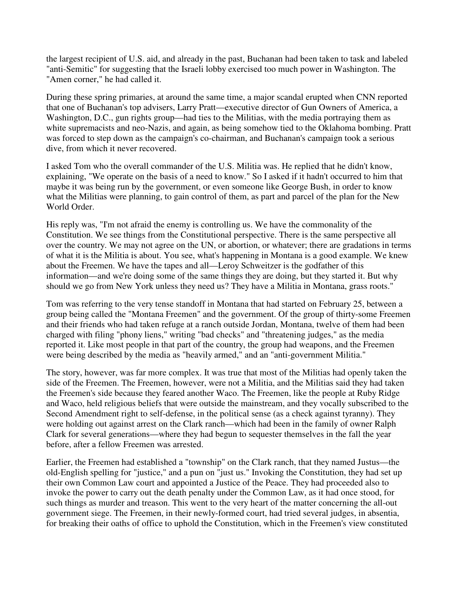the largest recipient of U.S. aid, and already in the past, Buchanan had been taken to task and labeled "anti-Semitic" for suggesting that the Israeli lobby exercised too much power in Washington. The "Amen corner," he had called it.

During these spring primaries, at around the same time, a major scandal erupted when CNN reported that one of Buchanan's top advisers, Larry Pratt—executive director of Gun Owners of America, a Washington, D.C., gun rights group—had ties to the Militias, with the media portraying them as white supremacists and neo-Nazis, and again, as being somehow tied to the Oklahoma bombing. Pratt was forced to step down as the campaign's co-chairman, and Buchanan's campaign took a serious dive, from which it never recovered.

I asked Tom who the overall commander of the U.S. Militia was. He replied that he didn't know, explaining, "We operate on the basis of a need to know." So I asked if it hadn't occurred to him that maybe it was being run by the government, or even someone like George Bush, in order to know what the Militias were planning, to gain control of them, as part and parcel of the plan for the New World Order.

His reply was, "I'm not afraid the enemy is controlling us. We have the commonality of the Constitution. We see things from the Constitutional perspective. There is the same perspective all over the country. We may not agree on the UN, or abortion, or whatever; there are gradations in terms of what it is the Militia is about. You see, what's happening in Montana is a good example. We knew about the Freemen. We have the tapes and all—Leroy Schweitzer is the godfather of this information—and we're doing some of the same things they are doing, but they started it. But why should we go from New York unless they need us? They have a Militia in Montana, grass roots."

Tom was referring to the very tense standoff in Montana that had started on February 25, between a group being called the "Montana Freemen" and the government. Of the group of thirty-some Freemen and their friends who had taken refuge at a ranch outside Jordan, Montana, twelve of them had been charged with filing "phony liens," writing "bad checks" and "threatening judges," as the media reported it. Like most people in that part of the country, the group had weapons, and the Freemen were being described by the media as "heavily armed," and an "anti-government Militia."

The story, however, was far more complex. It was true that most of the Militias had openly taken the side of the Freemen. The Freemen, however, were not a Militia, and the Militias said they had taken the Freemen's side because they feared another Waco. The Freemen, like the people at Ruby Ridge and Waco, held religious beliefs that were outside the mainstream, and they vocally subscribed to the Second Amendment right to self-defense, in the political sense (as a check against tyranny). They were holding out against arrest on the Clark ranch—which had been in the family of owner Ralph Clark for several generations—where they had begun to sequester themselves in the fall the year before, after a fellow Freemen was arrested.

Earlier, the Freemen had established a "township" on the Clark ranch, that they named Justus—the old-English spelling for "justice," and a pun on "just us." Invoking the Constitution, they had set up their own Common Law court and appointed a Justice of the Peace. They had proceeded also to invoke the power to carry out the death penalty under the Common Law, as it had once stood, for such things as murder and treason. This went to the very heart of the matter concerning the all-out government siege. The Freemen, in their newly-formed court, had tried several judges, in absentia, for breaking their oaths of office to uphold the Constitution, which in the Freemen's view constituted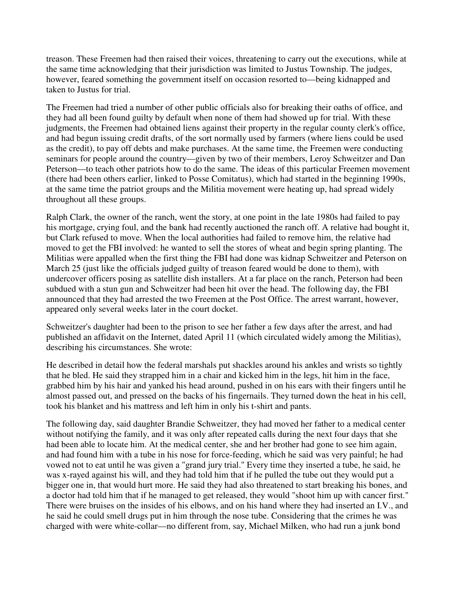treason. These Freemen had then raised their voices, threatening to carry out the executions, while at the same time acknowledging that their jurisdiction was limited to Justus Township. The judges, however, feared something the government itself on occasion resorted to—being kidnapped and taken to Justus for trial.

The Freemen had tried a number of other public officials also for breaking their oaths of office, and they had all been found guilty by default when none of them had showed up for trial. With these judgments, the Freemen had obtained liens against their property in the regular county clerk's office, and had begun issuing credit drafts, of the sort normally used by farmers (where liens could be used as the credit), to pay off debts and make purchases. At the same time, the Freemen were conducting seminars for people around the country—given by two of their members, Leroy Schweitzer and Dan Peterson—to teach other patriots how to do the same. The ideas of this particular Freemen movement (there had been others earlier, linked to Posse Comitatus), which had started in the beginning 1990s, at the same time the patriot groups and the Militia movement were heating up, had spread widely throughout all these groups.

Ralph Clark, the owner of the ranch, went the story, at one point in the late 1980s had failed to pay his mortgage, crying foul, and the bank had recently auctioned the ranch off. A relative had bought it, but Clark refused to move. When the local authorities had failed to remove him, the relative had moved to get the FBI involved: he wanted to sell the stores of wheat and begin spring planting. The Militias were appalled when the first thing the FBI had done was kidnap Schweitzer and Peterson on March 25 (just like the officials judged guilty of treason feared would be done to them), with undercover officers posing as satellite dish installers. At a far place on the ranch, Peterson had been subdued with a stun gun and Schweitzer had been hit over the head. The following day, the FBI announced that they had arrested the two Freemen at the Post Office. The arrest warrant, however, appeared only several weeks later in the court docket.

Schweitzer's daughter had been to the prison to see her father a few days after the arrest, and had published an affidavit on the Internet, dated April 11 (which circulated widely among the Militias), describing his circumstances. She wrote:

He described in detail how the federal marshals put shackles around his ankles and wrists so tightly that he bled. He said they strapped him in a chair and kicked him in the legs, hit him in the face, grabbed him by his hair and yanked his head around, pushed in on his ears with their fingers until he almost passed out, and pressed on the backs of his fingernails. They turned down the heat in his cell, took his blanket and his mattress and left him in only his t-shirt and pants.

The following day, said daughter Brandie Schweitzer, they had moved her father to a medical center without notifying the family, and it was only after repeated calls during the next four days that she had been able to locate him. At the medical center, she and her brother had gone to see him again, and had found him with a tube in his nose for force-feeding, which he said was very painful; he had vowed not to eat until he was given a "grand jury trial." Every time they inserted a tube, he said, he was x-rayed against his will, and they had told him that if he pulled the tube out they would put a bigger one in, that would hurt more. He said they had also threatened to start breaking his bones, and a doctor had told him that if he managed to get released, they would "shoot him up with cancer first." There were bruises on the insides of his elbows, and on his hand where they had inserted an I.V., and he said he could smell drugs put in him through the nose tube. Considering that the crimes he was charged with were white-collar—no different from, say, Michael Milken, who had run a junk bond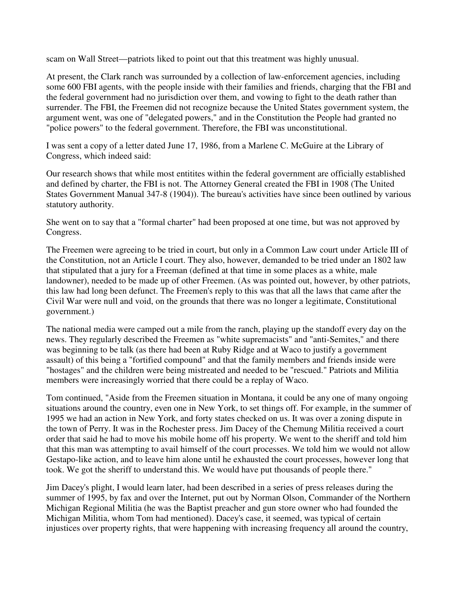scam on Wall Street—patriots liked to point out that this treatment was highly unusual.

At present, the Clark ranch was surrounded by a collection of law-enforcement agencies, including some 600 FBI agents, with the people inside with their families and friends, charging that the FBI and the federal government had no jurisdiction over them, and vowing to fight to the death rather than surrender. The FBI, the Freemen did not recognize because the United States government system, the argument went, was one of "delegated powers," and in the Constitution the People had granted no "police powers" to the federal government. Therefore, the FBI was unconstitutional.

I was sent a copy of a letter dated June 17, 1986, from a Marlene C. McGuire at the Library of Congress, which indeed said:

Our research shows that while most entitites within the federal government are officially established and defined by charter, the FBI is not. The Attorney General created the FBI in 1908 (The United States Government Manual 347-8 (1904)). The bureau's activities have since been outlined by various statutory authority.

She went on to say that a "formal charter" had been proposed at one time, but was not approved by Congress.

The Freemen were agreeing to be tried in court, but only in a Common Law court under Article III of the Constitution, not an Article I court. They also, however, demanded to be tried under an 1802 law that stipulated that a jury for a Freeman (defined at that time in some places as a white, male landowner), needed to be made up of other Freemen. (As was pointed out, however, by other patriots, this law had long been defunct. The Freemen's reply to this was that all the laws that came after the Civil War were null and void, on the grounds that there was no longer a legitimate, Constitutional government.)

The national media were camped out a mile from the ranch, playing up the standoff every day on the news. They regularly described the Freemen as "white supremacists" and "anti-Semites," and there was beginning to be talk (as there had been at Ruby Ridge and at Waco to justify a government assault) of this being a "fortified compound" and that the family members and friends inside were "hostages" and the children were being mistreated and needed to be "rescued." Patriots and Militia members were increasingly worried that there could be a replay of Waco.

Tom continued, "Aside from the Freemen situation in Montana, it could be any one of many ongoing situations around the country, even one in New York, to set things off. For example, in the summer of 1995 we had an action in New York, and forty states checked on us. It was over a zoning dispute in the town of Perry. It was in the Rochester press. Jim Dacey of the Chemung Militia received a court order that said he had to move his mobile home off his property. We went to the sheriff and told him that this man was attempting to avail himself of the court processes. We told him we would not allow Gestapo-like action, and to leave him alone until he exhausted the court processes, however long that took. We got the sheriff to understand this. We would have put thousands of people there."

Jim Dacey's plight, I would learn later, had been described in a series of press releases during the summer of 1995, by fax and over the Internet, put out by Norman Olson, Commander of the Northern Michigan Regional Militia (he was the Baptist preacher and gun store owner who had founded the Michigan Militia, whom Tom had mentioned). Dacey's case, it seemed, was typical of certain injustices over property rights, that were happening with increasing frequency all around the country,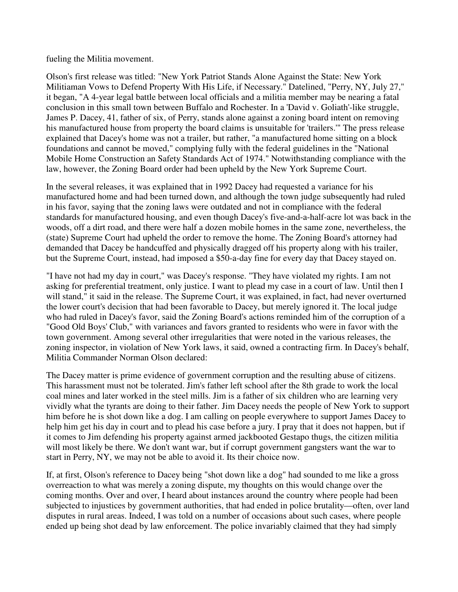fueling the Militia movement.

Olson's first release was titled: "New York Patriot Stands Alone Against the State: New York Militiaman Vows to Defend Property With His Life, if Necessary." Datelined, "Perry, NY, July 27," it began, "A 4-year legal battle between local officials and a militia member may be nearing a fatal conclusion in this small town between Buffalo and Rochester. In a 'David v. Goliath'-like struggle, James P. Dacey, 41, father of six, of Perry, stands alone against a zoning board intent on removing his manufactured house from property the board claims is unsuitable for 'trailers.'" The press release explained that Dacey's home was not a trailer, but rather, "a manufactured home sitting on a block foundations and cannot be moved," complying fully with the federal guidelines in the "National Mobile Home Construction an Safety Standards Act of 1974." Notwithstanding compliance with the law, however, the Zoning Board order had been upheld by the New York Supreme Court.

In the several releases, it was explained that in 1992 Dacey had requested a variance for his manufactured home and had been turned down, and although the town judge subsequently had ruled in his favor, saying that the zoning laws were outdated and not in compliance with the federal standards for manufactured housing, and even though Dacey's five-and-a-half-acre lot was back in the woods, off a dirt road, and there were half a dozen mobile homes in the same zone, nevertheless, the (state) Supreme Court had upheld the order to remove the home. The Zoning Board's attorney had demanded that Dacey be handcuffed and physically dragged off his property along with his trailer, but the Supreme Court, instead, had imposed a \$50-a-day fine for every day that Dacey stayed on.

"I have not had my day in court," was Dacey's response. "They have violated my rights. I am not asking for preferential treatment, only justice. I want to plead my case in a court of law. Until then I will stand," it said in the release. The Supreme Court, it was explained, in fact, had never overturned the lower court's decision that had been favorable to Dacey, but merely ignored it. The local judge who had ruled in Dacey's favor, said the Zoning Board's actions reminded him of the corruption of a "Good Old Boys' Club," with variances and favors granted to residents who were in favor with the town government. Among several other irregularities that were noted in the various releases, the zoning inspector, in violation of New York laws, it said, owned a contracting firm. In Dacey's behalf, Militia Commander Norman Olson declared:

The Dacey matter is prime evidence of government corruption and the resulting abuse of citizens. This harassment must not be tolerated. Jim's father left school after the 8th grade to work the local coal mines and later worked in the steel mills. Jim is a father of six children who are learning very vividly what the tyrants are doing to their father. Jim Dacey needs the people of New York to support him before he is shot down like a dog. I am calling on people everywhere to support James Dacey to help him get his day in court and to plead his case before a jury. I pray that it does not happen, but if it comes to Jim defending his property against armed jackbooted Gestapo thugs, the citizen militia will most likely be there. We don't want war, but if corrupt government gangsters want the war to start in Perry, NY, we may not be able to avoid it. Its their choice now.

If, at first, Olson's reference to Dacey being "shot down like a dog" had sounded to me like a gross overreaction to what was merely a zoning dispute, my thoughts on this would change over the coming months. Over and over, I heard about instances around the country where people had been subjected to injustices by government authorities, that had ended in police brutality—often, over land disputes in rural areas. Indeed, I was told on a number of occasions about such cases, where people ended up being shot dead by law enforcement. The police invariably claimed that they had simply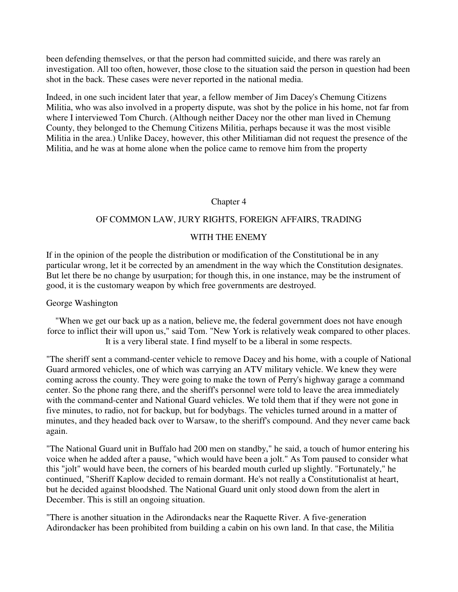been defending themselves, or that the person had committed suicide, and there was rarely an investigation. All too often, however, those close to the situation said the person in question had been shot in the back. These cases were never reported in the national media.

Indeed, in one such incident later that year, a fellow member of Jim Dacey's Chemung Citizens Militia, who was also involved in a property dispute, was shot by the police in his home, not far from where I interviewed Tom Church. (Although neither Dacey nor the other man lived in Chemung County, they belonged to the Chemung Citizens Militia, perhaps because it was the most visible Militia in the area.) Unlike Dacey, however, this other Militiaman did not request the presence of the Militia, and he was at home alone when the police came to remove him from the property

### Chapter 4

### OF COMMON LAW, JURY RIGHTS, FOREIGN AFFAIRS, TRADING

### WITH THE ENEMY

If in the opinion of the people the distribution or modification of the Constitutional be in any particular wrong, let it be corrected by an amendment in the way which the Constitution designates. But let there be no change by usurpation; for though this, in one instance, may be the instrument of good, it is the customary weapon by which free governments are destroyed.

#### George Washington

"When we get our back up as a nation, believe me, the federal government does not have enough force to inflict their will upon us," said Tom. "New York is relatively weak compared to other places. It is a very liberal state. I find myself to be a liberal in some respects.

"The sheriff sent a command-center vehicle to remove Dacey and his home, with a couple of National Guard armored vehicles, one of which was carrying an ATV military vehicle. We knew they were coming across the county. They were going to make the town of Perry's highway garage a command center. So the phone rang there, and the sheriff's personnel were told to leave the area immediately with the command-center and National Guard vehicles. We told them that if they were not gone in five minutes, to radio, not for backup, but for bodybags. The vehicles turned around in a matter of minutes, and they headed back over to Warsaw, to the sheriff's compound. And they never came back again.

"The National Guard unit in Buffalo had 200 men on standby," he said, a touch of humor entering his voice when he added after a pause, "which would have been a jolt." As Tom paused to consider what this "jolt" would have been, the corners of his bearded mouth curled up slightly. "Fortunately," he continued, "Sheriff Kaplow decided to remain dormant. He's not really a Constitutionalist at heart, but he decided against bloodshed. The National Guard unit only stood down from the alert in December. This is still an ongoing situation.

"There is another situation in the Adirondacks near the Raquette River. A five-generation Adirondacker has been prohibited from building a cabin on his own land. In that case, the Militia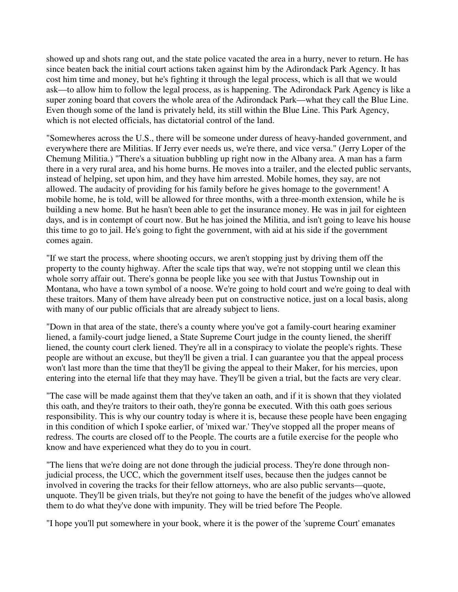showed up and shots rang out, and the state police vacated the area in a hurry, never to return. He has since beaten back the initial court actions taken against him by the Adirondack Park Agency. It has cost him time and money, but he's fighting it through the legal process, which is all that we would ask—to allow him to follow the legal process, as is happening. The Adirondack Park Agency is like a super zoning board that covers the whole area of the Adirondack Park—what they call the Blue Line. Even though some of the land is privately held, its still within the Blue Line. This Park Agency, which is not elected officials, has dictatorial control of the land.

"Somewheres across the U.S., there will be someone under duress of heavy-handed government, and everywhere there are Militias. If Jerry ever needs us, we're there, and vice versa." (Jerry Loper of the Chemung Militia.) "There's a situation bubbling up right now in the Albany area. A man has a farm there in a very rural area, and his home burns. He moves into a trailer, and the elected public servants, instead of helping, set upon him, and they have him arrested. Mobile homes, they say, are not allowed. The audacity of providing for his family before he gives homage to the government! A mobile home, he is told, will be allowed for three months, with a three-month extension, while he is building a new home. But he hasn't been able to get the insurance money. He was in jail for eighteen days, and is in contempt of court now. But he has joined the Militia, and isn't going to leave his house this time to go to jail. He's going to fight the government, with aid at his side if the government comes again.

"If we start the process, where shooting occurs, we aren't stopping just by driving them off the property to the county highway. After the scale tips that way, we're not stopping until we clean this whole sorry affair out. There's gonna be people like you see with that Justus Township out in Montana, who have a town symbol of a noose. We're going to hold court and we're going to deal with these traitors. Many of them have already been put on constructive notice, just on a local basis, along with many of our public officials that are already subject to liens.

"Down in that area of the state, there's a county where you've got a family-court hearing examiner liened, a family-court judge liened, a State Supreme Court judge in the county liened, the sheriff liened, the county court clerk liened. They're all in a conspiracy to violate the people's rights. These people are without an excuse, but they'll be given a trial. I can guarantee you that the appeal process won't last more than the time that they'll be giving the appeal to their Maker, for his mercies, upon entering into the eternal life that they may have. They'll be given a trial, but the facts are very clear.

"The case will be made against them that they've taken an oath, and if it is shown that they violated this oath, and they're traitors to their oath, they're gonna be executed. With this oath goes serious responsibility. This is why our country today is where it is, because these people have been engaging in this condition of which I spoke earlier, of 'mixed war.' They've stopped all the proper means of redress. The courts are closed off to the People. The courts are a futile exercise for the people who know and have experienced what they do to you in court.

"The liens that we're doing are not done through the judicial process. They're done through nonjudicial process, the UCC, which the government itself uses, because then the judges cannot be involved in covering the tracks for their fellow attorneys, who are also public servants—quote, unquote. They'll be given trials, but they're not going to have the benefit of the judges who've allowed them to do what they've done with impunity. They will be tried before The People.

"I hope you'll put somewhere in your book, where it is the power of the 'supreme Court' emanates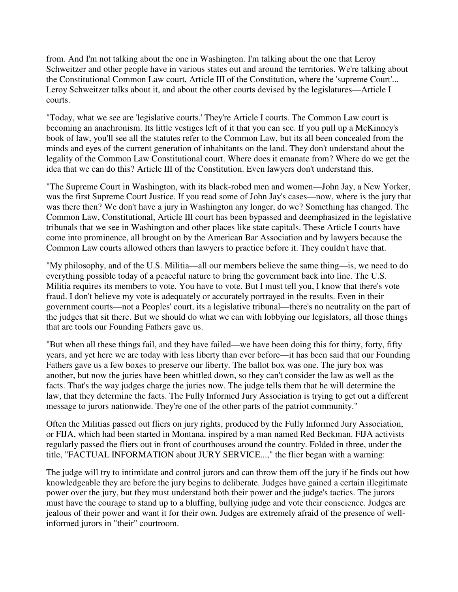from. And I'm not talking about the one in Washington. I'm talking about the one that Leroy Schweitzer and other people have in various states out and around the territories. We're talking about the Constitutional Common Law court, Article III of the Constitution, where the 'supreme Court'... Leroy Schweitzer talks about it, and about the other courts devised by the legislatures—Article I courts.

"Today, what we see are 'legislative courts.' They're Article I courts. The Common Law court is becoming an anachronism. Its little vestiges left of it that you can see. If you pull up a McKinney's book of law, you'll see all the statutes refer to the Common Law, but its all been concealed from the minds and eyes of the current generation of inhabitants on the land. They don't understand about the legality of the Common Law Constitutional court. Where does it emanate from? Where do we get the idea that we can do this? Article III of the Constitution. Even lawyers don't understand this.

"The Supreme Court in Washington, with its black-robed men and women—John Jay, a New Yorker, was the first Supreme Court Justice. If you read some of John Jay's cases—now, where is the jury that was there then? We don't have a jury in Washington any longer, do we? Something has changed. The Common Law, Constitutional, Article III court has been bypassed and deemphasized in the legislative tribunals that we see in Washington and other places like state capitals. These Article I courts have come into prominence, all brought on by the American Bar Association and by lawyers because the Common Law courts allowed others than lawyers to practice before it. They couldn't have that.

"My philosophy, and of the U.S. Militia—all our members believe the same thing—is, we need to do everything possible today of a peaceful nature to bring the government back into line. The U.S. Militia requires its members to vote. You have to vote. But I must tell you, I know that there's vote fraud. I don't believe my vote is adequately or accurately portrayed in the results. Even in their government courts—not a Peoples' court, its a legislative tribunal—there's no neutrality on the part of the judges that sit there. But we should do what we can with lobbying our legislators, all those things that are tools our Founding Fathers gave us.

"But when all these things fail, and they have failed—we have been doing this for thirty, forty, fifty years, and yet here we are today with less liberty than ever before—it has been said that our Founding Fathers gave us a few boxes to preserve our liberty. The ballot box was one. The jury box was another, but now the juries have been whittled down, so they can't consider the law as well as the facts. That's the way judges charge the juries now. The judge tells them that he will determine the law, that they determine the facts. The Fully Informed Jury Association is trying to get out a different message to jurors nationwide. They're one of the other parts of the patriot community."

Often the Militias passed out fliers on jury rights, produced by the Fully Informed Jury Association, or FIJA, which had been started in Montana, inspired by a man named Red Beckman. FIJA activists regularly passed the fliers out in front of courthouses around the country. Folded in three, under the title, "FACTUAL INFORMATION about JURY SERVICE...," the flier began with a warning:

The judge will try to intimidate and control jurors and can throw them off the jury if he finds out how knowledgeable they are before the jury begins to deliberate. Judges have gained a certain illegitimate power over the jury, but they must understand both their power and the judge's tactics. The jurors must have the courage to stand up to a bluffing, bullying judge and vote their conscience. Judges are jealous of their power and want it for their own. Judges are extremely afraid of the presence of wellinformed jurors in "their" courtroom.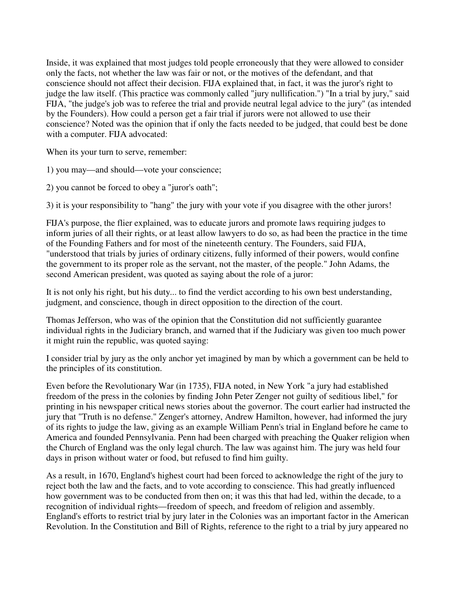Inside, it was explained that most judges told people erroneously that they were allowed to consider only the facts, not whether the law was fair or not, or the motives of the defendant, and that conscience should not affect their decision. FIJA explained that, in fact, it was the juror's right to judge the law itself. (This practice was commonly called "jury nullification.") "In a trial by jury," said FIJA, "the judge's job was to referee the trial and provide neutral legal advice to the jury" (as intended by the Founders). How could a person get a fair trial if jurors were not allowed to use their conscience? Noted was the opinion that if only the facts needed to be judged, that could best be done with a computer. FIJA advocated:

When its your turn to serve, remember:

1) you may—and should—vote your conscience;

2) you cannot be forced to obey a "juror's oath";

3) it is your responsibility to "hang" the jury with your vote if you disagree with the other jurors!

FIJA's purpose, the flier explained, was to educate jurors and promote laws requiring judges to inform juries of all their rights, or at least allow lawyers to do so, as had been the practice in the time of the Founding Fathers and for most of the nineteenth century. The Founders, said FIJA, "understood that trials by juries of ordinary citizens, fully informed of their powers, would confine the government to its proper role as the servant, not the master, of the people." John Adams, the second American president, was quoted as saying about the role of a juror:

It is not only his right, but his duty... to find the verdict according to his own best understanding, judgment, and conscience, though in direct opposition to the direction of the court.

Thomas Jefferson, who was of the opinion that the Constitution did not sufficiently guarantee individual rights in the Judiciary branch, and warned that if the Judiciary was given too much power it might ruin the republic, was quoted saying:

I consider trial by jury as the only anchor yet imagined by man by which a government can be held to the principles of its constitution.

Even before the Revolutionary War (in 1735), FIJA noted, in New York "a jury had established freedom of the press in the colonies by finding John Peter Zenger not guilty of seditious libel," for printing in his newspaper critical news stories about the governor. The court earlier had instructed the jury that "Truth is no defense." Zenger's attorney, Andrew Hamilton, however, had informed the jury of its rights to judge the law, giving as an example William Penn's trial in England before he came to America and founded Pennsylvania. Penn had been charged with preaching the Quaker religion when the Church of England was the only legal church. The law was against him. The jury was held four days in prison without water or food, but refused to find him guilty.

As a result, in 1670, England's highest court had been forced to acknowledge the right of the jury to reject both the law and the facts, and to vote according to conscience. This had greatly influenced how government was to be conducted from then on; it was this that had led, within the decade, to a recognition of individual rights—freedom of speech, and freedom of religion and assembly. England's efforts to restrict trial by jury later in the Colonies was an important factor in the American Revolution. In the Constitution and Bill of Rights, reference to the right to a trial by jury appeared no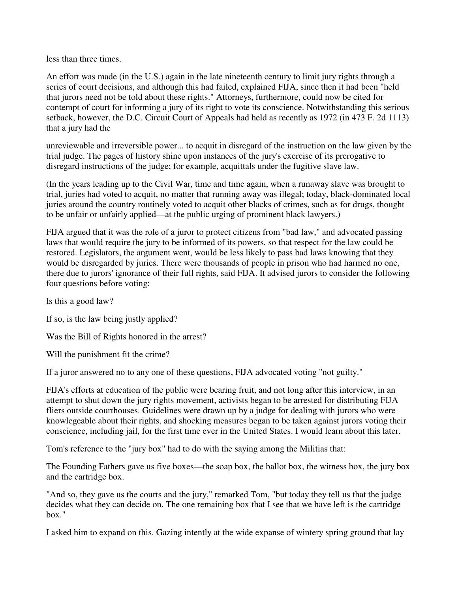less than three times.

An effort was made (in the U.S.) again in the late nineteenth century to limit jury rights through a series of court decisions, and although this had failed, explained FIJA, since then it had been "held that jurors need not be told about these rights." Attorneys, furthermore, could now be cited for contempt of court for informing a jury of its right to vote its conscience. Notwithstanding this serious setback, however, the D.C. Circuit Court of Appeals had held as recently as 1972 (in 473 F. 2d 1113) that a jury had the

unreviewable and irreversible power... to acquit in disregard of the instruction on the law given by the trial judge. The pages of history shine upon instances of the jury's exercise of its prerogative to disregard instructions of the judge; for example, acquittals under the fugitive slave law.

(In the years leading up to the Civil War, time and time again, when a runaway slave was brought to trial, juries had voted to acquit, no matter that running away was illegal; today, black-dominated local juries around the country routinely voted to acquit other blacks of crimes, such as for drugs, thought to be unfair or unfairly applied—at the public urging of prominent black lawyers.)

FIJA argued that it was the role of a juror to protect citizens from "bad law," and advocated passing laws that would require the jury to be informed of its powers, so that respect for the law could be restored. Legislators, the argument went, would be less likely to pass bad laws knowing that they would be disregarded by juries. There were thousands of people in prison who had harmed no one, there due to jurors' ignorance of their full rights, said FIJA. It advised jurors to consider the following four questions before voting:

Is this a good law?

If so, is the law being justly applied?

Was the Bill of Rights honored in the arrest?

Will the punishment fit the crime?

If a juror answered no to any one of these questions, FIJA advocated voting "not guilty."

FIJA's efforts at education of the public were bearing fruit, and not long after this interview, in an attempt to shut down the jury rights movement, activists began to be arrested for distributing FIJA fliers outside courthouses. Guidelines were drawn up by a judge for dealing with jurors who were knowlegeable about their rights, and shocking measures began to be taken against jurors voting their conscience, including jail, for the first time ever in the United States. I would learn about this later.

Tom's reference to the "jury box" had to do with the saying among the Militias that:

The Founding Fathers gave us five boxes—the soap box, the ballot box, the witness box, the jury box and the cartridge box.

"And so, they gave us the courts and the jury," remarked Tom, "but today they tell us that the judge decides what they can decide on. The one remaining box that I see that we have left is the cartridge box."

I asked him to expand on this. Gazing intently at the wide expanse of wintery spring ground that lay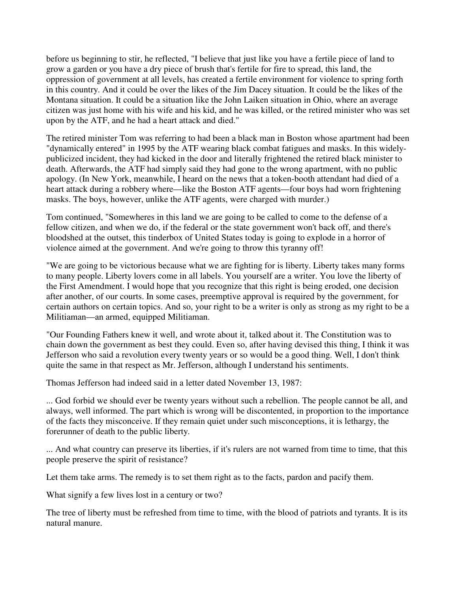before us beginning to stir, he reflected, "I believe that just like you have a fertile piece of land to grow a garden or you have a dry piece of brush that's fertile for fire to spread, this land, the oppression of government at all levels, has created a fertile environment for violence to spring forth in this country. And it could be over the likes of the Jim Dacey situation. It could be the likes of the Montana situation. It could be a situation like the John Laiken situation in Ohio, where an average citizen was just home with his wife and his kid, and he was killed, or the retired minister who was set upon by the ATF, and he had a heart attack and died."

The retired minister Tom was referring to had been a black man in Boston whose apartment had been "dynamically entered" in 1995 by the ATF wearing black combat fatigues and masks. In this widelypublicized incident, they had kicked in the door and literally frightened the retired black minister to death. Afterwards, the ATF had simply said they had gone to the wrong apartment, with no public apology. (In New York, meanwhile, I heard on the news that a token-booth attendant had died of a heart attack during a robbery where—like the Boston ATF agents—four boys had worn frightening masks. The boys, however, unlike the ATF agents, were charged with murder.)

Tom continued, "Somewheres in this land we are going to be called to come to the defense of a fellow citizen, and when we do, if the federal or the state government won't back off, and there's bloodshed at the outset, this tinderbox of United States today is going to explode in a horror of violence aimed at the government. And we're going to throw this tyranny off!

"We are going to be victorious because what we are fighting for is liberty. Liberty takes many forms to many people. Liberty lovers come in all labels. You yourself are a writer. You love the liberty of the First Amendment. I would hope that you recognize that this right is being eroded, one decision after another, of our courts. In some cases, preemptive approval is required by the government, for certain authors on certain topics. And so, your right to be a writer is only as strong as my right to be a Militiaman—an armed, equipped Militiaman.

"Our Founding Fathers knew it well, and wrote about it, talked about it. The Constitution was to chain down the government as best they could. Even so, after having devised this thing, I think it was Jefferson who said a revolution every twenty years or so would be a good thing. Well, I don't think quite the same in that respect as Mr. Jefferson, although I understand his sentiments.

Thomas Jefferson had indeed said in a letter dated November 13, 1987:

... God forbid we should ever be twenty years without such a rebellion. The people cannot be all, and always, well informed. The part which is wrong will be discontented, in proportion to the importance of the facts they misconceive. If they remain quiet under such misconceptions, it is lethargy, the forerunner of death to the public liberty.

... And what country can preserve its liberties, if it's rulers are not warned from time to time, that this people preserve the spirit of resistance?

Let them take arms. The remedy is to set them right as to the facts, pardon and pacify them.

What signify a few lives lost in a century or two?

The tree of liberty must be refreshed from time to time, with the blood of patriots and tyrants. It is its natural manure.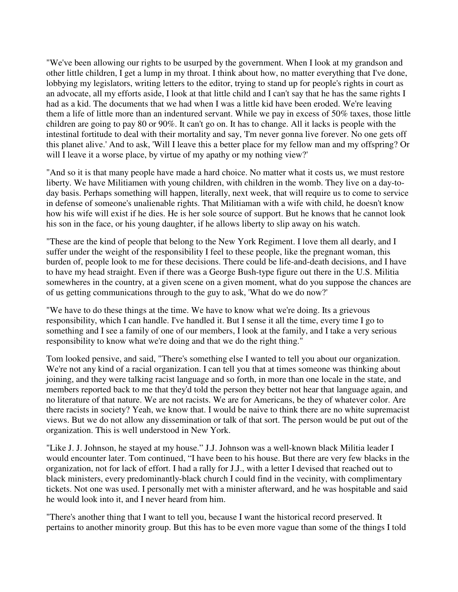"We've been allowing our rights to be usurped by the government. When I look at my grandson and other little children, I get a lump in my throat. I think about how, no matter everything that I've done, lobbying my legislators, writing letters to the editor, trying to stand up for people's rights in court as an advocate, all my efforts aside, I look at that little child and I can't say that he has the same rights I had as a kid. The documents that we had when I was a little kid have been eroded. We're leaving them a life of little more than an indentured servant. While we pay in excess of 50% taxes, those little children are going to pay 80 or 90%. It can't go on. It has to change. All it lacks is people with the intestinal fortitude to deal with their mortality and say, 'I'm never gonna live forever. No one gets off this planet alive.' And to ask, 'Will I leave this a better place for my fellow man and my offspring? Or will I leave it a worse place, by virtue of my apathy or my nothing view?'

"And so it is that many people have made a hard choice. No matter what it costs us, we must restore liberty. We have Militiamen with young children, with children in the womb. They live on a day-today basis. Perhaps something will happen, literally, next week, that will require us to come to service in defense of someone's unalienable rights. That Militiaman with a wife with child, he doesn't know how his wife will exist if he dies. He is her sole source of support. But he knows that he cannot look his son in the face, or his young daughter, if he allows liberty to slip away on his watch.

"These are the kind of people that belong to the New York Regiment. I love them all dearly, and I suffer under the weight of the responsibility I feel to these people, like the pregnant woman, this burden of, people look to me for these decisions. There could be life-and-death decisions, and I have to have my head straight. Even if there was a George Bush-type figure out there in the U.S. Militia somewheres in the country, at a given scene on a given moment, what do you suppose the chances are of us getting communications through to the guy to ask, 'What do we do now?'

"We have to do these things at the time. We have to know what we're doing. Its a grievous responsibility, which I can handle. I've handled it. But I sense it all the time, every time I go to something and I see a family of one of our members, I look at the family, and I take a very serious responsibility to know what we're doing and that we do the right thing."

Tom looked pensive, and said, "There's something else I wanted to tell you about our organization. We're not any kind of a racial organization. I can tell you that at times someone was thinking about joining, and they were talking racist language and so forth, in more than one locale in the state, and members reported back to me that they'd told the person they better not hear that language again, and no literature of that nature. We are not racists. We are for Americans, be they of whatever color. Are there racists in society? Yeah, we know that. I would be naive to think there are no white supremacist views. But we do not allow any dissemination or talk of that sort. The person would be put out of the organization. This is well understood in New York.

"Like J. J. Johnson, he stayed at my house." J.J. Johnson was a well-known black Militia leader I would encounter later. Tom continued, "I have been to his house. But there are very few blacks in the organization, not for lack of effort. I had a rally for J.J., with a letter I devised that reached out to black ministers, every predominantly-black church I could find in the vecinity, with complimentary tickets. Not one was used. I personally met with a minister afterward, and he was hospitable and said he would look into it, and I never heard from him.

"There's another thing that I want to tell you, because I want the historical record preserved. It pertains to another minority group. But this has to be even more vague than some of the things I told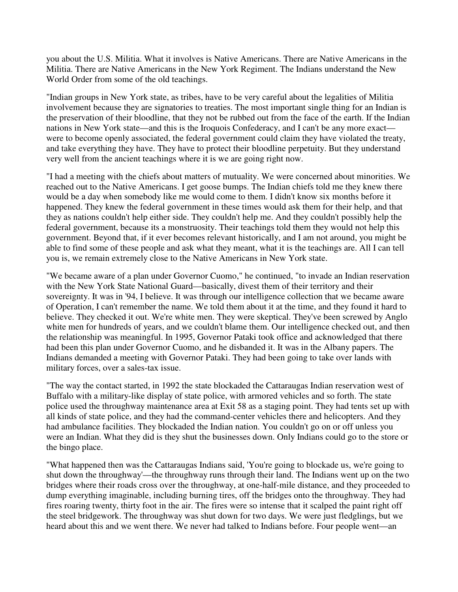you about the U.S. Militia. What it involves is Native Americans. There are Native Americans in the Militia. There are Native Americans in the New York Regiment. The Indians understand the New World Order from some of the old teachings.

"Indian groups in New York state, as tribes, have to be very careful about the legalities of Militia involvement because they are signatories to treaties. The most important single thing for an Indian is the preservation of their bloodline, that they not be rubbed out from the face of the earth. If the Indian nations in New York state—and this is the Iroquois Confederacy, and I can't be any more exact were to become openly associated, the federal government could claim they have violated the treaty, and take everything they have. They have to protect their bloodline perpetuity. But they understand very well from the ancient teachings where it is we are going right now.

"I had a meeting with the chiefs about matters of mutuality. We were concerned about minorities. We reached out to the Native Americans. I get goose bumps. The Indian chiefs told me they knew there would be a day when somebody like me would come to them. I didn't know six months before it happened. They knew the federal government in these times would ask them for their help, and that they as nations couldn't help either side. They couldn't help me. And they couldn't possibly help the federal government, because its a monstruosity. Their teachings told them they would not help this government. Beyond that, if it ever becomes relevant historically, and I am not around, you might be able to find some of these people and ask what they meant, what it is the teachings are. All I can tell you is, we remain extremely close to the Native Americans in New York state.

"We became aware of a plan under Governor Cuomo," he continued, "to invade an Indian reservation with the New York State National Guard—basically, divest them of their territory and their sovereignty. It was in '94, I believe. It was through our intelligence collection that we became aware of Operation, I can't remember the name. We told them about it at the time, and they found it hard to believe. They checked it out. We're white men. They were skeptical. They've been screwed by Anglo white men for hundreds of years, and we couldn't blame them. Our intelligence checked out, and then the relationship was meaningful. In 1995, Governor Pataki took office and acknowledged that there had been this plan under Governor Cuomo, and he disbanded it. It was in the Albany papers. The Indians demanded a meeting with Governor Pataki. They had been going to take over lands with military forces, over a sales-tax issue.

"The way the contact started, in 1992 the state blockaded the Cattaraugas Indian reservation west of Buffalo with a military-like display of state police, with armored vehicles and so forth. The state police used the throughway maintenance area at Exit 58 as a staging point. They had tents set up with all kinds of state police, and they had the command-center vehicles there and helicopters. And they had ambulance facilities. They blockaded the Indian nation. You couldn't go on or off unless you were an Indian. What they did is they shut the businesses down. Only Indians could go to the store or the bingo place.

"What happened then was the Cattaraugas Indians said, 'You're going to blockade us, we're going to shut down the throughway'—the throughway runs through their land. The Indians went up on the two bridges where their roads cross over the throughway, at one-half-mile distance, and they proceeded to dump everything imaginable, including burning tires, off the bridges onto the throughway. They had fires roaring twenty, thirty foot in the air. The fires were so intense that it scalped the paint right off the steel bridgework. The throughway was shut down for two days. We were just fledglings, but we heard about this and we went there. We never had talked to Indians before. Four people went—an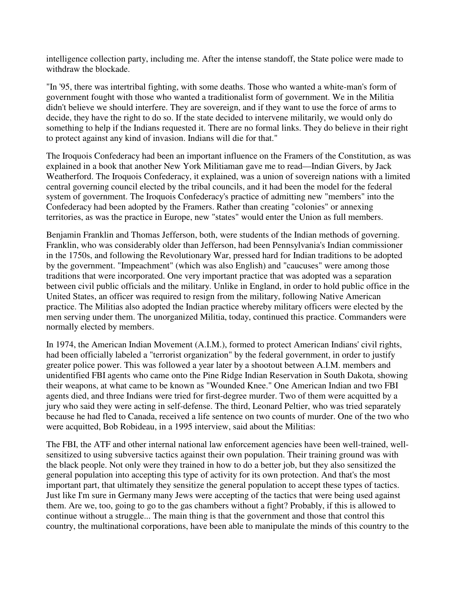intelligence collection party, including me. After the intense standoff, the State police were made to withdraw the blockade.

"In '95, there was intertribal fighting, with some deaths. Those who wanted a white-man's form of government fought with those who wanted a traditionalist form of government. We in the Militia didn't believe we should interfere. They are sovereign, and if they want to use the force of arms to decide, they have the right to do so. If the state decided to intervene militarily, we would only do something to help if the Indians requested it. There are no formal links. They do believe in their right to protect against any kind of invasion. Indians will die for that."

The Iroquois Confederacy had been an important influence on the Framers of the Constitution, as was explained in a book that another New York Militiaman gave me to read—Indian Givers, by Jack Weatherford. The Iroquois Confederacy, it explained, was a union of sovereign nations with a limited central governing council elected by the tribal councils, and it had been the model for the federal system of government. The Iroquois Confederacy's practice of admitting new "members" into the Confederacy had been adopted by the Framers. Rather than creating "colonies" or annexing territories, as was the practice in Europe, new "states" would enter the Union as full members.

Benjamin Franklin and Thomas Jefferson, both, were students of the Indian methods of governing. Franklin, who was considerably older than Jefferson, had been Pennsylvania's Indian commissioner in the 1750s, and following the Revolutionary War, pressed hard for Indian traditions to be adopted by the government. "Impeachment" (which was also English) and "caucuses" were among those traditions that were incorporated. One very important practice that was adopted was a separation between civil public officials and the military. Unlike in England, in order to hold public office in the United States, an officer was required to resign from the military, following Native American practice. The Militias also adopted the Indian practice whereby military officers were elected by the men serving under them. The unorganized Militia, today, continued this practice. Commanders were normally elected by members.

In 1974, the American Indian Movement (A.I.M.), formed to protect American Indians' civil rights, had been officially labeled a "terrorist organization" by the federal government, in order to justify greater police power. This was followed a year later by a shootout between A.I.M. members and unidentified FBI agents who came onto the Pine Ridge Indian Reservation in South Dakota, showing their weapons, at what came to be known as "Wounded Knee." One American Indian and two FBI agents died, and three Indians were tried for first-degree murder. Two of them were acquitted by a jury who said they were acting in self-defense. The third, Leonard Peltier, who was tried separately because he had fled to Canada, received a life sentence on two counts of murder. One of the two who were acquitted, Bob Robideau, in a 1995 interview, said about the Militias:

The FBI, the ATF and other internal national law enforcement agencies have been well-trained, wellsensitized to using subversive tactics against their own population. Their training ground was with the black people. Not only were they trained in how to do a better job, but they also sensitized the general population into accepting this type of activity for its own protection. And that's the most important part, that ultimately they sensitize the general population to accept these types of tactics. Just like I'm sure in Germany many Jews were accepting of the tactics that were being used against them. Are we, too, going to go to the gas chambers without a fight? Probably, if this is allowed to continue without a struggle... The main thing is that the government and those that control this country, the multinational corporations, have been able to manipulate the minds of this country to the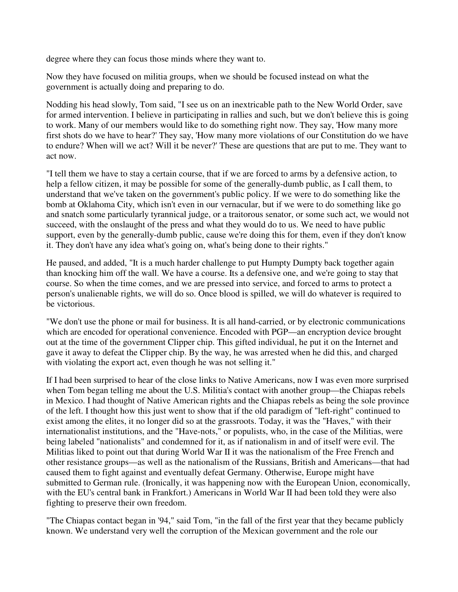degree where they can focus those minds where they want to.

Now they have focused on militia groups, when we should be focused instead on what the government is actually doing and preparing to do.

Nodding his head slowly, Tom said, "I see us on an inextricable path to the New World Order, save for armed intervention. I believe in participating in rallies and such, but we don't believe this is going to work. Many of our members would like to do something right now. They say, 'How many more first shots do we have to hear?' They say, 'How many more violations of our Constitution do we have to endure? When will we act? Will it be never?' These are questions that are put to me. They want to act now.

"I tell them we have to stay a certain course, that if we are forced to arms by a defensive action, to help a fellow citizen, it may be possible for some of the generally-dumb public, as I call them, to understand that we've taken on the government's public policy. If we were to do something like the bomb at Oklahoma City, which isn't even in our vernacular, but if we were to do something like go and snatch some particularly tyrannical judge, or a traitorous senator, or some such act, we would not succeed, with the onslaught of the press and what they would do to us. We need to have public support, even by the generally-dumb public, cause we're doing this for them, even if they don't know it. They don't have any idea what's going on, what's being done to their rights."

He paused, and added, "It is a much harder challenge to put Humpty Dumpty back together again than knocking him off the wall. We have a course. Its a defensive one, and we're going to stay that course. So when the time comes, and we are pressed into service, and forced to arms to protect a person's unalienable rights, we will do so. Once blood is spilled, we will do whatever is required to be victorious.

"We don't use the phone or mail for business. It is all hand-carried, or by electronic communications which are encoded for operational convenience. Encoded with PGP—an encryption device brought out at the time of the government Clipper chip. This gifted individual, he put it on the Internet and gave it away to defeat the Clipper chip. By the way, he was arrested when he did this, and charged with violating the export act, even though he was not selling it."

If I had been surprised to hear of the close links to Native Americans, now I was even more surprised when Tom began telling me about the U.S. Militia's contact with another group—the Chiapas rebels in Mexico. I had thought of Native American rights and the Chiapas rebels as being the sole province of the left. I thought how this just went to show that if the old paradigm of "left-right" continued to exist among the elites, it no longer did so at the grassroots. Today, it was the "Haves," with their internationalist institutions, and the "Have-nots," or populists, who, in the case of the Militias, were being labeled "nationalists" and condemned for it, as if nationalism in and of itself were evil. The Militias liked to point out that during World War II it was the nationalism of the Free French and other resistance groups—as well as the nationalism of the Russians, British and Americans—that had caused them to fight against and eventually defeat Germany. Otherwise, Europe might have submitted to German rule. (Ironically, it was happening now with the European Union, economically, with the EU's central bank in Frankfort.) Americans in World War II had been told they were also fighting to preserve their own freedom.

"The Chiapas contact began in '94," said Tom, "in the fall of the first year that they became publicly known. We understand very well the corruption of the Mexican government and the role our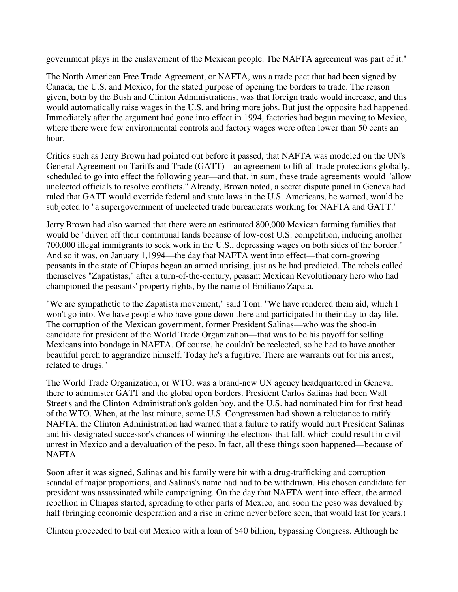government plays in the enslavement of the Mexican people. The NAFTA agreement was part of it."

The North American Free Trade Agreement, or NAFTA, was a trade pact that had been signed by Canada, the U.S. and Mexico, for the stated purpose of opening the borders to trade. The reason given, both by the Bush and Clinton Administrations, was that foreign trade would increase, and this would automatically raise wages in the U.S. and bring more jobs. But just the opposite had happened. Immediately after the argument had gone into effect in 1994, factories had begun moving to Mexico, where there were few environmental controls and factory wages were often lower than 50 cents an hour.

Critics such as Jerry Brown had pointed out before it passed, that NAFTA was modeled on the UN's General Agreement on Tariffs and Trade (GATT)—an agreement to lift all trade protections globally, scheduled to go into effect the following year—and that, in sum, these trade agreements would "allow unelected officials to resolve conflicts." Already, Brown noted, a secret dispute panel in Geneva had ruled that GATT would override federal and state laws in the U.S. Americans, he warned, would be subjected to "a supergovernment of unelected trade bureaucrats working for NAFTA and GATT."

Jerry Brown had also warned that there were an estimated 800,000 Mexican farming families that would be "driven off their communal lands because of low-cost U.S. competition, inducing another 700,000 illegal immigrants to seek work in the U.S., depressing wages on both sides of the border." And so it was, on January 1,1994—the day that NAFTA went into effect—that corn-growing peasants in the state of Chiapas began an armed uprising, just as he had predicted. The rebels called themselves "Zapatistas," after a turn-of-the-century, peasant Mexican Revolutionary hero who had championed the peasants' property rights, by the name of Emiliano Zapata.

"We are sympathetic to the Zapatista movement," said Tom. "We have rendered them aid, which I won't go into. We have people who have gone down there and participated in their day-to-day life. The corruption of the Mexican government, former President Salinas—who was the shoo-in candidate for president of the World Trade Organization—that was to be his payoff for selling Mexicans into bondage in NAFTA. Of course, he couldn't be reelected, so he had to have another beautiful perch to aggrandize himself. Today he's a fugitive. There are warrants out for his arrest, related to drugs."

The World Trade Organization, or WTO, was a brand-new UN agency headquartered in Geneva, there to administer GATT and the global open borders. President Carlos Salinas had been Wall Street's and the Clinton Administration's golden boy, and the U.S. had nominated him for first head of the WTO. When, at the last minute, some U.S. Congressmen had shown a reluctance to ratify NAFTA, the Clinton Administration had warned that a failure to ratify would hurt President Salinas and his designated successor's chances of winning the elections that fall, which could result in civil unrest in Mexico and a devaluation of the peso. In fact, all these things soon happened—because of NAFTA.

Soon after it was signed, Salinas and his family were hit with a drug-trafficking and corruption scandal of major proportions, and Salinas's name had had to be withdrawn. His chosen candidate for president was assassinated while campaigning. On the day that NAFTA went into effect, the armed rebellion in Chiapas started, spreading to other parts of Mexico, and soon the peso was devalued by half (bringing economic desperation and a rise in crime never before seen, that would last for years.)

Clinton proceeded to bail out Mexico with a loan of \$40 billion, bypassing Congress. Although he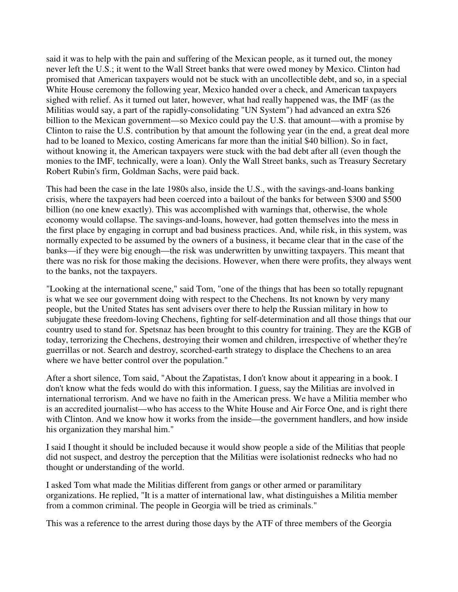said it was to help with the pain and suffering of the Mexican people, as it turned out, the money never left the U.S.; it went to the Wall Street banks that were owed money by Mexico. Clinton had promised that American taxpayers would not be stuck with an uncollectible debt, and so, in a special White House ceremony the following year, Mexico handed over a check, and American taxpayers sighed with relief. As it turned out later, however, what had really happened was, the IMF (as the Militias would say, a part of the rapidly-consolidating "UN System") had advanced an extra \$26 billion to the Mexican government—so Mexico could pay the U.S. that amount—with a promise by Clinton to raise the U.S. contribution by that amount the following year (in the end, a great deal more had to be loaned to Mexico, costing Americans far more than the initial \$40 billion). So in fact, without knowing it, the American taxpayers were stuck with the bad debt after all (even though the monies to the IMF, technically, were a loan). Only the Wall Street banks, such as Treasury Secretary Robert Rubin's firm, Goldman Sachs, were paid back.

This had been the case in the late 1980s also, inside the U.S., with the savings-and-loans banking crisis, where the taxpayers had been coerced into a bailout of the banks for between \$300 and \$500 billion (no one knew exactly). This was accomplished with warnings that, otherwise, the whole economy would collapse. The savings-and-loans, however, had gotten themselves into the mess in the first place by engaging in corrupt and bad business practices. And, while risk, in this system, was normally expected to be assumed by the owners of a business, it became clear that in the case of the banks—if they were big enough—the risk was underwritten by unwitting taxpayers. This meant that there was no risk for those making the decisions. However, when there were profits, they always went to the banks, not the taxpayers.

"Looking at the international scene," said Tom, "one of the things that has been so totally repugnant is what we see our government doing with respect to the Chechens. Its not known by very many people, but the United States has sent advisers over there to help the Russian military in how to subjugate these freedom-loving Chechens, fighting for self-determination and all those things that our country used to stand for. Spetsnaz has been brought to this country for training. They are the KGB of today, terrorizing the Chechens, destroying their women and children, irrespective of whether they're guerrillas or not. Search and destroy, scorched-earth strategy to displace the Chechens to an area where we have better control over the population."

After a short silence, Tom said, "About the Zapatistas, I don't know about it appearing in a book. I don't know what the feds would do with this information. I guess, say the Militias are involved in international terrorism. And we have no faith in the American press. We have a Militia member who is an accredited journalist—who has access to the White House and Air Force One, and is right there with Clinton. And we know how it works from the inside—the government handlers, and how inside his organization they marshal him."

I said I thought it should be included because it would show people a side of the Militias that people did not suspect, and destroy the perception that the Militias were isolationist rednecks who had no thought or understanding of the world.

I asked Tom what made the Militias different from gangs or other armed or paramilitary organizations. He replied, "It is a matter of international law, what distinguishes a Militia member from a common criminal. The people in Georgia will be tried as criminals."

This was a reference to the arrest during those days by the ATF of three members of the Georgia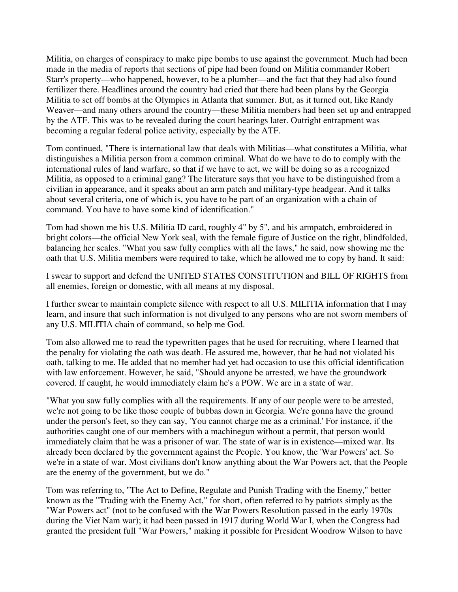Militia, on charges of conspiracy to make pipe bombs to use against the government. Much had been made in the media of reports that sections of pipe had been found on Militia commander Robert Starr's property—who happened, however, to be a plumber—and the fact that they had also found fertilizer there. Headlines around the country had cried that there had been plans by the Georgia Militia to set off bombs at the Olympics in Atlanta that summer. But, as it turned out, like Randy Weaver—and many others around the country—these Militia members had been set up and entrapped by the ATF. This was to be revealed during the court hearings later. Outright entrapment was becoming a regular federal police activity, especially by the ATF.

Tom continued, "There is international law that deals with Militias—what constitutes a Militia, what distinguishes a Militia person from a common criminal. What do we have to do to comply with the international rules of land warfare, so that if we have to act, we will be doing so as a recognized Militia, as opposed to a criminal gang? The literature says that you have to be distinguished from a civilian in appearance, and it speaks about an arm patch and military-type headgear. And it talks about several criteria, one of which is, you have to be part of an organization with a chain of command. You have to have some kind of identification."

Tom had shown me his U.S. Militia ID card, roughly 4" by 5", and his armpatch, embroidered in bright colors—the official New York seal, with the female figure of Justice on the right, blindfolded, balancing her scales. "What you saw fully complies with all the laws," he said, now showing me the oath that U.S. Militia members were required to take, which he allowed me to copy by hand. It said:

I swear to support and defend the UNITED STATES CONSTITUTION and BILL OF RIGHTS from all enemies, foreign or domestic, with all means at my disposal.

I further swear to maintain complete silence with respect to all U.S. MILITIA information that I may learn, and insure that such information is not divulged to any persons who are not sworn members of any U.S. MILITIA chain of command, so help me God.

Tom also allowed me to read the typewritten pages that he used for recruiting, where I learned that the penalty for violating the oath was death. He assured me, however, that he had not violated his oath, talking to me. He added that no member had yet had occasion to use this official identification with law enforcement. However, he said, "Should anyone be arrested, we have the groundwork covered. If caught, he would immediately claim he's a POW. We are in a state of war.

"What you saw fully complies with all the requirements. If any of our people were to be arrested, we're not going to be like those couple of bubbas down in Georgia. We're gonna have the ground under the person's feet, so they can say, 'You cannot charge me as a criminal.' For instance, if the authorities caught one of our members with a machinegun without a permit, that person would immediately claim that he was a prisoner of war. The state of war is in existence—mixed war. Its already been declared by the government against the People. You know, the 'War Powers' act. So we're in a state of war. Most civilians don't know anything about the War Powers act, that the People are the enemy of the government, but we do."

Tom was referring to, "The Act to Define, Regulate and Punish Trading with the Enemy," better known as the "Trading with the Enemy Act," for short, often referred to by patriots simply as the "War Powers act" (not to be confused with the War Powers Resolution passed in the early 1970s during the Viet Nam war); it had been passed in 1917 during World War I, when the Congress had granted the president full "War Powers," making it possible for President Woodrow Wilson to have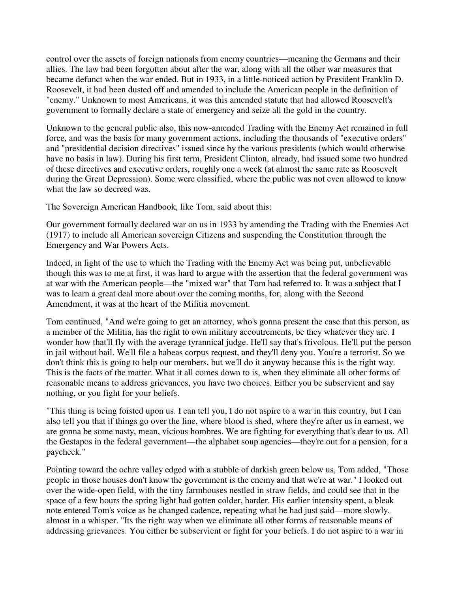control over the assets of foreign nationals from enemy countries—meaning the Germans and their allies. The law had been forgotten about after the war, along with all the other war measures that became defunct when the war ended. But in 1933, in a little-noticed action by President Franklin D. Roosevelt, it had been dusted off and amended to include the American people in the definition of "enemy." Unknown to most Americans, it was this amended statute that had allowed Roosevelt's government to formally declare a state of emergency and seize all the gold in the country.

Unknown to the general public also, this now-amended Trading with the Enemy Act remained in full force, and was the basis for many government actions, including the thousands of "executive orders" and "presidential decision directives" issued since by the various presidents (which would otherwise have no basis in law). During his first term, President Clinton, already, had issued some two hundred of these directives and executive orders, roughly one a week (at almost the same rate as Roosevelt during the Great Depression). Some were classified, where the public was not even allowed to know what the law so decreed was.

The Sovereign American Handbook, like Tom, said about this:

Our government formally declared war on us in 1933 by amending the Trading with the Enemies Act (1917) to include all American sovereign Citizens and suspending the Constitution through the Emergency and War Powers Acts.

Indeed, in light of the use to which the Trading with the Enemy Act was being put, unbelievable though this was to me at first, it was hard to argue with the assertion that the federal government was at war with the American people—the "mixed war" that Tom had referred to. It was a subject that I was to learn a great deal more about over the coming months, for, along with the Second Amendment, it was at the heart of the Militia movement.

Tom continued, "And we're going to get an attorney, who's gonna present the case that this person, as a member of the Militia, has the right to own military accoutrements, be they whatever they are. I wonder how that'll fly with the average tyrannical judge. He'll say that's frivolous. He'll put the person in jail without bail. We'll file a habeas corpus request, and they'll deny you. You're a terrorist. So we don't think this is going to help our members, but we'll do it anyway because this is the right way. This is the facts of the matter. What it all comes down to is, when they eliminate all other forms of reasonable means to address grievances, you have two choices. Either you be subservient and say nothing, or you fight for your beliefs.

"This thing is being foisted upon us. I can tell you, I do not aspire to a war in this country, but I can also tell you that if things go over the line, where blood is shed, where they're after us in earnest, we are gonna be some nasty, mean, vicious hombres. We are fighting for everything that's dear to us. All the Gestapos in the federal government—the alphabet soup agencies—they're out for a pension, for a paycheck."

Pointing toward the ochre valley edged with a stubble of darkish green below us, Tom added, "Those people in those houses don't know the government is the enemy and that we're at war." I looked out over the wide-open field, with the tiny farmhouses nestled in straw fields, and could see that in the space of a few hours the spring light had gotten colder, harder. His earlier intensity spent, a bleak note entered Tom's voice as he changed cadence, repeating what he had just said—more slowly, almost in a whisper. "Its the right way when we eliminate all other forms of reasonable means of addressing grievances. You either be subservient or fight for your beliefs. I do not aspire to a war in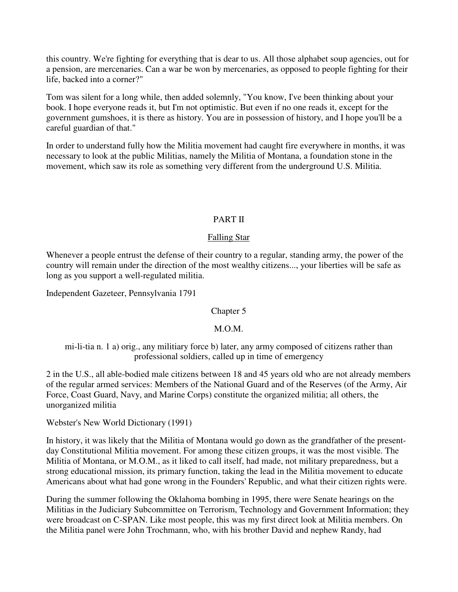this country. We're fighting for everything that is dear to us. All those alphabet soup agencies, out for a pension, are mercenaries. Can a war be won by mercenaries, as opposed to people fighting for their life, backed into a corner?"

Tom was silent for a long while, then added solemnly, "You know, I've been thinking about your book. I hope everyone reads it, but I'm not optimistic. But even if no one reads it, except for the government gumshoes, it is there as history. You are in possession of history, and I hope you'll be a careful guardian of that."

In order to understand fully how the Militia movement had caught fire everywhere in months, it was necessary to look at the public Militias, namely the Militia of Montana, a foundation stone in the movement, which saw its role as something very different from the underground U.S. Militia.

### PART II

# Falling Star

Whenever a people entrust the defense of their country to a regular, standing army, the power of the country will remain under the direction of the most wealthy citizens..., your liberties will be safe as long as you support a well-regulated militia.

Independent Gazeteer, Pennsylvania 1791

#### Chapter 5

# M.O.M.

mi-li-tia n. 1 a) orig., any militiary force b) later, any army composed of citizens rather than professional soldiers, called up in time of emergency

2 in the U.S., all able-bodied male citizens between 18 and 45 years old who are not already members of the regular armed services: Members of the National Guard and of the Reserves (of the Army, Air Force, Coast Guard, Navy, and Marine Corps) constitute the organized militia; all others, the unorganized militia

Webster's New World Dictionary (1991)

In history, it was likely that the Militia of Montana would go down as the grandfather of the presentday Constitutional Militia movement. For among these citizen groups, it was the most visible. The Militia of Montana, or M.O.M., as it liked to call itself, had made, not military preparedness, but a strong educational mission, its primary function, taking the lead in the Militia movement to educate Americans about what had gone wrong in the Founders' Republic, and what their citizen rights were.

During the summer following the Oklahoma bombing in 1995, there were Senate hearings on the Militias in the Judiciary Subcommittee on Terrorism, Technology and Government Information; they were broadcast on C-SPAN. Like most people, this was my first direct look at Militia members. On the Militia panel were John Trochmann, who, with his brother David and nephew Randy, had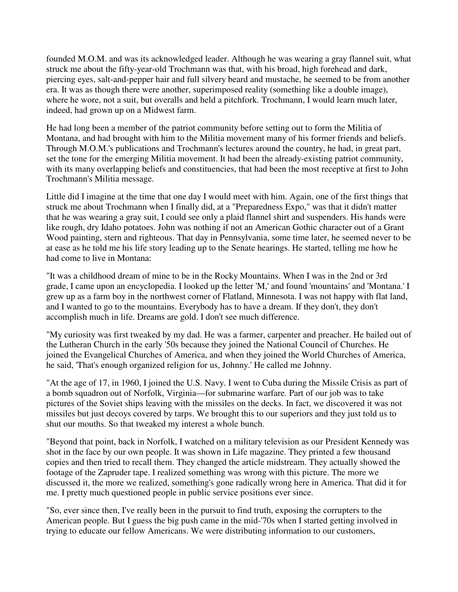founded M.O.M. and was its acknowledged leader. Although he was wearing a gray flannel suit, what struck me about the fifty-year-old Trochmann was that, with his broad, high forehead and dark, piercing eyes, salt-and-pepper hair and full silvery beard and mustache, he seemed to be from another era. It was as though there were another, superimposed reality (something like a double image), where he wore, not a suit, but overalls and held a pitchfork. Trochmann, I would learn much later, indeed, had grown up on a Midwest farm.

He had long been a member of the patriot community before setting out to form the Militia of Montana, and had brought with him to the Militia movement many of his former friends and beliefs. Through M.O.M.'s publications and Trochmann's lectures around the country, he had, in great part, set the tone for the emerging Militia movement. It had been the already-existing patriot community, with its many overlapping beliefs and constituencies, that had been the most receptive at first to John Trochmann's Militia message.

Little did I imagine at the time that one day I would meet with him. Again, one of the first things that struck me about Trochmann when I finally did, at a "Preparedness Expo," was that it didn't matter that he was wearing a gray suit, I could see only a plaid flannel shirt and suspenders. His hands were like rough, dry Idaho potatoes. John was nothing if not an American Gothic character out of a Grant Wood painting, stern and righteous. That day in Pennsylvania, some time later, he seemed never to be at ease as he told me his life story leading up to the Senate hearings. He started, telling me how he had come to live in Montana:

"It was a childhood dream of mine to be in the Rocky Mountains. When I was in the 2nd or 3rd grade, I came upon an encyclopedia. I looked up the letter 'M,' and found 'mountains' and 'Montana.' I grew up as a farm boy in the northwest corner of Flatland, Minnesota. I was not happy with flat land, and I wanted to go to the mountains. Everybody has to have a dream. If they don't, they don't accomplish much in life. Dreams are gold. I don't see much difference.

"My curiosity was first tweaked by my dad. He was a farmer, carpenter and preacher. He bailed out of the Lutheran Church in the early '50s because they joined the National Council of Churches. He joined the Evangelical Churches of America, and when they joined the World Churches of America, he said, 'That's enough organized religion for us, Johnny.' He called me Johnny.

"At the age of 17, in 1960, I joined the U.S. Navy. I went to Cuba during the Missile Crisis as part of a bomb squadron out of Norfolk, Virginia—for submarine warfare. Part of our job was to take pictures of the Soviet ships leaving with the missiles on the decks. In fact, we discovered it was not missiles but just decoys covered by tarps. We brought this to our superiors and they just told us to shut our mouths. So that tweaked my interest a whole bunch.

"Beyond that point, back in Norfolk, I watched on a military television as our President Kennedy was shot in the face by our own people. It was shown in Life magazine. They printed a few thousand copies and then tried to recall them. They changed the article midstream. They actually showed the footage of the Zapruder tape. I realized something was wrong with this picture. The more we discussed it, the more we realized, something's gone radically wrong here in America. That did it for me. I pretty much questioned people in public service positions ever since.

"So, ever since then, I've really been in the pursuit to find truth, exposing the corrupters to the American people. But I guess the big push came in the mid-'70s when I started getting involved in trying to educate our fellow Americans. We were distributing information to our customers,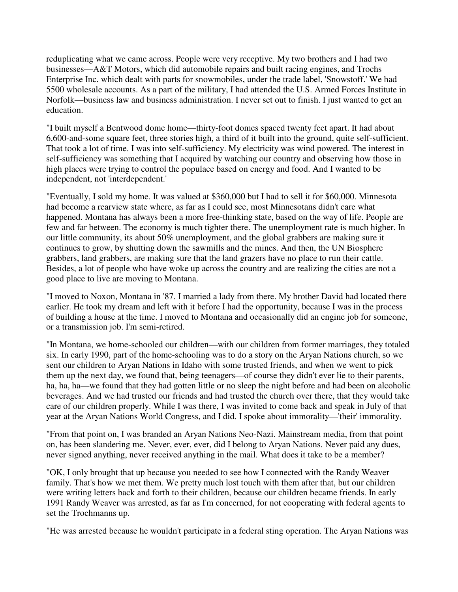reduplicating what we came across. People were very receptive. My two brothers and I had two businesses—A&T Motors, which did automobile repairs and built racing engines, and Trochs Enterprise Inc. which dealt with parts for snowmobiles, under the trade label, 'Snowstoff.' We had 5500 wholesale accounts. As a part of the military, I had attended the U.S. Armed Forces Institute in Norfolk—business law and business administration. I never set out to finish. I just wanted to get an education.

"I built myself a Bentwood dome home—thirty-foot domes spaced twenty feet apart. It had about 6,600-and-some square feet, three stories high, a third of it built into the ground, quite self-sufficient. That took a lot of time. I was into self-sufficiency. My electricity was wind powered. The interest in self-sufficiency was something that I acquired by watching our country and observing how those in high places were trying to control the populace based on energy and food. And I wanted to be independent, not 'interdependent.'

"Eventually, I sold my home. It was valued at \$360,000 but I had to sell it for \$60,000. Minnesota had become a rearview state where, as far as I could see, most Minnesotans didn't care what happened. Montana has always been a more free-thinking state, based on the way of life. People are few and far between. The economy is much tighter there. The unemployment rate is much higher. In our little community, its about 50% unemployment, and the global grabbers are making sure it continues to grow, by shutting down the sawmills and the mines. And then, the UN Biosphere grabbers, land grabbers, are making sure that the land grazers have no place to run their cattle. Besides, a lot of people who have woke up across the country and are realizing the cities are not a good place to live are moving to Montana.

"I moved to Noxon, Montana in '87. I married a lady from there. My brother David had located there earlier. He took my dream and left with it before I had the opportunity, because I was in the process of building a house at the time. I moved to Montana and occasionally did an engine job for someone, or a transmission job. I'm semi-retired.

"In Montana, we home-schooled our children—with our children from former marriages, they totaled six. In early 1990, part of the home-schooling was to do a story on the Aryan Nations church, so we sent our children to Aryan Nations in Idaho with some trusted friends, and when we went to pick them up the next day, we found that, being teenagers—of course they didn't ever lie to their parents, ha, ha, ha—we found that they had gotten little or no sleep the night before and had been on alcoholic beverages. And we had trusted our friends and had trusted the church over there, that they would take care of our children properly. While I was there, I was invited to come back and speak in July of that year at the Aryan Nations World Congress, and I did. I spoke about immorality—'their' immorality.

"From that point on, I was branded an Aryan Nations Neo-Nazi. Mainstream media, from that point on, has been slandering me. Never, ever, ever, did I belong to Aryan Nations. Never paid any dues, never signed anything, never received anything in the mail. What does it take to be a member?

"OK, I only brought that up because you needed to see how I connected with the Randy Weaver family. That's how we met them. We pretty much lost touch with them after that, but our children were writing letters back and forth to their children, because our children became friends. In early 1991 Randy Weaver was arrested, as far as I'm concerned, for not cooperating with federal agents to set the Trochmanns up.

"He was arrested because he wouldn't participate in a federal sting operation. The Aryan Nations was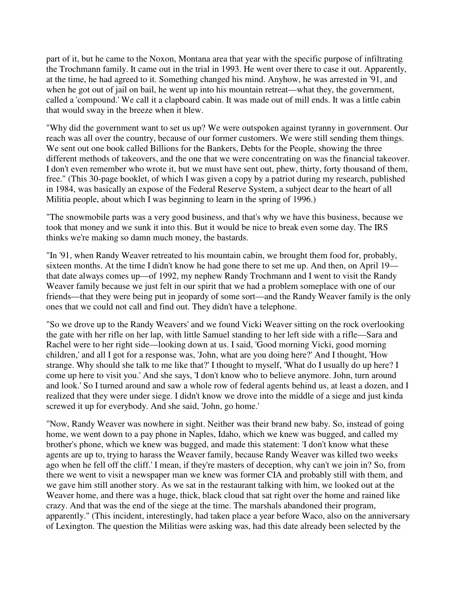part of it, but he came to the Noxon, Montana area that year with the specific purpose of infiltrating the Trochmann family. It came out in the trial in 1993. He went over there to case it out. Apparently, at the time, he had agreed to it. Something changed his mind. Anyhow, he was arrested in '91, and when he got out of jail on bail, he went up into his mountain retreat—what they, the government, called a 'compound.' We call it a clapboard cabin. It was made out of mill ends. It was a little cabin that would sway in the breeze when it blew.

"Why did the government want to set us up? We were outspoken against tyranny in government. Our reach was all over the country, because of our former customers. We were still sending them things. We sent out one book called Billions for the Bankers, Debts for the People, showing the three different methods of takeovers, and the one that we were concentrating on was the financial takeover. I don't even remember who wrote it, but we must have sent out, phew, thirty, forty thousand of them, free." (This 30-page booklet, of which I was given a copy by a patriot during my research, published in 1984, was basically an expose of the Federal Reserve System, a subject dear to the heart of all Militia people, about which I was beginning to learn in the spring of 1996.)

"The snowmobile parts was a very good business, and that's why we have this business, because we took that money and we sunk it into this. But it would be nice to break even some day. The IRS thinks we're making so damn much money, the bastards.

"In '91, when Randy Weaver retreated to his mountain cabin, we brought them food for, probably, sixteen months. At the time I didn't know he had gone there to set me up. And then, on April 19 that date always comes up—of 1992, my nephew Randy Trochmann and I went to visit the Randy Weaver family because we just felt in our spirit that we had a problem someplace with one of our friends—that they were being put in jeopardy of some sort—and the Randy Weaver family is the only ones that we could not call and find out. They didn't have a telephone.

"So we drove up to the Randy Weavers' and we found Vicki Weaver sitting on the rock overlooking the gate with her rifle on her lap, with little Samuel standing to her left side with a rifle—Sara and Rachel were to her right side—looking down at us. I said, 'Good morning Vicki, good morning children,' and all I got for a response was, 'John, what are you doing here?' And I thought, 'How strange. Why should she talk to me like that?' I thought to myself, 'What do I usually do up here? I come up here to visit you.' And she says, 'I don't know who to believe anymore. John, turn around and look.' So I turned around and saw a whole row of federal agents behind us, at least a dozen, and I realized that they were under siege. I didn't know we drove into the middle of a siege and just kinda screwed it up for everybody. And she said, 'John, go home.'

"Now, Randy Weaver was nowhere in sight. Neither was their brand new baby. So, instead of going home, we went down to a pay phone in Naples, Idaho, which we knew was bugged, and called my brother's phone, which we knew was bugged, and made this statement: 'I don't know what these agents are up to, trying to harass the Weaver family, because Randy Weaver was killed two weeks ago when he fell off the cliff.' I mean, if they're masters of deception, why can't we join in? So, from there we went to visit a newspaper man we knew was former CIA and probably still with them, and we gave him still another story. As we sat in the restaurant talking with him, we looked out at the Weaver home, and there was a huge, thick, black cloud that sat right over the home and rained like crazy. And that was the end of the siege at the time. The marshals abandoned their program, apparently." (This incident, interestingly, had taken place a year before Waco, also on the anniversary of Lexington. The question the Militias were asking was, had this date already been selected by the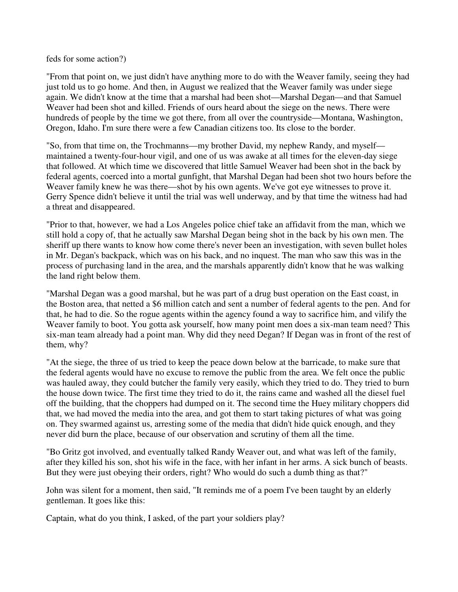feds for some action?)

"From that point on, we just didn't have anything more to do with the Weaver family, seeing they had just told us to go home. And then, in August we realized that the Weaver family was under siege again. We didn't know at the time that a marshal had been shot—Marshal Degan—and that Samuel Weaver had been shot and killed. Friends of ours heard about the siege on the news. There were hundreds of people by the time we got there, from all over the countryside—Montana, Washington, Oregon, Idaho. I'm sure there were a few Canadian citizens too. Its close to the border.

"So, from that time on, the Trochmanns—my brother David, my nephew Randy, and myself maintained a twenty-four-hour vigil, and one of us was awake at all times for the eleven-day siege that followed. At which time we discovered that little Samuel Weaver had been shot in the back by federal agents, coerced into a mortal gunfight, that Marshal Degan had been shot two hours before the Weaver family knew he was there—shot by his own agents. We've got eye witnesses to prove it. Gerry Spence didn't believe it until the trial was well underway, and by that time the witness had had a threat and disappeared.

"Prior to that, however, we had a Los Angeles police chief take an affidavit from the man, which we still hold a copy of, that he actually saw Marshal Degan being shot in the back by his own men. The sheriff up there wants to know how come there's never been an investigation, with seven bullet holes in Mr. Degan's backpack, which was on his back, and no inquest. The man who saw this was in the process of purchasing land in the area, and the marshals apparently didn't know that he was walking the land right below them.

"Marshal Degan was a good marshal, but he was part of a drug bust operation on the East coast, in the Boston area, that netted a \$6 million catch and sent a number of federal agents to the pen. And for that, he had to die. So the rogue agents within the agency found a way to sacrifice him, and vilify the Weaver family to boot. You gotta ask yourself, how many point men does a six-man team need? This six-man team already had a point man. Why did they need Degan? If Degan was in front of the rest of them, why?

"At the siege, the three of us tried to keep the peace down below at the barricade, to make sure that the federal agents would have no excuse to remove the public from the area. We felt once the public was hauled away, they could butcher the family very easily, which they tried to do. They tried to burn the house down twice. The first time they tried to do it, the rains came and washed all the diesel fuel off the building, that the choppers had dumped on it. The second time the Huey military choppers did that, we had moved the media into the area, and got them to start taking pictures of what was going on. They swarmed against us, arresting some of the media that didn't hide quick enough, and they never did burn the place, because of our observation and scrutiny of them all the time.

"Bo Gritz got involved, and eventually talked Randy Weaver out, and what was left of the family, after they killed his son, shot his wife in the face, with her infant in her arms. A sick bunch of beasts. But they were just obeying their orders, right? Who would do such a dumb thing as that?"

John was silent for a moment, then said, "It reminds me of a poem I've been taught by an elderly gentleman. It goes like this:

Captain, what do you think, I asked, of the part your soldiers play?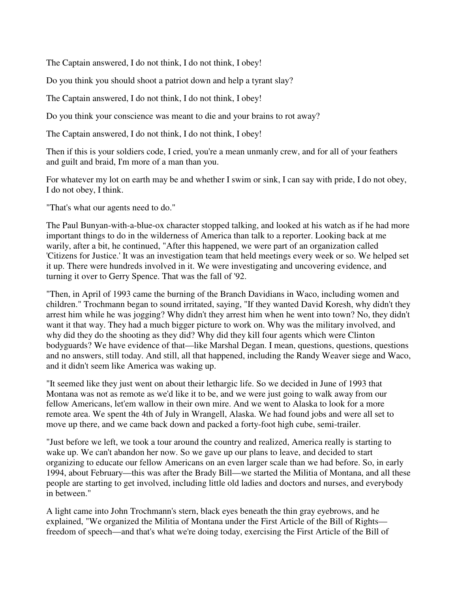The Captain answered, I do not think, I do not think, I obey!

Do you think you should shoot a patriot down and help a tyrant slay?

The Captain answered, I do not think, I do not think, I obey!

Do you think your conscience was meant to die and your brains to rot away?

The Captain answered, I do not think, I do not think, I obey!

Then if this is your soldiers code, I cried, you're a mean unmanly crew, and for all of your feathers and guilt and braid, I'm more of a man than you.

For whatever my lot on earth may be and whether I swim or sink, I can say with pride, I do not obey, I do not obey, I think.

"That's what our agents need to do."

The Paul Bunyan-with-a-blue-ox character stopped talking, and looked at his watch as if he had more important things to do in the wilderness of America than talk to a reporter. Looking back at me warily, after a bit, he continued, "After this happened, we were part of an organization called 'Citizens for Justice.' It was an investigation team that held meetings every week or so. We helped set it up. There were hundreds involved in it. We were investigating and uncovering evidence, and turning it over to Gerry Spence. That was the fall of '92.

"Then, in April of 1993 came the burning of the Branch Davidians in Waco, including women and children." Trochmann began to sound irritated, saying, "If they wanted David Koresh, why didn't they arrest him while he was jogging? Why didn't they arrest him when he went into town? No, they didn't want it that way. They had a much bigger picture to work on. Why was the military involved, and why did they do the shooting as they did? Why did they kill four agents which were Clinton bodyguards? We have evidence of that—like Marshal Degan. I mean, questions, questions, questions and no answers, still today. And still, all that happened, including the Randy Weaver siege and Waco, and it didn't seem like America was waking up.

"It seemed like they just went on about their lethargic life. So we decided in June of 1993 that Montana was not as remote as we'd like it to be, and we were just going to walk away from our fellow Americans, let'em wallow in their own mire. And we went to Alaska to look for a more remote area. We spent the 4th of July in Wrangell, Alaska. We had found jobs and were all set to move up there, and we came back down and packed a forty-foot high cube, semi-trailer.

"Just before we left, we took a tour around the country and realized, America really is starting to wake up. We can't abandon her now. So we gave up our plans to leave, and decided to start organizing to educate our fellow Americans on an even larger scale than we had before. So, in early 1994, about February—this was after the Brady Bill—we started the Militia of Montana, and all these people are starting to get involved, including little old ladies and doctors and nurses, and everybody in between."

A light came into John Trochmann's stern, black eyes beneath the thin gray eyebrows, and he explained, "We organized the Militia of Montana under the First Article of the Bill of Rights freedom of speech—and that's what we're doing today, exercising the First Article of the Bill of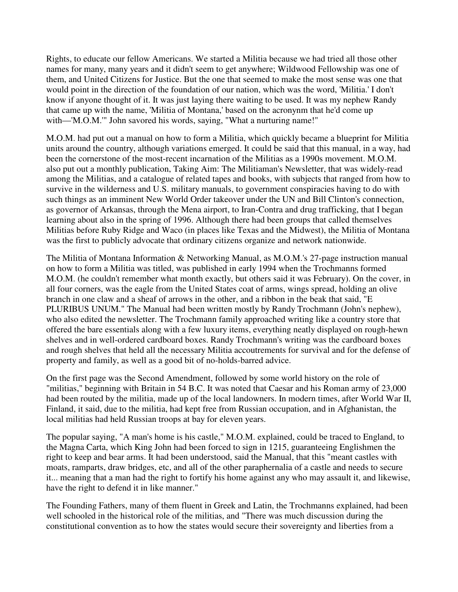Rights, to educate our fellow Americans. We started a Militia because we had tried all those other names for many, many years and it didn't seem to get anywhere; Wildwood Fellowship was one of them, and United Citizens for Justice. But the one that seemed to make the most sense was one that would point in the direction of the foundation of our nation, which was the word, 'Militia.' I don't know if anyone thought of it. It was just laying there waiting to be used. It was my nephew Randy that came up with the name, 'Militia of Montana,' based on the acronynm that he'd come up with—'M.O.M.'" John savored his words, saying, "What a nurturing name!"

M.O.M. had put out a manual on how to form a Militia, which quickly became a blueprint for Militia units around the country, although variations emerged. It could be said that this manual, in a way, had been the cornerstone of the most-recent incarnation of the Militias as a 1990s movement. M.O.M. also put out a monthly publication, Taking Aim: The Militiaman's Newsletter, that was widely-read among the Militias, and a catalogue of related tapes and books, with subjects that ranged from how to survive in the wilderness and U.S. military manuals, to government conspiracies having to do with such things as an imminent New World Order takeover under the UN and Bill Clinton's connection, as governor of Arkansas, through the Mena airport, to Iran-Contra and drug trafficking, that I began learning about also in the spring of 1996. Although there had been groups that called themselves Militias before Ruby Ridge and Waco (in places like Texas and the Midwest), the Militia of Montana was the first to publicly advocate that ordinary citizens organize and network nationwide.

The Militia of Montana Information & Networking Manual, as M.O.M.'s 27-page instruction manual on how to form a Militia was titled, was published in early 1994 when the Trochmanns formed M.O.M. (he couldn't remember what month exactly, but others said it was February). On the cover, in all four corners, was the eagle from the United States coat of arms, wings spread, holding an olive branch in one claw and a sheaf of arrows in the other, and a ribbon in the beak that said, "E PLURIBUS UNUM." The Manual had been written mostly by Randy Trochmann (John's nephew), who also edited the newsletter. The Trochmann family approached writing like a country store that offered the bare essentials along with a few luxury items, everything neatly displayed on rough-hewn shelves and in well-ordered cardboard boxes. Randy Trochmann's writing was the cardboard boxes and rough shelves that held all the necessary Militia accoutrements for survival and for the defense of property and family, as well as a good bit of no-holds-barred advice.

On the first page was the Second Amendment, followed by some world history on the role of "militias," beginning with Britain in 54 B.C. It was noted that Caesar and his Roman army of 23,000 had been routed by the militia, made up of the local landowners. In modern times, after World War II, Finland, it said, due to the militia, had kept free from Russian occupation, and in Afghanistan, the local militias had held Russian troops at bay for eleven years.

The popular saying, "A man's home is his castle," M.O.M. explained, could be traced to England, to the Magna Carta, which King John had been forced to sign in 1215, guaranteeing Englishmen the right to keep and bear arms. It had been understood, said the Manual, that this "meant castles with moats, ramparts, draw bridges, etc, and all of the other paraphernalia of a castle and needs to secure it... meaning that a man had the right to fortify his home against any who may assault it, and likewise, have the right to defend it in like manner."

The Founding Fathers, many of them fluent in Greek and Latin, the Trochmanns explained, had been well schooled in the historical role of the militias, and "There was much discussion during the constitutional convention as to how the states would secure their sovereignty and liberties from a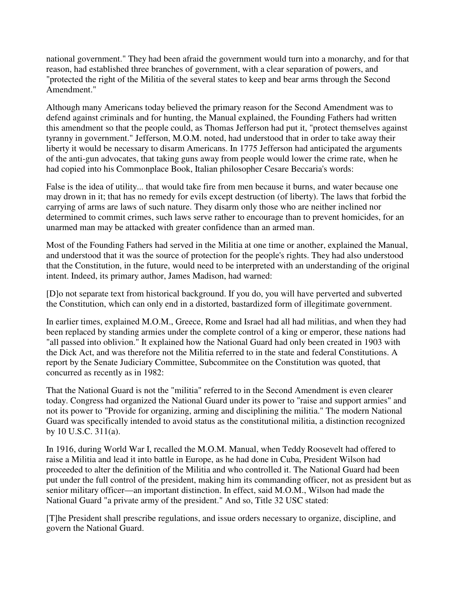national government." They had been afraid the government would turn into a monarchy, and for that reason, had established three branches of government, with a clear separation of powers, and "protected the right of the Militia of the several states to keep and bear arms through the Second Amendment."

Although many Americans today believed the primary reason for the Second Amendment was to defend against criminals and for hunting, the Manual explained, the Founding Fathers had written this amendment so that the people could, as Thomas Jefferson had put it, "protect themselves against tyranny in government." Jefferson, M.O.M. noted, had understood that in order to take away their liberty it would be necessary to disarm Americans. In 1775 Jefferson had anticipated the arguments of the anti-gun advocates, that taking guns away from people would lower the crime rate, when he had copied into his Commonplace Book, Italian philosopher Cesare Beccaria's words:

False is the idea of utility... that would take fire from men because it burns, and water because one may drown in it; that has no remedy for evils except destruction (of liberty). The laws that forbid the carrying of arms are laws of such nature. They disarm only those who are neither inclined nor determined to commit crimes, such laws serve rather to encourage than to prevent homicides, for an unarmed man may be attacked with greater confidence than an armed man.

Most of the Founding Fathers had served in the Militia at one time or another, explained the Manual, and understood that it was the source of protection for the people's rights. They had also understood that the Constitution, in the future, would need to be interpreted with an understanding of the original intent. Indeed, its primary author, James Madison, had warned:

[D]o not separate text from historical background. If you do, you will have perverted and subverted the Constitution, which can only end in a distorted, bastardized form of illegitimate government.

In earlier times, explained M.O.M., Greece, Rome and Israel had all had militias, and when they had been replaced by standing armies under the complete control of a king or emperor, these nations had "all passed into oblivion." It explained how the National Guard had only been created in 1903 with the Dick Act, and was therefore not the Militia referred to in the state and federal Constitutions. A report by the Senate Judiciary Committee, Subcommitee on the Constitution was quoted, that concurred as recently as in 1982:

That the National Guard is not the "militia" referred to in the Second Amendment is even clearer today. Congress had organized the National Guard under its power to "raise and support armies" and not its power to "Provide for organizing, arming and disciplining the militia." The modern National Guard was specifically intended to avoid status as the constitutional militia, a distinction recognized by 10 U.S.C. 311(a).

In 1916, during World War I, recalled the M.O.M. Manual, when Teddy Roosevelt had offered to raise a Militia and lead it into battle in Europe, as he had done in Cuba, President Wilson had proceeded to alter the definition of the Militia and who controlled it. The National Guard had been put under the full control of the president, making him its commanding officer, not as president but as senior military officer—an important distinction. In effect, said M.O.M., Wilson had made the National Guard "a private army of the president." And so, Title 32 USC stated:

[T]he President shall prescribe regulations, and issue orders necessary to organize, discipline, and govern the National Guard.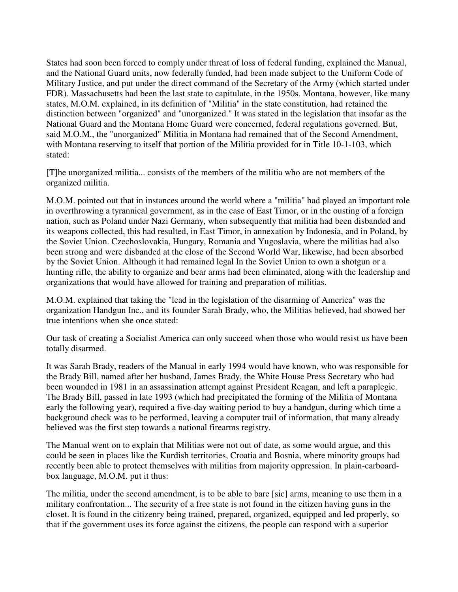States had soon been forced to comply under threat of loss of federal funding, explained the Manual, and the National Guard units, now federally funded, had been made subject to the Uniform Code of Military Justice, and put under the direct command of the Secretary of the Army (which started under FDR). Massachusetts had been the last state to capitulate, in the 1950s. Montana, however, like many states, M.O.M. explained, in its definition of "Militia" in the state constitution, had retained the distinction between "organized" and "unorganized." It was stated in the legislation that insofar as the National Guard and the Montana Home Guard were concerned, federal regulations governed. But, said M.O.M., the "unorganized" Militia in Montana had remained that of the Second Amendment, with Montana reserving to itself that portion of the Militia provided for in Title 10-1-103, which stated:

[T]he unorganized militia... consists of the members of the militia who are not members of the organized militia.

M.O.M. pointed out that in instances around the world where a "militia" had played an important role in overthrowing a tyrannical government, as in the case of East Timor, or in the ousting of a foreign nation, such as Poland under Nazi Germany, when subsequently that militia had been disbanded and its weapons collected, this had resulted, in East Timor, in annexation by Indonesia, and in Poland, by the Soviet Union. Czechoslovakia, Hungary, Romania and Yugoslavia, where the militias had also been strong and were disbanded at the close of the Second World War, likewise, had been absorbed by the Soviet Union. Although it had remained legal In the Soviet Union to own a shotgun or a hunting rifle, the ability to organize and bear arms had been eliminated, along with the leadership and organizations that would have allowed for training and preparation of militias.

M.O.M. explained that taking the "lead in the legislation of the disarming of America" was the organization Handgun Inc., and its founder Sarah Brady, who, the Militias believed, had showed her true intentions when she once stated:

Our task of creating a Socialist America can only succeed when those who would resist us have been totally disarmed.

It was Sarah Brady, readers of the Manual in early 1994 would have known, who was responsible for the Brady Bill, named after her husband, James Brady, the White House Press Secretary who had been wounded in 1981 in an assassination attempt against President Reagan, and left a paraplegic. The Brady Bill, passed in late 1993 (which had precipitated the forming of the Militia of Montana early the following year), required a five-day waiting period to buy a handgun, during which time a background check was to be performed, leaving a computer trail of information, that many already believed was the first step towards a national firearms registry.

The Manual went on to explain that Militias were not out of date, as some would argue, and this could be seen in places like the Kurdish territories, Croatia and Bosnia, where minority groups had recently been able to protect themselves with militias from majority oppression. In plain-carboardbox language, M.O.M. put it thus:

The militia, under the second amendment, is to be able to bare [sic] arms, meaning to use them in a military confrontation... The security of a free state is not found in the citizen having guns in the closet. It is found in the citizenry being trained, prepared, organized, equipped and led properly, so that if the government uses its force against the citizens, the people can respond with a superior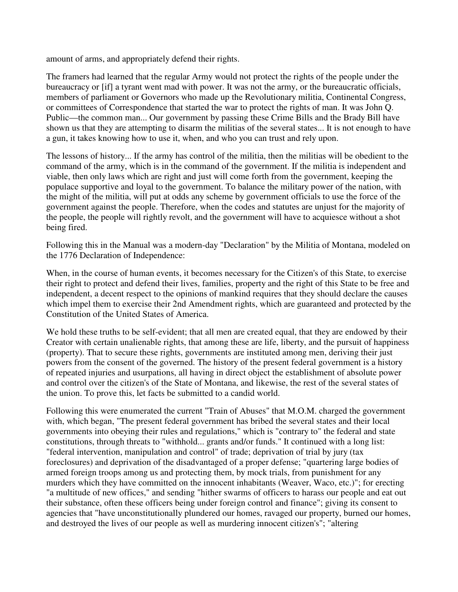amount of arms, and appropriately defend their rights.

The framers had learned that the regular Army would not protect the rights of the people under the bureaucracy or [if] a tyrant went mad with power. It was not the army, or the bureaucratic officials, members of parliament or Governors who made up the Revolutionary militia, Continental Congress, or committees of Correspondence that started the war to protect the rights of man. It was John Q. Public—the common man... Our government by passing these Crime Bills and the Brady Bill have shown us that they are attempting to disarm the militias of the several states... It is not enough to have a gun, it takes knowing how to use it, when, and who you can trust and rely upon.

The lessons of history... If the army has control of the militia, then the militias will be obedient to the command of the army, which is in the command of the government. If the militia is independent and viable, then only laws which are right and just will come forth from the government, keeping the populace supportive and loyal to the government. To balance the military power of the nation, with the might of the militia, will put at odds any scheme by government officials to use the force of the government against the people. Therefore, when the codes and statutes are unjust for the majority of the people, the people will rightly revolt, and the government will have to acquiesce without a shot being fired.

Following this in the Manual was a modern-day "Declaration" by the Militia of Montana, modeled on the 1776 Declaration of Independence:

When, in the course of human events, it becomes necessary for the Citizen's of this State, to exercise their right to protect and defend their lives, families, property and the right of this State to be free and independent, a decent respect to the opinions of mankind requires that they should declare the causes which impel them to exercise their 2nd Amendment rights, which are guaranteed and protected by the Constitution of the United States of America.

We hold these truths to be self-evident; that all men are created equal, that they are endowed by their Creator with certain unalienable rights, that among these are life, liberty, and the pursuit of happiness (property). That to secure these rights, governments are instituted among men, deriving their just powers from the consent of the governed. The history of the present federal government is a history of repeated injuries and usurpations, all having in direct object the establishment of absolute power and control over the citizen's of the State of Montana, and likewise, the rest of the several states of the union. To prove this, let facts be submitted to a candid world.

Following this were enumerated the current "Train of Abuses" that M.O.M. charged the government with, which began, "The present federal government has bribed the several states and their local governments into obeying their rules and regulations," which is "contrary to" the federal and state constitutions, through threats to "withhold... grants and/or funds." It continued with a long list: "federal intervention, manipulation and control" of trade; deprivation of trial by jury (tax foreclosures) and deprivation of the disadvantaged of a proper defense; "quartering large bodies of armed foreign troops among us and protecting them, by mock trials, from punishment for any murders which they have committed on the innocent inhabitants (Weaver, Waco, etc.)"; for erecting "a multitude of new offices," and sending "hither swarms of officers to harass our people and eat out their substance, often these officers being under foreign control and finance"; giving its consent to agencies that "have unconstitutionally plundered our homes, ravaged our property, burned our homes, and destroyed the lives of our people as well as murdering innocent citizen's"; "altering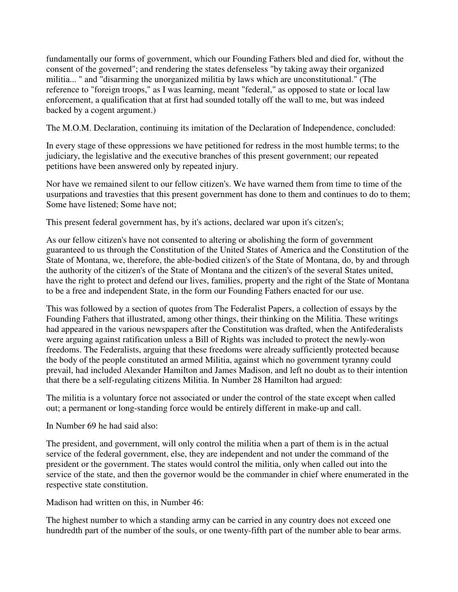fundamentally our forms of government, which our Founding Fathers bled and died for, without the consent of the governed"; and rendering the states defenseless "by taking away their organized militia... " and "disarming the unorganized militia by laws which are unconstitutional." (The reference to "foreign troops," as I was learning, meant "federal," as opposed to state or local law enforcement, a qualification that at first had sounded totally off the wall to me, but was indeed backed by a cogent argument.)

The M.O.M. Declaration, continuing its imitation of the Declaration of Independence, concluded:

In every stage of these oppressions we have petitioned for redress in the most humble terms; to the judiciary, the legislative and the executive branches of this present government; our repeated petitions have been answered only by repeated injury.

Nor have we remained silent to our fellow citizen's. We have warned them from time to time of the usurpations and travesties that this present government has done to them and continues to do to them; Some have listened; Some have not;

This present federal government has, by it's actions, declared war upon it's citzen's;

As our fellow citizen's have not consented to altering or abolishing the form of government guaranteed to us through the Constitution of the United States of America and the Constitution of the State of Montana, we, therefore, the able-bodied citizen's of the State of Montana, do, by and through the authority of the citizen's of the State of Montana and the citizen's of the several States united, have the right to protect and defend our lives, families, property and the right of the State of Montana to be a free and independent State, in the form our Founding Fathers enacted for our use.

This was followed by a section of quotes from The Federalist Papers, a collection of essays by the Founding Fathers that illustrated, among other things, their thinking on the Militia. These writings had appeared in the various newspapers after the Constitution was drafted, when the Antifederalists were arguing against ratification unless a Bill of Rights was included to protect the newly-won freedoms. The Federalists, arguing that these freedoms were already sufficiently protected because the body of the people constituted an armed Militia, against which no government tyranny could prevail, had included Alexander Hamilton and James Madison, and left no doubt as to their intention that there be a self-regulating citizens Militia. In Number 28 Hamilton had argued:

The militia is a voluntary force not associated or under the control of the state except when called out; a permanent or long-standing force would be entirely different in make-up and call.

In Number 69 he had said also:

The president, and government, will only control the militia when a part of them is in the actual service of the federal government, else, they are independent and not under the command of the president or the government. The states would control the militia, only when called out into the service of the state, and then the governor would be the commander in chief where enumerated in the respective state constitution.

Madison had written on this, in Number 46:

The highest number to which a standing army can be carried in any country does not exceed one hundredth part of the number of the souls, or one twenty-fifth part of the number able to bear arms.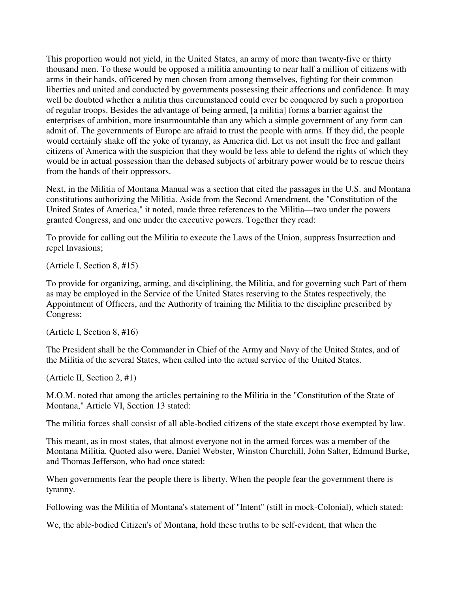This proportion would not yield, in the United States, an army of more than twenty-five or thirty thousand men. To these would be opposed a militia amounting to near half a million of citizens with arms in their hands, officered by men chosen from among themselves, fighting for their common liberties and united and conducted by governments possessing their affections and confidence. It may well be doubted whether a militia thus circumstanced could ever be conquered by such a proportion of regular troops. Besides the advantage of being armed, [a militia] forms a barrier against the enterprises of ambition, more insurmountable than any which a simple government of any form can admit of. The governments of Europe are afraid to trust the people with arms. If they did, the people would certainly shake off the yoke of tyranny, as America did. Let us not insult the free and gallant citizens of America with the suspicion that they would be less able to defend the rights of which they would be in actual possession than the debased subjects of arbitrary power would be to rescue theirs from the hands of their oppressors.

Next, in the Militia of Montana Manual was a section that cited the passages in the U.S. and Montana constitutions authorizing the Militia. Aside from the Second Amendment, the "Constitution of the United States of America," it noted, made three references to the Militia—two under the powers granted Congress, and one under the executive powers. Together they read:

To provide for calling out the Militia to execute the Laws of the Union, suppress Insurrection and repel Invasions;

(Article I, Section 8, #15)

To provide for organizing, arming, and disciplining, the Militia, and for governing such Part of them as may be employed in the Service of the United States reserving to the States respectively, the Appointment of Officers, and the Authority of training the Militia to the discipline prescribed by Congress;

(Article I, Section 8, #16)

The President shall be the Commander in Chief of the Army and Navy of the United States, and of the Militia of the several States, when called into the actual service of the United States.

(Article II, Section 2, #1)

M.O.M. noted that among the articles pertaining to the Militia in the "Constitution of the State of Montana," Article VI, Section 13 stated:

The militia forces shall consist of all able-bodied citizens of the state except those exempted by law.

This meant, as in most states, that almost everyone not in the armed forces was a member of the Montana Militia. Quoted also were, Daniel Webster, Winston Churchill, John Salter, Edmund Burke, and Thomas Jefferson, who had once stated:

When governments fear the people there is liberty. When the people fear the government there is tyranny.

Following was the Militia of Montana's statement of "Intent" (still in mock-Colonial), which stated:

We, the able-bodied Citizen's of Montana, hold these truths to be self-evident, that when the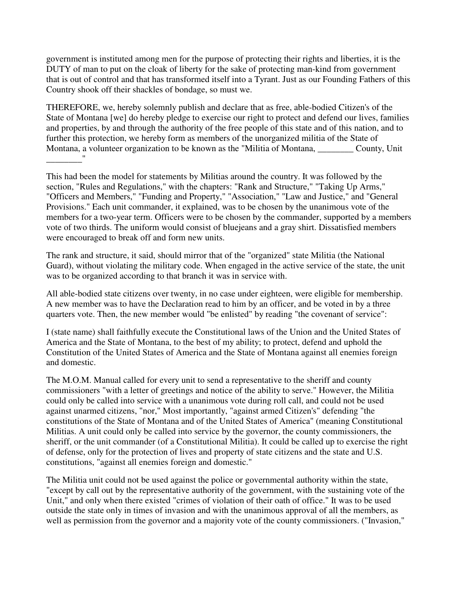government is instituted among men for the purpose of protecting their rights and liberties, it is the DUTY of man to put on the cloak of liberty for the sake of protecting man-kind from government that is out of control and that has transformed itself into a Tyrant. Just as our Founding Fathers of this Country shook off their shackles of bondage, so must we.

THEREFORE, we, hereby solemnly publish and declare that as free, able-bodied Citizen's of the State of Montana [we] do hereby pledge to exercise our right to protect and defend our lives, families and properties, by and through the authority of the free people of this state and of this nation, and to further this protection, we hereby form as members of the unorganized militia of the State of Montana, a volunteer organization to be known as the "Militia of Montana, County, Unit \_\_\_\_\_\_\_\_"

This had been the model for statements by Militias around the country. It was followed by the section, "Rules and Regulations," with the chapters: "Rank and Structure," "Taking Up Arms," "Officers and Members," "Funding and Property," "Association," "Law and Justice," and "General Provisions." Each unit commander, it explained, was to be chosen by the unanimous vote of the members for a two-year term. Officers were to be chosen by the commander, supported by a members vote of two thirds. The uniform would consist of bluejeans and a gray shirt. Dissatisfied members were encouraged to break off and form new units.

The rank and structure, it said, should mirror that of the "organized" state Militia (the National Guard), without violating the military code. When engaged in the active service of the state, the unit was to be organized according to that branch it was in service with.

All able-bodied state citizens over twenty, in no case under eighteen, were eligible for membership. A new member was to have the Declaration read to him by an officer, and be voted in by a three quarters vote. Then, the new member would "be enlisted" by reading "the covenant of service":

I (state name) shall faithfully execute the Constitutional laws of the Union and the United States of America and the State of Montana, to the best of my ability; to protect, defend and uphold the Constitution of the United States of America and the State of Montana against all enemies foreign and domestic.

The M.O.M. Manual called for every unit to send a representative to the sheriff and county commissioners "with a letter of greetings and notice of the ability to serve." However, the Militia could only be called into service with a unanimous vote during roll call, and could not be used against unarmed citizens, "nor," Most importantly, "against armed Citizen's" defending "the constitutions of the State of Montana and of the United States of America" (meaning Constitutional Militias. A unit could only be called into service by the governor, the county commissioners, the sheriff, or the unit commander (of a Constitutional Militia). It could be called up to exercise the right of defense, only for the protection of lives and property of state citizens and the state and U.S. constitutions, "against all enemies foreign and domestic."

The Militia unit could not be used against the police or governmental authority within the state, "except by call out by the representative authority of the government, with the sustaining vote of the Unit," and only when there existed "crimes of violation of their oath of office." It was to be used outside the state only in times of invasion and with the unanimous approval of all the members, as well as permission from the governor and a majority vote of the county commissioners. ("Invasion,"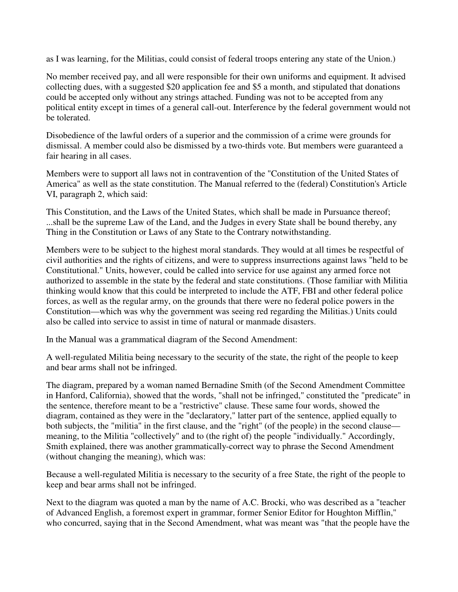as I was learning, for the Militias, could consist of federal troops entering any state of the Union.)

No member received pay, and all were responsible for their own uniforms and equipment. It advised collecting dues, with a suggested \$20 application fee and \$5 a month, and stipulated that donations could be accepted only without any strings attached. Funding was not to be accepted from any political entity except in times of a general call-out. Interference by the federal government would not be tolerated.

Disobedience of the lawful orders of a superior and the commission of a crime were grounds for dismissal. A member could also be dismissed by a two-thirds vote. But members were guaranteed a fair hearing in all cases.

Members were to support all laws not in contravention of the "Constitution of the United States of America" as well as the state constitution. The Manual referred to the (federal) Constitution's Article VI, paragraph 2, which said:

This Constitution, and the Laws of the United States, which shall be made in Pursuance thereof; ...shall be the supreme Law of the Land, and the Judges in every State shall be bound thereby, any Thing in the Constitution or Laws of any State to the Contrary notwithstanding.

Members were to be subject to the highest moral standards. They would at all times be respectful of civil authorities and the rights of citizens, and were to suppress insurrections against laws "held to be Constitutional." Units, however, could be called into service for use against any armed force not authorized to assemble in the state by the federal and state constitutions. (Those familiar with Militia thinking would know that this could be interpreted to include the ATF, FBI and other federal police forces, as well as the regular army, on the grounds that there were no federal police powers in the Constitution—which was why the government was seeing red regarding the Militias.) Units could also be called into service to assist in time of natural or manmade disasters.

In the Manual was a grammatical diagram of the Second Amendment:

A well-regulated Militia being necessary to the security of the state, the right of the people to keep and bear arms shall not be infringed.

The diagram, prepared by a woman named Bernadine Smith (of the Second Amendment Committee in Hanford, California), showed that the words, "shall not be infringed," constituted the "predicate" in the sentence, therefore meant to be a "restrictive" clause. These same four words, showed the diagram, contained as they were in the "declaratory," latter part of the sentence, applied equally to both subjects, the "militia" in the first clause, and the "right" (of the people) in the second clause meaning, to the Militia "collectively" and to (the right of) the people "individually." Accordingly, Smith explained, there was another grammatically-correct way to phrase the Second Amendment (without changing the meaning), which was:

Because a well-regulated Militia is necessary to the security of a free State, the right of the people to keep and bear arms shall not be infringed.

Next to the diagram was quoted a man by the name of A.C. Brocki, who was described as a "teacher of Advanced English, a foremost expert in grammar, former Senior Editor for Houghton Mifflin," who concurred, saying that in the Second Amendment, what was meant was "that the people have the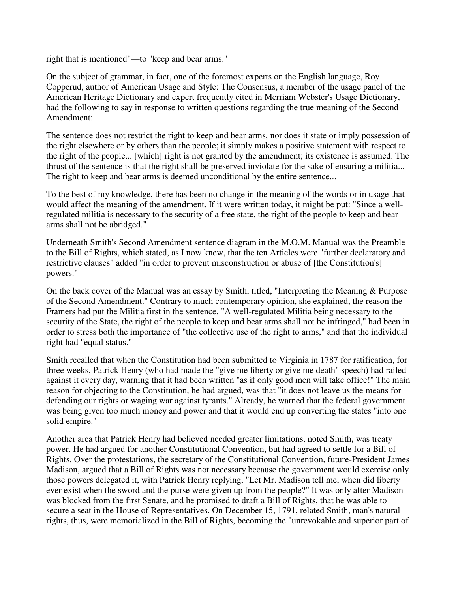right that is mentioned"—to "keep and bear arms."

On the subject of grammar, in fact, one of the foremost experts on the English language, Roy Copperud, author of American Usage and Style: The Consensus, a member of the usage panel of the American Heritage Dictionary and expert frequently cited in Merriam Webster's Usage Dictionary, had the following to say in response to written questions regarding the true meaning of the Second Amendment:

The sentence does not restrict the right to keep and bear arms, nor does it state or imply possession of the right elsewhere or by others than the people; it simply makes a positive statement with respect to the right of the people... [which] right is not granted by the amendment; its existence is assumed. The thrust of the sentence is that the right shall be preserved inviolate for the sake of ensuring a militia... The right to keep and bear arms is deemed unconditional by the entire sentence...

To the best of my knowledge, there has been no change in the meaning of the words or in usage that would affect the meaning of the amendment. If it were written today, it might be put: "Since a wellregulated militia is necessary to the security of a free state, the right of the people to keep and bear arms shall not be abridged."

Underneath Smith's Second Amendment sentence diagram in the M.O.M. Manual was the Preamble to the Bill of Rights, which stated, as I now knew, that the ten Articles were "further declaratory and restrictive clauses" added "in order to prevent misconstruction or abuse of [the Constitution's] powers."

On the back cover of the Manual was an essay by Smith, titled, "Interpreting the Meaning & Purpose of the Second Amendment." Contrary to much contemporary opinion, she explained, the reason the Framers had put the Militia first in the sentence, "A well-regulated Militia being necessary to the security of the State, the right of the people to keep and bear arms shall not be infringed," had been in order to stress both the importance of "the collective use of the right to arms," and that the individual right had "equal status."

Smith recalled that when the Constitution had been submitted to Virginia in 1787 for ratification, for three weeks, Patrick Henry (who had made the "give me liberty or give me death" speech) had railed against it every day, warning that it had been written "as if only good men will take office!" The main reason for objecting to the Constitution, he had argued, was that "it does not leave us the means for defending our rights or waging war against tyrants." Already, he warned that the federal government was being given too much money and power and that it would end up converting the states "into one solid empire."

Another area that Patrick Henry had believed needed greater limitations, noted Smith, was treaty power. He had argued for another Constitutional Convention, but had agreed to settle for a Bill of Rights. Over the protestations, the secretary of the Constitutional Convention, future-President James Madison, argued that a Bill of Rights was not necessary because the government would exercise only those powers delegated it, with Patrick Henry replying, "Let Mr. Madison tell me, when did liberty ever exist when the sword and the purse were given up from the people?" It was only after Madison was blocked from the first Senate, and he promised to draft a Bill of Rights, that he was able to secure a seat in the House of Representatives. On December 15, 1791, related Smith, man's natural rights, thus, were memorialized in the Bill of Rights, becoming the "unrevokable and superior part of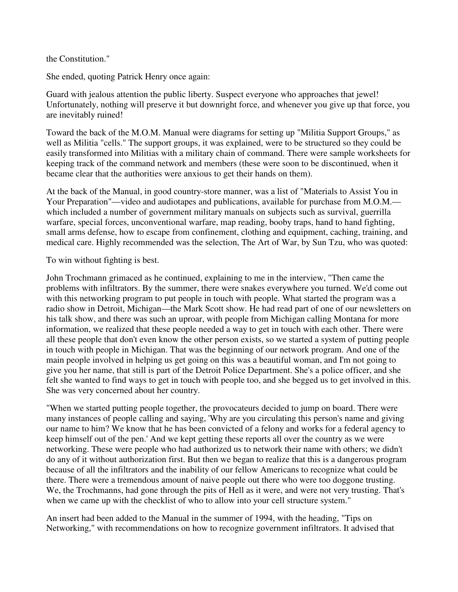the Constitution."

She ended, quoting Patrick Henry once again:

Guard with jealous attention the public liberty. Suspect everyone who approaches that jewel! Unfortunately, nothing will preserve it but downright force, and whenever you give up that force, you are inevitably ruined!

Toward the back of the M.O.M. Manual were diagrams for setting up "Militia Support Groups," as well as Militia "cells." The support groups, it was explained, were to be structured so they could be easily transformed into Militias with a military chain of command. There were sample worksheets for keeping track of the command network and members (these were soon to be discontinued, when it became clear that the authorities were anxious to get their hands on them).

At the back of the Manual, in good country-store manner, was a list of "Materials to Assist You in Your Preparation"—video and audiotapes and publications, available for purchase from M.O.M. which included a number of government military manuals on subjects such as survival, guerrilla warfare, special forces, unconventional warfare, map reading, booby traps, hand to hand fighting, small arms defense, how to escape from confinement, clothing and equipment, caching, training, and medical care. Highly recommended was the selection, The Art of War, by Sun Tzu, who was quoted:

To win without fighting is best.

John Trochmann grimaced as he continued, explaining to me in the interview, "Then came the problems with infiltrators. By the summer, there were snakes everywhere you turned. We'd come out with this networking program to put people in touch with people. What started the program was a radio show in Detroit, Michigan—the Mark Scott show. He had read part of one of our newsletters on his talk show, and there was such an uproar, with people from Michigan calling Montana for more information, we realized that these people needed a way to get in touch with each other. There were all these people that don't even know the other person exists, so we started a system of putting people in touch with people in Michigan. That was the beginning of our network program. And one of the main people involved in helping us get going on this was a beautiful woman, and I'm not going to give you her name, that still is part of the Detroit Police Department. She's a police officer, and she felt she wanted to find ways to get in touch with people too, and she begged us to get involved in this. She was very concerned about her country.

"When we started putting people together, the provocateurs decided to jump on board. There were many instances of people calling and saying, 'Why are you circulating this person's name and giving our name to him? We know that he has been convicted of a felony and works for a federal agency to keep himself out of the pen.' And we kept getting these reports all over the country as we were networking. These were people who had authorized us to network their name with others; we didn't do any of it without authorization first. But then we began to realize that this is a dangerous program because of all the infiltrators and the inability of our fellow Americans to recognize what could be there. There were a tremendous amount of naive people out there who were too doggone trusting. We, the Trochmanns, had gone through the pits of Hell as it were, and were not very trusting. That's when we came up with the checklist of who to allow into your cell structure system."

An insert had been added to the Manual in the summer of 1994, with the heading, "Tips on Networking," with recommendations on how to recognize government infiltrators. It advised that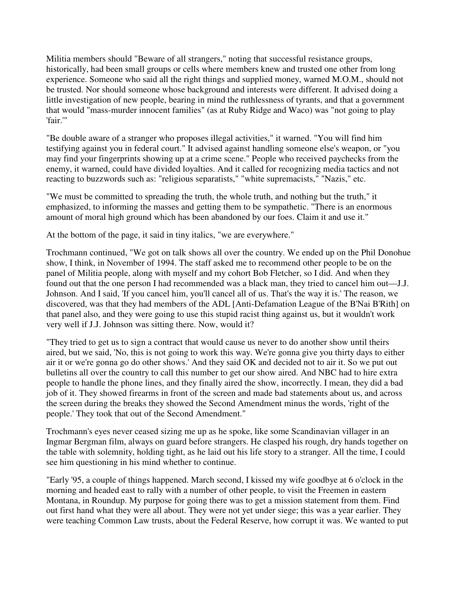Militia members should "Beware of all strangers," noting that successful resistance groups, historically, had been small groups or cells where members knew and trusted one other from long experience. Someone who said all the right things and supplied money, warned M.O.M., should not be trusted. Nor should someone whose background and interests were different. It advised doing a little investigation of new people, bearing in mind the ruthlessness of tyrants, and that a government that would "mass-murder innocent families" (as at Ruby Ridge and Waco) was "not going to play 'fair.'"

"Be double aware of a stranger who proposes illegal activities," it warned. "You will find him testifying against you in federal court." It advised against handling someone else's weapon, or "you may find your fingerprints showing up at a crime scene." People who received paychecks from the enemy, it warned, could have divided loyalties. And it called for recognizing media tactics and not reacting to buzzwords such as: "religious separatists," "white supremacists," "Nazis," etc.

"We must be committed to spreading the truth, the whole truth, and nothing but the truth," it emphasized, to informing the masses and getting them to be sympathetic. "There is an enormous amount of moral high ground which has been abandoned by our foes. Claim it and use it."

At the bottom of the page, it said in tiny italics, "we are everywhere."

Trochmann continued, "We got on talk shows all over the country. We ended up on the Phil Donohue show, I think, in November of 1994. The staff asked me to recommend other people to be on the panel of Militia people, along with myself and my cohort Bob Fletcher, so I did. And when they found out that the one person I had recommended was a black man, they tried to cancel him out—J.J. Johnson. And I said, 'If you cancel him, you'll cancel all of us. That's the way it is.' The reason, we discovered, was that they had members of the ADL [Anti-Defamation League of the B'Nai B'Rith] on that panel also, and they were going to use this stupid racist thing against us, but it wouldn't work very well if J.J. Johnson was sitting there. Now, would it?

"They tried to get us to sign a contract that would cause us never to do another show until theirs aired, but we said, 'No, this is not going to work this way. We're gonna give you thirty days to either air it or we're gonna go do other shows.' And they said OK and decided not to air it. So we put out bulletins all over the country to call this number to get our show aired. And NBC had to hire extra people to handle the phone lines, and they finally aired the show, incorrectly. I mean, they did a bad job of it. They showed firearms in front of the screen and made bad statements about us, and across the screen during the breaks they showed the Second Amendment minus the words, 'right of the people.' They took that out of the Second Amendment."

Trochmann's eyes never ceased sizing me up as he spoke, like some Scandinavian villager in an Ingmar Bergman film, always on guard before strangers. He clasped his rough, dry hands together on the table with solemnity, holding tight, as he laid out his life story to a stranger. All the time, I could see him questioning in his mind whether to continue.

"Early '95, a couple of things happened. March second, I kissed my wife goodbye at 6 o'clock in the morning and headed east to rally with a number of other people, to visit the Freemen in eastern Montana, in Roundup. My purpose for going there was to get a mission statement from them. Find out first hand what they were all about. They were not yet under siege; this was a year earlier. They were teaching Common Law trusts, about the Federal Reserve, how corrupt it was. We wanted to put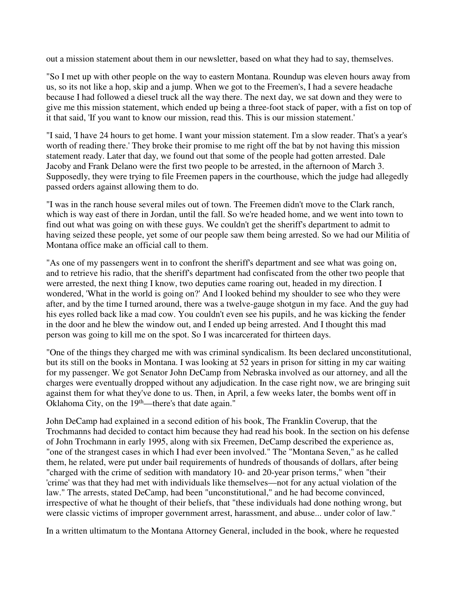out a mission statement about them in our newsletter, based on what they had to say, themselves.

"So I met up with other people on the way to eastern Montana. Roundup was eleven hours away from us, so its not like a hop, skip and a jump. When we got to the Freemen's, I had a severe headache because I had followed a diesel truck all the way there. The next day, we sat down and they were to give me this mission statement, which ended up being a three-foot stack of paper, with a fist on top of it that said, 'If you want to know our mission, read this. This is our mission statement.'

"I said, 'I have 24 hours to get home. I want your mission statement. I'm a slow reader. That's a year's worth of reading there.' They broke their promise to me right off the bat by not having this mission statement ready. Later that day, we found out that some of the people had gotten arrested. Dale Jacoby and Frank Delano were the first two people to be arrested, in the afternoon of March 3. Supposedly, they were trying to file Freemen papers in the courthouse, which the judge had allegedly passed orders against allowing them to do.

"I was in the ranch house several miles out of town. The Freemen didn't move to the Clark ranch, which is way east of there in Jordan, until the fall. So we're headed home, and we went into town to find out what was going on with these guys. We couldn't get the sheriff's department to admit to having seized these people, yet some of our people saw them being arrested. So we had our Militia of Montana office make an official call to them.

"As one of my passengers went in to confront the sheriff's department and see what was going on, and to retrieve his radio, that the sheriff's department had confiscated from the other two people that were arrested, the next thing I know, two deputies came roaring out, headed in my direction. I wondered, 'What in the world is going on?' And I looked behind my shoulder to see who they were after, and by the time I turned around, there was a twelve-gauge shotgun in my face. And the guy had his eyes rolled back like a mad cow. You couldn't even see his pupils, and he was kicking the fender in the door and he blew the window out, and I ended up being arrested. And I thought this mad person was going to kill me on the spot. So I was incarcerated for thirteen days.

"One of the things they charged me with was criminal syndicalism. Its been declared unconstitutional, but its still on the books in Montana. I was looking at 52 years in prison for sitting in my car waiting for my passenger. We got Senator John DeCamp from Nebraska involved as our attorney, and all the charges were eventually dropped without any adjudication. In the case right now, we are bringing suit against them for what they've done to us. Then, in April, a few weeks later, the bombs went off in Oklahoma City, on the  $19<sup>th</sup>$ —there's that date again."

John DeCamp had explained in a second edition of his book, The Franklin Coverup, that the Trochmanns had decided to contact him because they had read his book. In the section on his defense of John Trochmann in early 1995, along with six Freemen, DeCamp described the experience as, "one of the strangest cases in which I had ever been involved." The "Montana Seven," as he called them, he related, were put under bail requirements of hundreds of thousands of dollars, after being "charged with the crime of sedition with mandatory 10- and 20-year prison terms," when "their 'crime' was that they had met with individuals like themselves—not for any actual violation of the law." The arrests, stated DeCamp, had been "unconstitutional," and he had become convinced, irrespective of what he thought of their beliefs, that "these individuals had done nothing wrong, but were classic victims of improper government arrest, harassment, and abuse... under color of law."

In a written ultimatum to the Montana Attorney General, included in the book, where he requested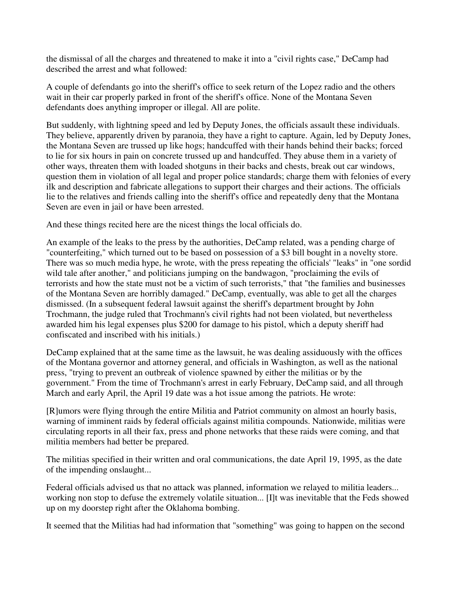the dismissal of all the charges and threatened to make it into a "civil rights case," DeCamp had described the arrest and what followed:

A couple of defendants go into the sheriff's office to seek return of the Lopez radio and the others wait in their car properly parked in front of the sheriff's office. None of the Montana Seven defendants does anything improper or illegal. All are polite.

But suddenly, with lightning speed and led by Deputy Jones, the officials assault these individuals. They believe, apparently driven by paranoia, they have a right to capture. Again, led by Deputy Jones, the Montana Seven are trussed up like hogs; handcuffed with their hands behind their backs; forced to lie for six hours in pain on concrete trussed up and handcuffed. They abuse them in a variety of other ways, threaten them with loaded shotguns in their backs and chests, break out car windows, question them in violation of all legal and proper police standards; charge them with felonies of every ilk and description and fabricate allegations to support their charges and their actions. The officials lie to the relatives and friends calling into the sheriff's office and repeatedly deny that the Montana Seven are even in jail or have been arrested.

And these things recited here are the nicest things the local officials do.

An example of the leaks to the press by the authorities, DeCamp related, was a pending charge of "counterfeiting," which turned out to be based on possession of a \$3 bill bought in a novelty store. There was so much media hype, he wrote, with the press repeating the officials' "leaks" in "one sordid wild tale after another," and politicians jumping on the bandwagon, "proclaiming the evils of terrorists and how the state must not be a victim of such terrorists," that "the families and businesses of the Montana Seven are horribly damaged." DeCamp, eventually, was able to get all the charges dismissed. (In a subsequent federal lawsuit against the sheriff's department brought by John Trochmann, the judge ruled that Trochmann's civil rights had not been violated, but nevertheless awarded him his legal expenses plus \$200 for damage to his pistol, which a deputy sheriff had confiscated and inscribed with his initials.)

DeCamp explained that at the same time as the lawsuit, he was dealing assiduously with the offices of the Montana governor and attorney general, and officials in Washington, as well as the national press, "trying to prevent an outbreak of violence spawned by either the militias or by the government." From the time of Trochmann's arrest in early February, DeCamp said, and all through March and early April, the April 19 date was a hot issue among the patriots. He wrote:

[R]umors were flying through the entire Militia and Patriot community on almost an hourly basis, warning of imminent raids by federal officials against militia compounds. Nationwide, militias were circulating reports in all their fax, press and phone networks that these raids were coming, and that militia members had better be prepared.

The militias specified in their written and oral communications, the date April 19, 1995, as the date of the impending onslaught...

Federal officials advised us that no attack was planned, information we relayed to militia leaders... working non stop to defuse the extremely volatile situation... [I]t was inevitable that the Feds showed up on my doorstep right after the Oklahoma bombing.

It seemed that the Militias had had information that "something" was going to happen on the second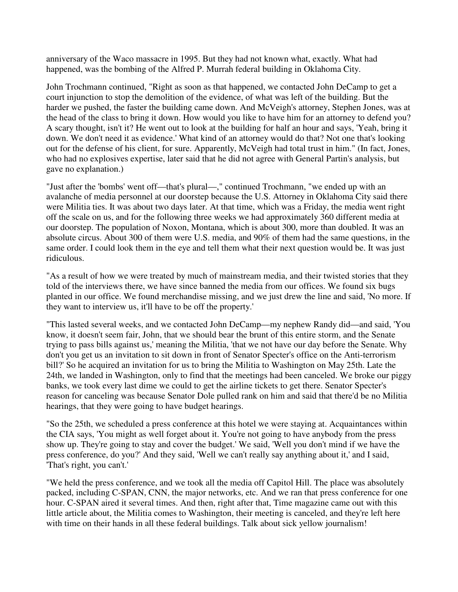anniversary of the Waco massacre in 1995. But they had not known what, exactly. What had happened, was the bombing of the Alfred P. Murrah federal building in Oklahoma City.

John Trochmann continued, "Right as soon as that happened, we contacted John DeCamp to get a court injunction to stop the demolition of the evidence, of what was left of the building. But the harder we pushed, the faster the building came down. And McVeigh's attorney, Stephen Jones, was at the head of the class to bring it down. How would you like to have him for an attorney to defend you? A scary thought, isn't it? He went out to look at the building for half an hour and says, 'Yeah, bring it down. We don't need it as evidence.' What kind of an attorney would do that? Not one that's looking out for the defense of his client, for sure. Apparently, McVeigh had total trust in him." (In fact, Jones, who had no explosives expertise, later said that he did not agree with General Partin's analysis, but gave no explanation.)

"Just after the 'bombs' went off—that's plural—," continued Trochmann, "we ended up with an avalanche of media personnel at our doorstep because the U.S. Attorney in Oklahoma City said there were Militia ties. It was about two days later. At that time, which was a Friday, the media went right off the scale on us, and for the following three weeks we had approximately 360 different media at our doorstep. The population of Noxon, Montana, which is about 300, more than doubled. It was an absolute circus. About 300 of them were U.S. media, and 90% of them had the same questions, in the same order. I could look them in the eye and tell them what their next question would be. It was just ridiculous.

"As a result of how we were treated by much of mainstream media, and their twisted stories that they told of the interviews there, we have since banned the media from our offices. We found six bugs planted in our office. We found merchandise missing, and we just drew the line and said, 'No more. If they want to interview us, it'll have to be off the property.'

"This lasted several weeks, and we contacted John DeCamp—my nephew Randy did—and said, 'You know, it doesn't seem fair, John, that we should bear the brunt of this entire storm, and the Senate trying to pass bills against us,' meaning the Militia, 'that we not have our day before the Senate. Why don't you get us an invitation to sit down in front of Senator Specter's office on the Anti-terrorism bill?' So he acquired an invitation for us to bring the Militia to Washington on May 25th. Late the 24th, we landed in Washington, only to find that the meetings had been canceled. We broke our piggy banks, we took every last dime we could to get the airline tickets to get there. Senator Specter's reason for canceling was because Senator Dole pulled rank on him and said that there'd be no Militia hearings, that they were going to have budget hearings.

"So the 25th, we scheduled a press conference at this hotel we were staying at. Acquaintances within the CIA says, 'You might as well forget about it. You're not going to have anybody from the press show up. They're going to stay and cover the budget.' We said, 'Well you don't mind if we have the press conference, do you?' And they said, 'Well we can't really say anything about it,' and I said, 'That's right, you can't.'

"We held the press conference, and we took all the media off Capitol Hill. The place was absolutely packed, including C-SPAN, CNN, the major networks, etc. And we ran that press conference for one hour. C-SPAN aired it several times. And then, right after that, Time magazine came out with this little article about, the Militia comes to Washington, their meeting is canceled, and they're left here with time on their hands in all these federal buildings. Talk about sick yellow journalism!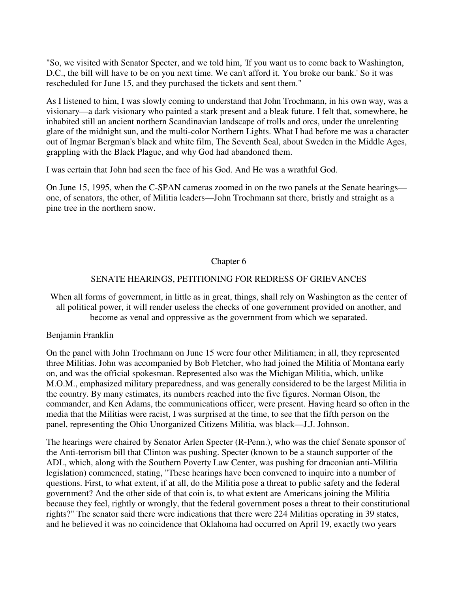"So, we visited with Senator Specter, and we told him, 'If you want us to come back to Washington, D.C., the bill will have to be on you next time. We can't afford it. You broke our bank.' So it was rescheduled for June 15, and they purchased the tickets and sent them."

As I listened to him, I was slowly coming to understand that John Trochmann, in his own way, was a visionary—a dark visionary who painted a stark present and a bleak future. I felt that, somewhere, he inhabited still an ancient northern Scandinavian landscape of trolls and orcs, under the unrelenting glare of the midnight sun, and the multi-color Northern Lights. What I had before me was a character out of Ingmar Bergman's black and white film, The Seventh Seal, about Sweden in the Middle Ages, grappling with the Black Plague, and why God had abandoned them.

I was certain that John had seen the face of his God. And He was a wrathful God.

On June 15, 1995, when the C-SPAN cameras zoomed in on the two panels at the Senate hearings one, of senators, the other, of Militia leaders—John Trochmann sat there, bristly and straight as a pine tree in the northern snow.

## Chapter 6

## SENATE HEARINGS, PETITIONING FOR REDRESS OF GRIEVANCES

When all forms of government, in little as in great, things, shall rely on Washington as the center of all political power, it will render useless the checks of one government provided on another, and become as venal and oppressive as the government from which we separated.

Benjamin Franklin

On the panel with John Trochmann on June 15 were four other Militiamen; in all, they represented three Militias. John was accompanied by Bob Fletcher, who had joined the Militia of Montana early on, and was the official spokesman. Represented also was the Michigan Militia, which, unlike M.O.M., emphasized military preparedness, and was generally considered to be the largest Militia in the country. By many estimates, its numbers reached into the five figures. Norman Olson, the commander, and Ken Adams, the communications officer, were present. Having heard so often in the media that the Militias were racist, I was surprised at the time, to see that the fifth person on the panel, representing the Ohio Unorganized Citizens Militia, was black—J.J. Johnson.

The hearings were chaired by Senator Arlen Specter (R-Penn.), who was the chief Senate sponsor of the Anti-terrorism bill that Clinton was pushing. Specter (known to be a staunch supporter of the ADL, which, along with the Southern Poverty Law Center, was pushing for draconian anti-Militia legislation) commenced, stating, "These hearings have been convened to inquire into a number of questions. First, to what extent, if at all, do the Militia pose a threat to public safety and the federal government? And the other side of that coin is, to what extent are Americans joining the Militia because they feel, rightly or wrongly, that the federal government poses a threat to their constitutional rights?" The senator said there were indications that there were 224 Militias operating in 39 states, and he believed it was no coincidence that Oklahoma had occurred on April 19, exactly two years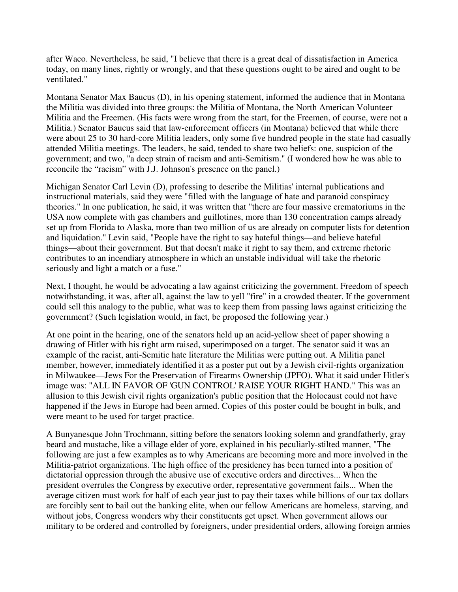after Waco. Nevertheless, he said, "I believe that there is a great deal of dissatisfaction in America today, on many lines, rightly or wrongly, and that these questions ought to be aired and ought to be ventilated."

Montana Senator Max Baucus (D), in his opening statement, informed the audience that in Montana the Militia was divided into three groups: the Militia of Montana, the North American Volunteer Militia and the Freemen. (His facts were wrong from the start, for the Freemen, of course, were not a Militia.) Senator Baucus said that law-enforcement officers (in Montana) believed that while there were about 25 to 30 hard-core Militia leaders, only some five hundred people in the state had casually attended Militia meetings. The leaders, he said, tended to share two beliefs: one, suspicion of the government; and two, "a deep strain of racism and anti-Semitism." (I wondered how he was able to reconcile the "racism" with J.J. Johnson's presence on the panel.)

Michigan Senator Carl Levin (D), professing to describe the Militias' internal publications and instructional materials, said they were "filled with the language of hate and paranoid conspiracy theories." In one publication, he said, it was written that "there are four massive crematoriums in the USA now complete with gas chambers and guillotines, more than 130 concentration camps already set up from Florida to Alaska, more than two million of us are already on computer lists for detention and liquidation." Levin said, "People have the right to say hateful things—and believe hateful things—about their government. But that doesn't make it right to say them, and extreme rhetoric contributes to an incendiary atmosphere in which an unstable individual will take the rhetoric seriously and light a match or a fuse."

Next, I thought, he would be advocating a law against criticizing the government. Freedom of speech notwithstanding, it was, after all, against the law to yell "fire" in a crowded theater. If the government could sell this analogy to the public, what was to keep them from passing laws against criticizing the government? (Such legislation would, in fact, be proposed the following year.)

At one point in the hearing, one of the senators held up an acid-yellow sheet of paper showing a drawing of Hitler with his right arm raised, superimposed on a target. The senator said it was an example of the racist, anti-Semitic hate literature the Militias were putting out. A Militia panel member, however, immediately identified it as a poster put out by a Jewish civil-rights organization in Milwaukee—Jews For the Preservation of Firearms Ownership (JPFO). What it said under Hitler's image was: "ALL IN FAVOR OF 'GUN CONTROL' RAISE YOUR RIGHT HAND." This was an allusion to this Jewish civil rights organization's public position that the Holocaust could not have happened if the Jews in Europe had been armed. Copies of this poster could be bought in bulk, and were meant to be used for target practice.

A Bunyanesque John Trochmann, sitting before the senators looking solemn and grandfatherly, gray beard and mustache, like a village elder of yore, explained in his peculiarly-stilted manner, "The following are just a few examples as to why Americans are becoming more and more involved in the Militia-patriot organizations. The high office of the presidency has been turned into a position of dictatorial oppression through the abusive use of executive orders and directives... When the president overrules the Congress by executive order, representative government fails... When the average citizen must work for half of each year just to pay their taxes while billions of our tax dollars are forcibly sent to bail out the banking elite, when our fellow Americans are homeless, starving, and without jobs, Congress wonders why their constituents get upset. When government allows our military to be ordered and controlled by foreigners, under presidential orders, allowing foreign armies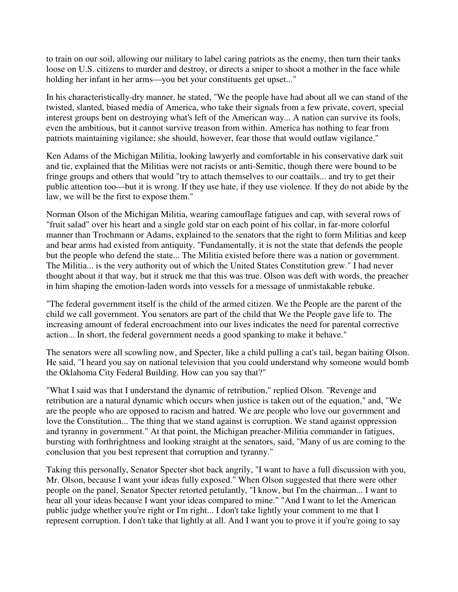to train on our soil, allowing our military to label caring patriots as the enemy, then turn their tanks loose on U.S. citizens to murder and destroy, or directs a sniper to shoot a mother in the face while holding her infant in her arms—you bet your constituents get upset..."

In his characteristically-dry manner, he stated, "We the people have had about all we can stand of the twisted, slanted, biased media of America, who take their signals from a few private, covert, special interest groups bent on destroying what's left of the American way... A nation can survive its fools, even the ambitious, but it cannot survive treason from within. America has nothing to fear from patriots maintaining vigilance; she should, however, fear those that would outlaw vigilance."

Ken Adams of the Michigan Militia, looking lawyerly and comfortable in his conservative dark suit and tie, explained that the Militias were not racists or anti-Semitic, though there were bound to be fringe groups and others that would "try to attach themselves to our coattails... and try to get their public attention too—but it is wrong. If they use hate, if they use violence. If they do not abide by the law, we will be the first to expose them."

Norman Olson of the Michigan Militia, wearing camouflage fatigues and cap, with several rows of "fruit salad" over his heart and a single gold star on each point of his collar, in far-more colorful manner than Trochmann or Adams, explained to the senators that the right to form Militias and keep and bear arms had existed from antiquity. "Fundamentally, it is not the state that defends the people but the people who defend the state... The Militia existed before there was a nation or government. The Militia... is the very authority out of which the United States Constitution grew." I had never thought about it that way, but it struck me that this was true. Olson was deft with words, the preacher in him shaping the emotion-laden words into vessels for a message of unmistakable rebuke.

"The federal government itself is the child of the armed citizen. We the People are the parent of the child we call government. You senators are part of the child that We the People gave life to. The increasing amount of federal encroachment into our lives indicates the need for parental corrective action... In short, the federal government needs a good spanking to make it behave."

The senators were all scowling now, and Specter, like a child pulling a cat's tail, began baiting Olson. He said, "I heard you say on national television that you could understand why someone would bomb the Oklahoma City Federal Building. How can you say that?"

"What I said was that I understand the dynamic of retribution," replied Olson. "Revenge and retribution are a natural dynamic which occurs when justice is taken out of the equation," and, "We are the people who are opposed to racism and hatred. We are people who love our government and love the Constitution... The thing that we stand against is corruption. We stand against oppression and tyranny in government." At that point, the Michigan preacher-Militia commander in fatigues, bursting with forthrightness and looking straight at the senators, said, "Many of us are coming to the conclusion that you best represent that corruption and tyranny."

Taking this personally, Senator Specter shot back angrily, "I want to have a full discussion with you, Mr. Olson, because I want your ideas fully exposed." When Olson suggested that there were other people on the panel, Senator Specter retorted petulantly, "I know, but I'm the chairman... I want to hear all your ideas because I want your ideas compared to mine." "And I want to let the American public judge whether you're right or I'm right... I don't take lightly your comment to me that I represent corruption. I don't take that lightly at all. And I want you to prove it if you're going to say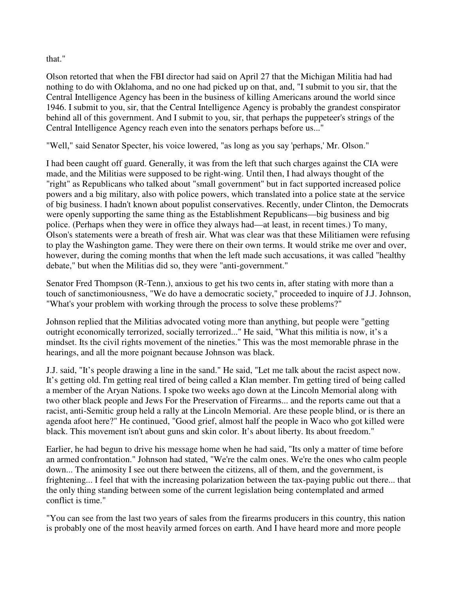that."

Olson retorted that when the FBI director had said on April 27 that the Michigan Militia had had nothing to do with Oklahoma, and no one had picked up on that, and, "I submit to you sir, that the Central Intelligence Agency has been in the business of killing Americans around the world since 1946. I submit to you, sir, that the Central Intelligence Agency is probably the grandest conspirator behind all of this government. And I submit to you, sir, that perhaps the puppeteer's strings of the Central Intelligence Agency reach even into the senators perhaps before us..."

"Well," said Senator Specter, his voice lowered, "as long as you say 'perhaps,' Mr. Olson."

I had been caught off guard. Generally, it was from the left that such charges against the CIA were made, and the Militias were supposed to be right-wing. Until then, I had always thought of the "right" as Republicans who talked about "small government" but in fact supported increased police powers and a big military, also with police powers, which translated into a police state at the service of big business. I hadn't known about populist conservatives. Recently, under Clinton, the Democrats were openly supporting the same thing as the Establishment Republicans—big business and big police. (Perhaps when they were in office they always had—at least, in recent times.) To many, Olson's statements were a breath of fresh air. What was clear was that these Militiamen were refusing to play the Washington game. They were there on their own terms. It would strike me over and over, however, during the coming months that when the left made such accusations, it was called "healthy debate," but when the Militias did so, they were "anti-government."

Senator Fred Thompson (R-Tenn.), anxious to get his two cents in, after stating with more than a touch of sanctimoniousness, "We do have a democratic society," proceeded to inquire of J.J. Johnson, "What's your problem with working through the process to solve these problems?"

Johnson replied that the Militias advocated voting more than anything, but people were "getting outright economically terrorized, socially terrorized..." He said, "What this militia is now, it's a mindset. Its the civil rights movement of the nineties." This was the most memorable phrase in the hearings, and all the more poignant because Johnson was black.

J.J. said, "It's people drawing a line in the sand." He said, "Let me talk about the racist aspect now. It's getting old. I'm getting real tired of being called a Klan member. I'm getting tired of being called a member of the Aryan Nations. I spoke two weeks ago down at the Lincoln Memorial along with two other black people and Jews For the Preservation of Firearms... and the reports came out that a racist, anti-Semitic group held a rally at the Lincoln Memorial. Are these people blind, or is there an agenda afoot here?" He continued, "Good grief, almost half the people in Waco who got killed were black. This movement isn't about guns and skin color. It's about liberty. Its about freedom."

Earlier, he had begun to drive his message home when he had said, "Its only a matter of time before an armed confrontation." Johnson had stated, "We're the calm ones. We're the ones who calm people down... The animosity I see out there between the citizens, all of them, and the government, is frightening... I feel that with the increasing polarization between the tax-paying public out there... that the only thing standing between some of the current legislation being contemplated and armed conflict is time."

"You can see from the last two years of sales from the firearms producers in this country, this nation is probably one of the most heavily armed forces on earth. And I have heard more and more people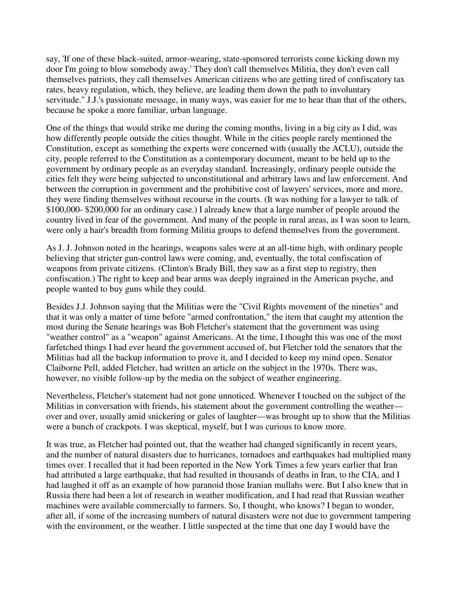say, 'If one of these black-suited, armor-wearing, state-sponsored terrorists come kicking down my door I'm going to blow somebody away.' They don't call themselves Militia, they don't even call themselves patriots, they call themselves American citizens who are getting tired of confiscatory tax rates, heavy regulation, which, they believe, are leading them down the path to involuntary servitude." J.J.'s passionate message, in many ways, was easier for me to hear than that of the others, because he spoke a more familiar, urban language.

One of the things that would strike me during the coming months, living in a big city as I did, was how differently people outside the cities thought. While in the cities people rarely mentioned the Constitution, except as something the experts were concerned with (usually the ACLU), outside the city, people referred to the Constitution as a contemporary document, meant to be held up to the government by ordinary people as an everyday standard. Increasingly, ordinary people outside the cities felt they were being subjected to unconstitutional and arbitrary laws and law enforcement. And between the corruption in government and the prohibitive cost of lawyers' services, more and more, they were finding themselves without recourse in the courts. (It was nothing for a lawyer to talk of \$100,000- \$200,000 for an ordinary case.) I already knew that a large number of people around the country lived in fear of the government. And many of the people in rural areas, as I was soon to learn, were only a hair's breadth from forming Militia groups to defend themselves from the government.

As J. J. Johnson noted in the hearings, weapons sales were at an all-time high, with ordinary people believing that stricter gun-control laws were coming, and, eventually, the total confiscation of weapons from private citizens. (Clinton's Brady Bill, they saw as a first step to registry, then confiscation.) The right to keep and bear arms was deeply ingrained in the American psyche, and people wanted to buy guns while they could.

Besides J.J. Johnson saying that the Militias were the "Civil Rights movement of the nineties" and that it was only a matter of time before "armed confrontation," the item that caught my attention the most during the Senate hearings was Bob Fletcher's statement that the government was using "weather control" as a "weapon" against Americans. At the time, I thought this was one of the most farfetched things I had ever heard the government accused of, but Fletcher told the senators that the Militias had all the backup information to prove it, and I decided to keep my mind open. Senator Claiborne Pell, added Fletcher, had written an article on the subject in the 1970s. There was, however, no visible follow-up by the media on the subject of weather engineering.

Nevertheless, Fletcher's statement had not gone unnoticed. Whenever I touched on the subject of the Militias in conversation with friends, his statement about the government controlling the weather over and over, usually amid snickering or gales of laughter—was brought up to show that the Militias were a bunch of crackpots. I was skeptical, myself, but I was curious to know more.

It was true, as Fletcher had pointed out, that the weather had changed significantly in recent years, and the number of natural disasters due to hurricanes, tornadoes and earthquakes had multiplied many times over. I recalled that it had been reported in the New York Times a few years earlier that Iran had attributed a large earthquake, that had resulted in thousands of deaths in Iran, to the CIA, and I had laughed it off as an example of how paranoid those Iranian mullahs were. But I also knew that in Russia there had been a lot of research in weather modification, and I had read that Russian weather machines were available commercially to farmers. So, I thought, who knows? I began to wonder, after all, if some of the increasing numbers of natural disasters were not due to government tampering with the environment, or the weather. I little suspected at the time that one day I would have the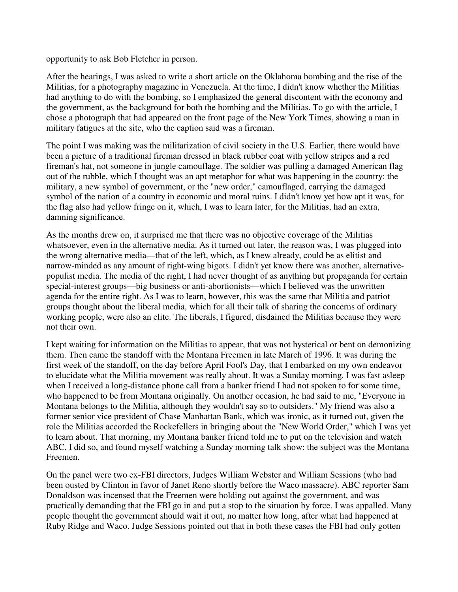opportunity to ask Bob Fletcher in person.

After the hearings, I was asked to write a short article on the Oklahoma bombing and the rise of the Militias, for a photography magazine in Venezuela. At the time, I didn't know whether the Militias had anything to do with the bombing, so I emphasized the general discontent with the economy and the government, as the background for both the bombing and the Militias. To go with the article, I chose a photograph that had appeared on the front page of the New York Times, showing a man in military fatigues at the site, who the caption said was a fireman.

The point I was making was the militarization of civil society in the U.S. Earlier, there would have been a picture of a traditional fireman dressed in black rubber coat with yellow stripes and a red fireman's hat, not someone in jungle camouflage. The soldier was pulling a damaged American flag out of the rubble, which I thought was an apt metaphor for what was happening in the country: the military, a new symbol of government, or the "new order," camouflaged, carrying the damaged symbol of the nation of a country in economic and moral ruins. I didn't know yet how apt it was, for the flag also had yellow fringe on it, which, I was to learn later, for the Militias, had an extra, damning significance.

As the months drew on, it surprised me that there was no objective coverage of the Militias whatsoever, even in the alternative media. As it turned out later, the reason was, I was plugged into the wrong alternative media—that of the left, which, as I knew already, could be as elitist and narrow-minded as any amount of right-wing bigots. I didn't yet know there was another, alternativepopulist media. The media of the right, I had never thought of as anything but propaganda for certain special-interest groups—big business or anti-abortionists—which I believed was the unwritten agenda for the entire right. As I was to learn, however, this was the same that Militia and patriot groups thought about the liberal media, which for all their talk of sharing the concerns of ordinary working people, were also an elite. The liberals, I figured, disdained the Militias because they were not their own.

I kept waiting for information on the Militias to appear, that was not hysterical or bent on demonizing them. Then came the standoff with the Montana Freemen in late March of 1996. It was during the first week of the standoff, on the day before April Fool's Day, that I embarked on my own endeavor to elucidate what the Militia movement was really about. It was a Sunday morning. I was fast asleep when I received a long-distance phone call from a banker friend I had not spoken to for some time, who happened to be from Montana originally. On another occasion, he had said to me, "Everyone in Montana belongs to the Militia, although they wouldn't say so to outsiders." My friend was also a former senior vice president of Chase Manhattan Bank, which was ironic, as it turned out, given the role the Militias accorded the Rockefellers in bringing about the "New World Order," which I was yet to learn about. That morning, my Montana banker friend told me to put on the television and watch ABC. I did so, and found myself watching a Sunday morning talk show: the subject was the Montana Freemen.

On the panel were two ex-FBI directors, Judges William Webster and William Sessions (who had been ousted by Clinton in favor of Janet Reno shortly before the Waco massacre). ABC reporter Sam Donaldson was incensed that the Freemen were holding out against the government, and was practically demanding that the FBI go in and put a stop to the situation by force. I was appalled. Many people thought the government should wait it out, no matter how long, after what had happened at Ruby Ridge and Waco. Judge Sessions pointed out that in both these cases the FBI had only gotten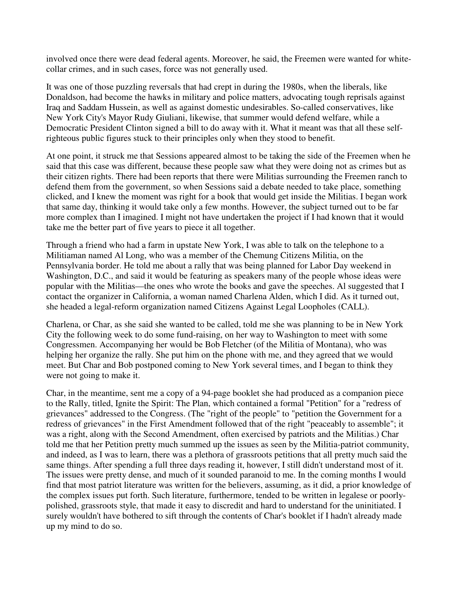involved once there were dead federal agents. Moreover, he said, the Freemen were wanted for whitecollar crimes, and in such cases, force was not generally used.

It was one of those puzzling reversals that had crept in during the 1980s, when the liberals, like Donaldson, had become the hawks in military and police matters, advocating tough reprisals against Iraq and Saddam Hussein, as well as against domestic undesirables. So-called conservatives, like New York City's Mayor Rudy Giuliani, likewise, that summer would defend welfare, while a Democratic President Clinton signed a bill to do away with it. What it meant was that all these selfrighteous public figures stuck to their principles only when they stood to benefit.

At one point, it struck me that Sessions appeared almost to be taking the side of the Freemen when he said that this case was different, because these people saw what they were doing not as crimes but as their citizen rights. There had been reports that there were Militias surrounding the Freemen ranch to defend them from the government, so when Sessions said a debate needed to take place, something clicked, and I knew the moment was right for a book that would get inside the Militias. I began work that same day, thinking it would take only a few months. However, the subject turned out to be far more complex than I imagined. I might not have undertaken the project if I had known that it would take me the better part of five years to piece it all together.

Through a friend who had a farm in upstate New York, I was able to talk on the telephone to a Militiaman named Al Long, who was a member of the Chemung Citizens Militia, on the Pennsylvania border. He told me about a rally that was being planned for Labor Day weekend in Washington, D.C., and said it would be featuring as speakers many of the people whose ideas were popular with the Militias—the ones who wrote the books and gave the speeches. Al suggested that I contact the organizer in California, a woman named Charlena Alden, which I did. As it turned out, she headed a legal-reform organization named Citizens Against Legal Loopholes (CALL).

Charlena, or Char, as she said she wanted to be called, told me she was planning to be in New York City the following week to do some fund-raising, on her way to Washington to meet with some Congressmen. Accompanying her would be Bob Fletcher (of the Militia of Montana), who was helping her organize the rally. She put him on the phone with me, and they agreed that we would meet. But Char and Bob postponed coming to New York several times, and I began to think they were not going to make it.

Char, in the meantime, sent me a copy of a 94-page booklet she had produced as a companion piece to the Rally, titled, Ignite the Spirit: The Plan, which contained a formal "Petition" for a "redress of grievances" addressed to the Congress. (The "right of the people" to "petition the Government for a redress of grievances" in the First Amendment followed that of the right "peaceably to assemble"; it was a right, along with the Second Amendment, often exercised by patriots and the Militias.) Char told me that her Petition pretty much summed up the issues as seen by the Militia-patriot community, and indeed, as I was to learn, there was a plethora of grassroots petitions that all pretty much said the same things. After spending a full three days reading it, however, I still didn't understand most of it. The issues were pretty dense, and much of it sounded paranoid to me. In the coming months I would find that most patriot literature was written for the believers, assuming, as it did, a prior knowledge of the complex issues put forth. Such literature, furthermore, tended to be written in legalese or poorlypolished, grassroots style, that made it easy to discredit and hard to understand for the uninitiated. I surely wouldn't have bothered to sift through the contents of Char's booklet if I hadn't already made up my mind to do so.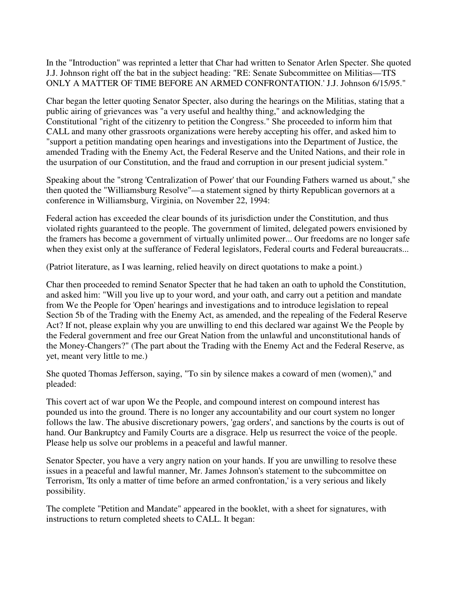In the "Introduction" was reprinted a letter that Char had written to Senator Arlen Specter. She quoted J.J. Johnson right off the bat in the subject heading: "RE: Senate Subcommittee on Militias—'ITS ONLY A MATTER OF TIME BEFORE AN ARMED CONFRONTATION.' J.J. Johnson 6/15/95."

Char began the letter quoting Senator Specter, also during the hearings on the Militias, stating that a public airing of grievances was "a very useful and healthy thing," and acknowledging the Constitutional "right of the citizenry to petition the Congress." She proceeded to inform him that CALL and many other grassroots organizations were hereby accepting his offer, and asked him to "support a petition mandating open hearings and investigations into the Department of Justice, the amended Trading with the Enemy Act, the Federal Reserve and the United Nations, and their role in the usurpation of our Constitution, and the fraud and corruption in our present judicial system."

Speaking about the "strong 'Centralization of Power' that our Founding Fathers warned us about," she then quoted the "Williamsburg Resolve"—a statement signed by thirty Republican governors at a conference in Williamsburg, Virginia, on November 22, 1994:

Federal action has exceeded the clear bounds of its jurisdiction under the Constitution, and thus violated rights guaranteed to the people. The government of limited, delegated powers envisioned by the framers has become a government of virtually unlimited power... Our freedoms are no longer safe when they exist only at the sufferance of Federal legislators, Federal courts and Federal bureaucrats...

(Patriot literature, as I was learning, relied heavily on direct quotations to make a point.)

Char then proceeded to remind Senator Specter that he had taken an oath to uphold the Constitution, and asked him: "Will you live up to your word, and your oath, and carry out a petition and mandate from We the People for 'Open' hearings and investigations and to introduce legislation to repeal Section 5b of the Trading with the Enemy Act, as amended, and the repealing of the Federal Reserve Act? If not, please explain why you are unwilling to end this declared war against We the People by the Federal government and free our Great Nation from the unlawful and unconstitutional hands of the Money-Changers?" (The part about the Trading with the Enemy Act and the Federal Reserve, as yet, meant very little to me.)

She quoted Thomas Jefferson, saying, "To sin by silence makes a coward of men (women)," and pleaded:

This covert act of war upon We the People, and compound interest on compound interest has pounded us into the ground. There is no longer any accountability and our court system no longer follows the law. The abusive discretionary powers, 'gag orders', and sanctions by the courts is out of hand. Our Bankruptcy and Family Courts are a disgrace. Help us resurrect the voice of the people. Please help us solve our problems in a peaceful and lawful manner.

Senator Specter, you have a very angry nation on your hands. If you are unwilling to resolve these issues in a peaceful and lawful manner, Mr. James Johnson's statement to the subcommittee on Terrorism, 'Its only a matter of time before an armed confrontation,' is a very serious and likely possibility.

The complete "Petition and Mandate" appeared in the booklet, with a sheet for signatures, with instructions to return completed sheets to CALL. It began: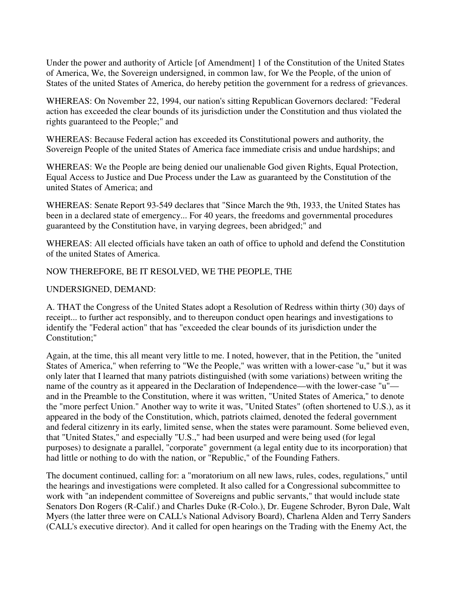Under the power and authority of Article [of Amendment] 1 of the Constitution of the United States of America, We, the Sovereign undersigned, in common law, for We the People, of the union of States of the united States of America, do hereby petition the government for a redress of grievances.

WHEREAS: On November 22, 1994, our nation's sitting Republican Governors declared: "Federal action has exceeded the clear bounds of its jurisdiction under the Constitution and thus violated the rights guaranteed to the People;" and

WHEREAS: Because Federal action has exceeded its Constitutional powers and authority, the Sovereign People of the united States of America face immediate crisis and undue hardships; and

WHEREAS: We the People are being denied our unalienable God given Rights, Equal Protection, Equal Access to Justice and Due Process under the Law as guaranteed by the Constitution of the united States of America; and

WHEREAS: Senate Report 93-549 declares that "Since March the 9th, 1933, the United States has been in a declared state of emergency... For 40 years, the freedoms and governmental procedures guaranteed by the Constitution have, in varying degrees, been abridged;" and

WHEREAS: All elected officials have taken an oath of office to uphold and defend the Constitution of the united States of America.

## NOW THEREFORE, BE IT RESOLVED, WE THE PEOPLE, THE

## UNDERSIGNED, DEMAND:

A. THAT the Congress of the United States adopt a Resolution of Redress within thirty (30) days of receipt... to further act responsibly, and to thereupon conduct open hearings and investigations to identify the "Federal action" that has "exceeded the clear bounds of its jurisdiction under the Constitution;"

Again, at the time, this all meant very little to me. I noted, however, that in the Petition, the "united States of America," when referring to "We the People," was written with a lower-case "u," but it was only later that I learned that many patriots distinguished (with some variations) between writing the name of the country as it appeared in the Declaration of Independence—with the lower-case "u" and in the Preamble to the Constitution, where it was written, "United States of America," to denote the "more perfect Union." Another way to write it was, "United States" (often shortened to U.S.), as it appeared in the body of the Constitution, which, patriots claimed, denoted the federal government and federal citizenry in its early, limited sense, when the states were paramount. Some believed even, that "United States," and especially "U.S.," had been usurped and were being used (for legal purposes) to designate a parallel, "corporate" government (a legal entity due to its incorporation) that had little or nothing to do with the nation, or "Republic," of the Founding Fathers.

The document continued, calling for: a "moratorium on all new laws, rules, codes, regulations," until the hearings and investigations were completed. It also called for a Congressional subcommittee to work with "an independent committee of Sovereigns and public servants," that would include state Senators Don Rogers (R-Calif.) and Charles Duke (R-Colo.), Dr. Eugene Schroder, Byron Dale, Walt Myers (the latter three were on CALL's National Advisory Board), Charlena Alden and Terry Sanders (CALL's executive director). And it called for open hearings on the Trading with the Enemy Act, the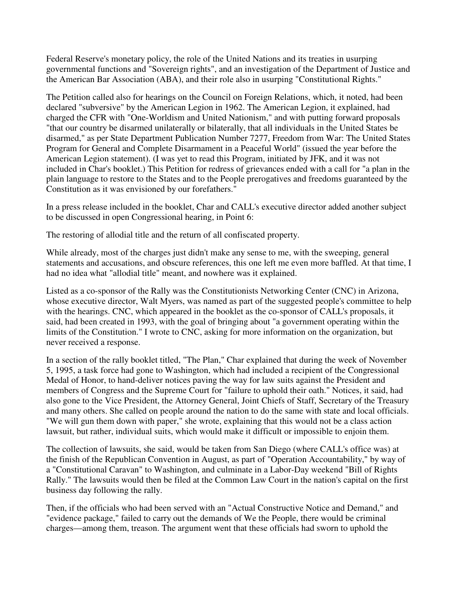Federal Reserve's monetary policy, the role of the United Nations and its treaties in usurping governmental functions and "Sovereign rights", and an investigation of the Department of Justice and the American Bar Association (ABA), and their role also in usurping "Constitutional Rights."

The Petition called also for hearings on the Council on Foreign Relations, which, it noted, had been declared "subversive" by the American Legion in 1962. The American Legion, it explained, had charged the CFR with "One-Worldism and United Nationism," and with putting forward proposals "that our country be disarmed unilaterally or bilaterally, that all individuals in the United States be disarmed," as per State Department Publication Number 7277, Freedom from War: The United States Program for General and Complete Disarmament in a Peaceful World" (issued the year before the American Legion statement). (I was yet to read this Program, initiated by JFK, and it was not included in Char's booklet.) This Petition for redress of grievances ended with a call for "a plan in the plain language to restore to the States and to the People prerogatives and freedoms guaranteed by the Constitution as it was envisioned by our forefathers."

In a press release included in the booklet, Char and CALL's executive director added another subject to be discussed in open Congressional hearing, in Point 6:

The restoring of allodial title and the return of all confiscated property.

While already, most of the charges just didn't make any sense to me, with the sweeping, general statements and accusations, and obscure references, this one left me even more baffled. At that time, I had no idea what "allodial title" meant, and nowhere was it explained.

Listed as a co-sponsor of the Rally was the Constitutionists Networking Center (CNC) in Arizona, whose executive director, Walt Myers, was named as part of the suggested people's committee to help with the hearings. CNC, which appeared in the booklet as the co-sponsor of CALL's proposals, it said, had been created in 1993, with the goal of bringing about "a government operating within the limits of the Constitution." I wrote to CNC, asking for more information on the organization, but never received a response.

In a section of the rally booklet titled, "The Plan," Char explained that during the week of November 5, 1995, a task force had gone to Washington, which had included a recipient of the Congressional Medal of Honor, to hand-deliver notices paving the way for law suits against the President and members of Congress and the Supreme Court for "failure to uphold their oath." Notices, it said, had also gone to the Vice President, the Attorney General, Joint Chiefs of Staff, Secretary of the Treasury and many others. She called on people around the nation to do the same with state and local officials. "We will gun them down with paper," she wrote, explaining that this would not be a class action lawsuit, but rather, individual suits, which would make it difficult or impossible to enjoin them.

The collection of lawsuits, she said, would be taken from San Diego (where CALL's office was) at the finish of the Republican Convention in August, as part of "Operation Accountability," by way of a "Constitutional Caravan" to Washington, and culminate in a Labor-Day weekend "Bill of Rights Rally." The lawsuits would then be filed at the Common Law Court in the nation's capital on the first business day following the rally.

Then, if the officials who had been served with an "Actual Constructive Notice and Demand," and "evidence package," failed to carry out the demands of We the People, there would be criminal charges—among them, treason. The argument went that these officials had sworn to uphold the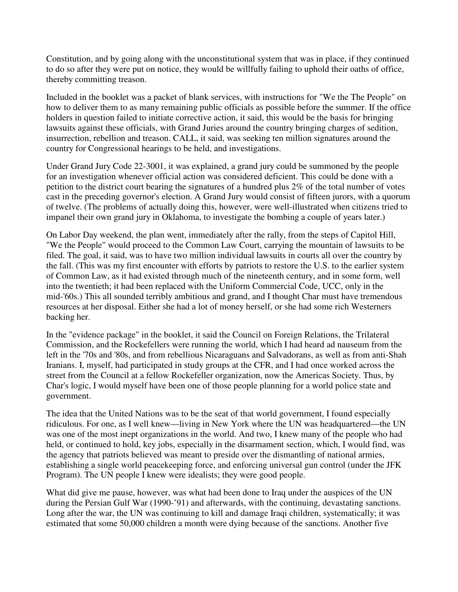Constitution, and by going along with the unconstitutional system that was in place, if they continued to do so after they were put on notice, they would be willfully failing to uphold their oaths of office, thereby committing treason.

Included in the booklet was a packet of blank services, with instructions for "We the The People" on how to deliver them to as many remaining public officials as possible before the summer. If the office holders in question failed to initiate corrective action, it said, this would be the basis for bringing lawsuits against these officials, with Grand Juries around the country bringing charges of sedition, insurrection, rebellion and treason. CALL, it said, was seeking ten million signatures around the country for Congressional hearings to be held, and investigations.

Under Grand Jury Code 22-3001, it was explained, a grand jury could be summoned by the people for an investigation whenever official action was considered deficient. This could be done with a petition to the district court bearing the signatures of a hundred plus 2% of the total number of votes cast in the preceding governor's election. A Grand Jury would consist of fifteen jurors, with a quorum of twelve. (The problems of actually doing this, however, were well-illustrated when citizens tried to impanel their own grand jury in Oklahoma, to investigate the bombing a couple of years later.)

On Labor Day weekend, the plan went, immediately after the rally, from the steps of Capitol Hill, "We the People" would proceed to the Common Law Court, carrying the mountain of lawsuits to be filed. The goal, it said, was to have two million individual lawsuits in courts all over the country by the fall. (This was my first encounter with efforts by patriots to restore the U.S. to the earlier system of Common Law, as it had existed through much of the nineteenth century, and in some form, well into the twentieth; it had been replaced with the Uniform Commercial Code, UCC, only in the mid-'60s.) This all sounded terribly ambitious and grand, and I thought Char must have tremendous resources at her disposal. Either she had a lot of money herself, or she had some rich Westerners backing her.

In the "evidence package" in the booklet, it said the Council on Foreign Relations, the Trilateral Commission, and the Rockefellers were running the world, which I had heard ad nauseum from the left in the '70s and '80s, and from rebellious Nicaraguans and Salvadorans, as well as from anti-Shah Iranians. I, myself, had participated in study groups at the CFR, and I had once worked across the street from the Council at a fellow Rockefeller organization, now the Americas Society. Thus, by Char's logic, I would myself have been one of those people planning for a world police state and government.

The idea that the United Nations was to be the seat of that world government, I found especially ridiculous. For one, as I well knew—living in New York where the UN was headquartered—the UN was one of the most inept organizations in the world. And two, I knew many of the people who had held, or continued to hold, key jobs, especially in the disarmament section, which, I would find, was the agency that patriots believed was meant to preside over the dismantling of national armies, establishing a single world peacekeeping force, and enforcing universal gun control (under the JFK Program). The UN people I knew were idealists; they were good people.

What did give me pause, however, was what had been done to Iraq under the auspices of the UN during the Persian Gulf War (1990-'91) and afterwards, with the continuing, devastating sanctions. Long after the war, the UN was continuing to kill and damage Iraqi children, systematically; it was estimated that some 50,000 children a month were dying because of the sanctions. Another five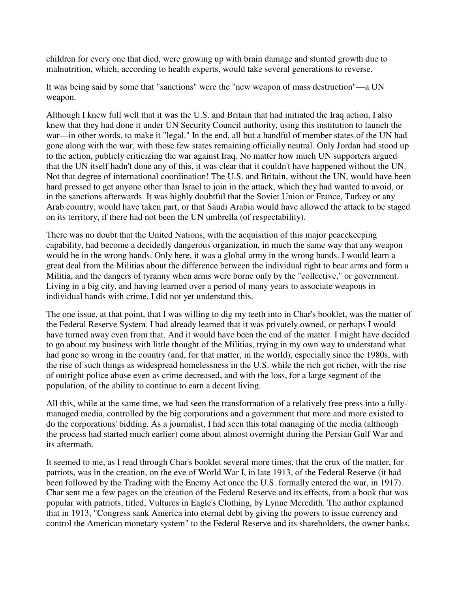children for every one that died, were growing up with brain damage and stunted growth due to malnutrition, which, according to health experts, would take several generations to reverse.

It was being said by some that "sanctions" were the "new weapon of mass destruction"—a UN weapon.

Although I knew full well that it was the U.S. and Britain that had initiated the Iraq action, I also knew that they had done it under UN Security Council authority, using this institution to launch the war—in other words, to make it "legal." In the end, all but a handful of member states of the UN had gone along with the war, with those few states remaining officially neutral. Only Jordan had stood up to the action, publicly criticizing the war against Iraq. No matter how much UN supporters argued that the UN itself hadn't done any of this, it was clear that it couldn't have happened without the UN. Not that degree of international coordination! The U.S. and Britain, without the UN, would have been hard pressed to get anyone other than Israel to join in the attack, which they had wanted to avoid, or in the sanctions afterwards. It was highly doubtful that the Soviet Union or France, Turkey or any Arab country, would have taken part, or that Saudi Arabia would have allowed the attack to be staged on its territory, if there had not been the UN umbrella (of respectability).

There was no doubt that the United Nations, with the acquisition of this major peacekeeping capability, had become a decidedly dangerous organization, in much the same way that any weapon would be in the wrong hands. Only here, it was a global army in the wrong hands. I would learn a great deal from the Militias about the difference between the individual right to bear arms and form a Militia, and the dangers of tyranny when arms were borne only by the "collective," or government. Living in a big city, and having learned over a period of many years to associate weapons in individual hands with crime, I did not yet understand this.

The one issue, at that point, that I was willing to dig my teeth into in Char's booklet, was the matter of the Federal Reserve System. I had already learned that it was privately owned, or perhaps I would have turned away even from that. And it would have been the end of the matter. I might have decided to go about my business with little thought of the Militias, trying in my own way to understand what had gone so wrong in the country (and, for that matter, in the world), especially since the 1980s, with the rise of such things as widespread homelessness in the U.S. while the rich got richer, with the rise of outright police abuse even as crime decreased, and with the loss, for a large segment of the population, of the ability to continue to earn a decent living.

All this, while at the same time, we had seen the transformation of a relatively free press into a fullymanaged media, controlled by the big corporations and a government that more and more existed to do the corporations' bidding. As a journalist, I had seen this total managing of the media (although the process had started much earlier) come about almost overnight during the Persian Gulf War and its aftermath.

It seemed to me, as I read through Char's booklet several more times, that the crux of the matter, for patriots, was in the creation, on the eve of World War I, in late 1913, of the Federal Reserve (it had been followed by the Trading with the Enemy Act once the U.S. formally entered the war, in 1917). Char sent me a few pages on the creation of the Federal Reserve and its effects, from a book that was popular with patriots, titled, Vultures in Eagle's Clothing, by Lynne Meredith. The author explained that in 1913, "Congress sank America into eternal debt by giving the powers to issue currency and control the American monetary system" to the Federal Reserve and its shareholders, the owner banks.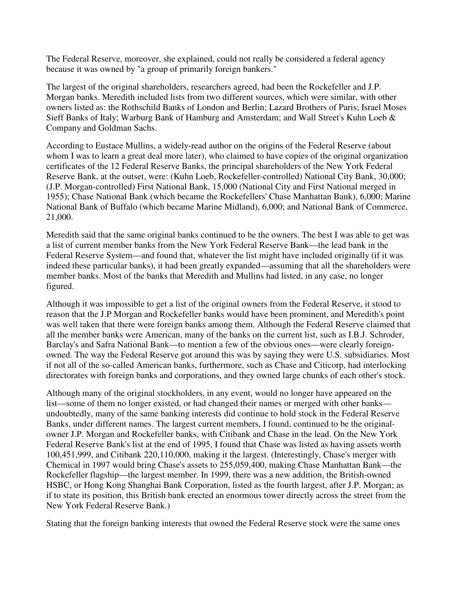The Federal Reserve, moreover, she explained, could not really be considered a federal agency because it was owned by "a group of primarily foreign bankers."

The largest of the original shareholders, researchers agreed, had been the Rockefeller and J.P. Morgan banks. Meredith included lists from two different sources, which were similar, with other owners listed as: the Rothschild Banks of London and Berlin; Lazard Brothers of Paris; Israel Moses Sieff Banks of Italy; Warburg Bank of Hamburg and Amsterdam; and Wall Street's Kuhn Loeb & Company and Goldman Sachs.

According to Eustace Mullins, a widely-read author on the origins of the Federal Reserve (about whom I was to learn a great deal more later), who claimed to have copies of the original organization certificates of the 12 Federal Reserve Banks, the principal shareholders of the New York Federal Reserve Bank, at the outset, were: (Kuhn Loeb, Rockefeller-controlled) National City Bank, 30,000; (J.P. Morgan-controlled) First National Bank, 15,000 (National City and First National merged in 1955); Chase National Bank (which became the Rockefellers' Chase Manhattan Bank), 6,000; Marine National Bank of Buffalo (which became Marine Midland), 6,000; and National Bank of Commerce, 21,000.

Meredith said that the same original banks continued to be the owners. The best I was able to get was a list of current member banks from the New York Federal Reserve Bank—the lead bank in the Federal Reserve System—and found that, whatever the list might have included originally (if it was indeed these particular banks), it had been greatly expanded—assuming that all the shareholders were member banks. Most of the banks that Meredith and Mullins had listed, in any case, no longer figured.

Although it was impossible to get a list of the original owners from the Federal Reserve, it stood to reason that the J.P Morgan and Rockefeller banks would have been prominent, and Meredith's point was well taken that there were foreign banks among them. Although the Federal Reserve claimed that all the member banks were American, many of the banks on the current list, such as I.B.J. Schroder, Barclay's and Safra National Bank—to mention a few of the obvious ones—were clearly foreignowned. The way the Federal Reserve got around this was by saying they were U.S. subsidiaries. Most if not all of the so-called American banks, furthermore, such as Chase and Citicorp, had interlocking directorates with foreign banks and corporations, and they owned large chunks of each other's stock.

Although many of the original stockholders, in any event, would no longer have appeared on the list—some of them no longer existed, or had changed their names or merged with other banks undoubtedly, many of the same banking interests did continue to hold stock in the Federal Reserve Banks, under different names. The largest current members, I found, continued to be the originalowner J.P. Morgan and Rockefeller banks, with Citibank and Chase in the lead. On the New York Federal Reserve Bank's list at the end of 1995, I found that Chase was listed as having assets worth 100,451,999, and Citibank 220,110,000, making it the largest. (Interestingly, Chase's merger with Chemical in 1997 would bring Chase's assets to 255,059,400, making Chase Manhattan Bank—the Rockefeller flagship—the largest member. In 1999, there was a new addition, the British-owned HSBC, or Hong Kong Shanghai Bank Corporation, listed as the fourth largest, after J.P. Morgan; as if to state its position, this British bank erected an enormous tower directly across the street from the New York Federal Reserve Bank.)

Stating that the foreign banking interests that owned the Federal Reserve stock were the same ones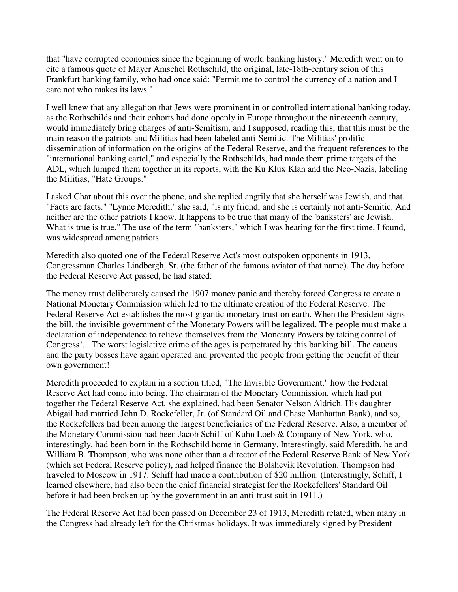that "have corrupted economies since the beginning of world banking history," Meredith went on to cite a famous quote of Mayer Amschel Rothschild, the original, late-18th-century scion of this Frankfurt banking family, who had once said: "Permit me to control the currency of a nation and I care not who makes its laws."

I well knew that any allegation that Jews were prominent in or controlled international banking today, as the Rothschilds and their cohorts had done openly in Europe throughout the nineteenth century, would immediately bring charges of anti-Semitism, and I supposed, reading this, that this must be the main reason the patriots and Militias had been labeled anti-Semitic. The Militias' prolific dissemination of information on the origins of the Federal Reserve, and the frequent references to the "international banking cartel," and especially the Rothschilds, had made them prime targets of the ADL, which lumped them together in its reports, with the Ku Klux Klan and the Neo-Nazis, labeling the Militias, "Hate Groups."

I asked Char about this over the phone, and she replied angrily that she herself was Jewish, and that, "Facts are facts." "Lynne Meredith," she said, "is my friend, and she is certainly not anti-Semitic. And neither are the other patriots I know. It happens to be true that many of the 'banksters' are Jewish. What is true is true." The use of the term "banksters," which I was hearing for the first time, I found, was widespread among patriots.

Meredith also quoted one of the Federal Reserve Act's most outspoken opponents in 1913, Congressman Charles Lindbergh, Sr. (the father of the famous aviator of that name). The day before the Federal Reserve Act passed, he had stated:

The money trust deliberately caused the 1907 money panic and thereby forced Congress to create a National Monetary Commission which led to the ultimate creation of the Federal Reserve. The Federal Reserve Act establishes the most gigantic monetary trust on earth. When the President signs the bill, the invisible government of the Monetary Powers will be legalized. The people must make a declaration of independence to relieve themselves from the Monetary Powers by taking control of Congress!... The worst legislative crime of the ages is perpetrated by this banking bill. The caucus and the party bosses have again operated and prevented the people from getting the benefit of their own government!

Meredith proceeded to explain in a section titled, "The Invisible Government," how the Federal Reserve Act had come into being. The chairman of the Monetary Commission, which had put together the Federal Reserve Act, she explained, had been Senator Nelson Aldrich. His daughter Abigail had married John D. Rockefeller, Jr. (of Standard Oil and Chase Manhattan Bank), and so, the Rockefellers had been among the largest beneficiaries of the Federal Reserve. Also, a member of the Monetary Commission had been Jacob Schiff of Kuhn Loeb & Company of New York, who, interestingly, had been born in the Rothschild home in Germany. Interestingly, said Meredith, he and William B. Thompson, who was none other than a director of the Federal Reserve Bank of New York (which set Federal Reserve policy), had helped finance the Bolshevik Revolution. Thompson had traveled to Moscow in 1917. Schiff had made a contribution of \$20 million. (Interestingly, Schiff, I learned elsewhere, had also been the chief financial strategist for the Rockefellers' Standard Oil before it had been broken up by the government in an anti-trust suit in 1911.)

The Federal Reserve Act had been passed on December 23 of 1913, Meredith related, when many in the Congress had already left for the Christmas holidays. It was immediately signed by President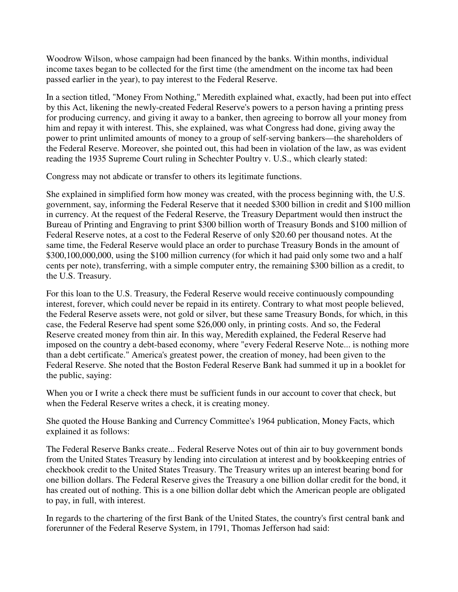Woodrow Wilson, whose campaign had been financed by the banks. Within months, individual income taxes began to be collected for the first time (the amendment on the income tax had been passed earlier in the year), to pay interest to the Federal Reserve.

In a section titled, "Money From Nothing," Meredith explained what, exactly, had been put into effect by this Act, likening the newly-created Federal Reserve's powers to a person having a printing press for producing currency, and giving it away to a banker, then agreeing to borrow all your money from him and repay it with interest. This, she explained, was what Congress had done, giving away the power to print unlimited amounts of money to a group of self-serving bankers—the shareholders of the Federal Reserve. Moreover, she pointed out, this had been in violation of the law, as was evident reading the 1935 Supreme Court ruling in Schechter Poultry v. U.S., which clearly stated:

Congress may not abdicate or transfer to others its legitimate functions.

She explained in simplified form how money was created, with the process beginning with, the U.S. government, say, informing the Federal Reserve that it needed \$300 billion in credit and \$100 million in currency. At the request of the Federal Reserve, the Treasury Department would then instruct the Bureau of Printing and Engraving to print \$300 billion worth of Treasury Bonds and \$100 million of Federal Reserve notes, at a cost to the Federal Reserve of only \$20.60 per thousand notes. At the same time, the Federal Reserve would place an order to purchase Treasury Bonds in the amount of \$300,100,000,000, using the \$100 million currency (for which it had paid only some two and a half cents per note), transferring, with a simple computer entry, the remaining \$300 billion as a credit, to the U.S. Treasury.

For this loan to the U.S. Treasury, the Federal Reserve would receive continuously compounding interest, forever, which could never be repaid in its entirety. Contrary to what most people believed, the Federal Reserve assets were, not gold or silver, but these same Treasury Bonds, for which, in this case, the Federal Reserve had spent some \$26,000 only, in printing costs. And so, the Federal Reserve created money from thin air. In this way, Meredith explained, the Federal Reserve had imposed on the country a debt-based economy, where "every Federal Reserve Note... is nothing more than a debt certificate." America's greatest power, the creation of money, had been given to the Federal Reserve. She noted that the Boston Federal Reserve Bank had summed it up in a booklet for the public, saying:

When you or I write a check there must be sufficient funds in our account to cover that check, but when the Federal Reserve writes a check, it is creating money.

She quoted the House Banking and Currency Committee's 1964 publication, Money Facts, which explained it as follows:

The Federal Reserve Banks create... Federal Reserve Notes out of thin air to buy government bonds from the United States Treasury by lending into circulation at interest and by bookkeeping entries of checkbook credit to the United States Treasury. The Treasury writes up an interest bearing bond for one billion dollars. The Federal Reserve gives the Treasury a one billion dollar credit for the bond, it has created out of nothing. This is a one billion dollar debt which the American people are obligated to pay, in full, with interest.

In regards to the chartering of the first Bank of the United States, the country's first central bank and forerunner of the Federal Reserve System, in 1791, Thomas Jefferson had said: